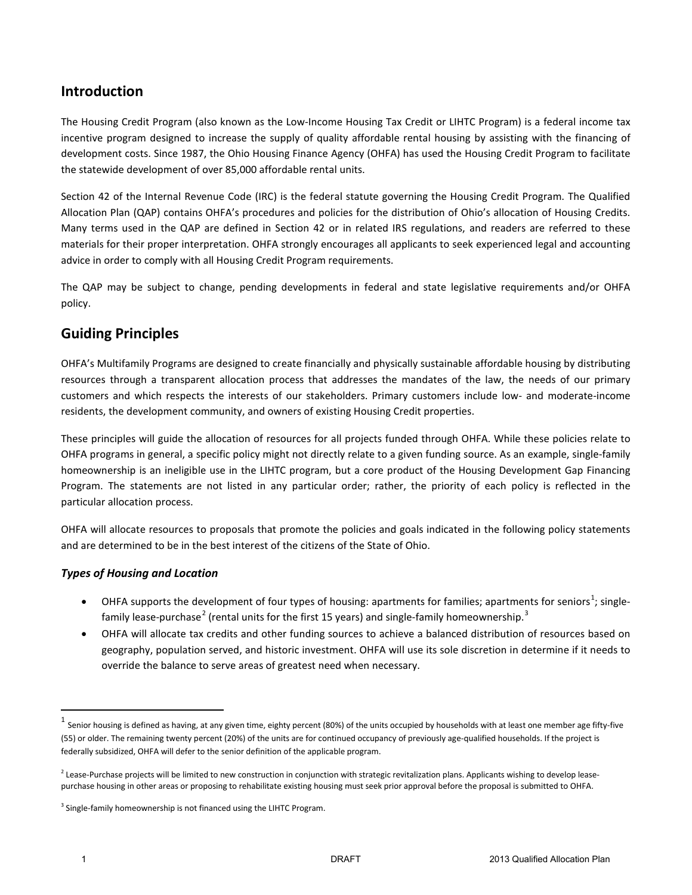# **Introduction**

The Housing Credit Program (also known as the Low-Income Housing Tax Credit or LIHTC Program) is a federal income tax incentive program designed to increase the supply of quality affordable rental housing by assisting with the financing of development costs. Since 1987, the Ohio Housing Finance Agency (OHFA) has used the Housing Credit Program to facilitate the statewide development of over 85,000 affordable rental units.

Section 42 of the Internal Revenue Code (IRC) is the federal statute governing the Housing Credit Program. The Qualified Allocation Plan (QAP) contains OHFA's procedures and policies for the distribution of Ohio's allocation of Housing Credits. Many terms used in the QAP are defined in Section 42 or in related IRS regulations, and readers are referred to these materials for their proper interpretation. OHFA strongly encourages all applicants to seek experienced legal and accounting advice in order to comply with all Housing Credit Program requirements.

The QAP may be subject to change, pending developments in federal and state legislative requirements and/or OHFA policy.

# **Guiding Principles**

OHFA's Multifamily Programs are designed to create financially and physically sustainable affordable housing by distributing resources through a transparent allocation process that addresses the mandates of the law, the needs of our primary customers and which respects the interests of our stakeholders. Primary customers include low- and moderate-income residents, the development community, and owners of existing Housing Credit properties.

These principles will guide the allocation of resources for all projects funded through OHFA. While these policies relate to OHFA programs in general, a specific policy might not directly relate to a given funding source. As an example, single-family homeownership is an ineligible use in the LIHTC program, but a core product of the Housing Development Gap Financing Program. The statements are not listed in any particular order; rather, the priority of each policy is reflected in the particular allocation process.

OHFA will allocate resources to proposals that promote the policies and goals indicated in the following policy statements and are determined to be in the best interest of the citizens of the State of Ohio.

## *Types of Housing and Location*

- OHFA supports the development of four types of housing: apartments for families; apartments for seniors<sup>1</sup>; singlefamily lease-purchase<sup>2</sup> (rental units for the first 15 years) and single-family homeownership.<sup>3</sup>
- OHFA will allocate tax credits and other funding sources to achieve a balanced distribution of resources based on geography, population served, and historic investment. OHFA will use its sole discretion in determine if it needs to override the balance to serve areas of greatest need when necessary.

l

 $<sup>1</sup>$  Senior housing is defined as having, at any given time, eighty percent (80%) of the units occupied by households with at least one member age fifty-five</sup> (55) or older. The remaining twenty percent (20%) of the units are for continued occupancy of previously age-qualified households. If the project is federally subsidized, OHFA will defer to the senior definition of the applicable program.

 $<sup>2</sup>$  Lease-Purchase projects will be limited to new construction in conjunction with strategic revitalization plans. Applicants wishing to develop lease-</sup> purchase housing in other areas or proposing to rehabilitate existing housing must seek prior approval before the proposal is submitted to OHFA.

<sup>&</sup>lt;sup>3</sup> Single-family homeownership is not financed using the LIHTC Program.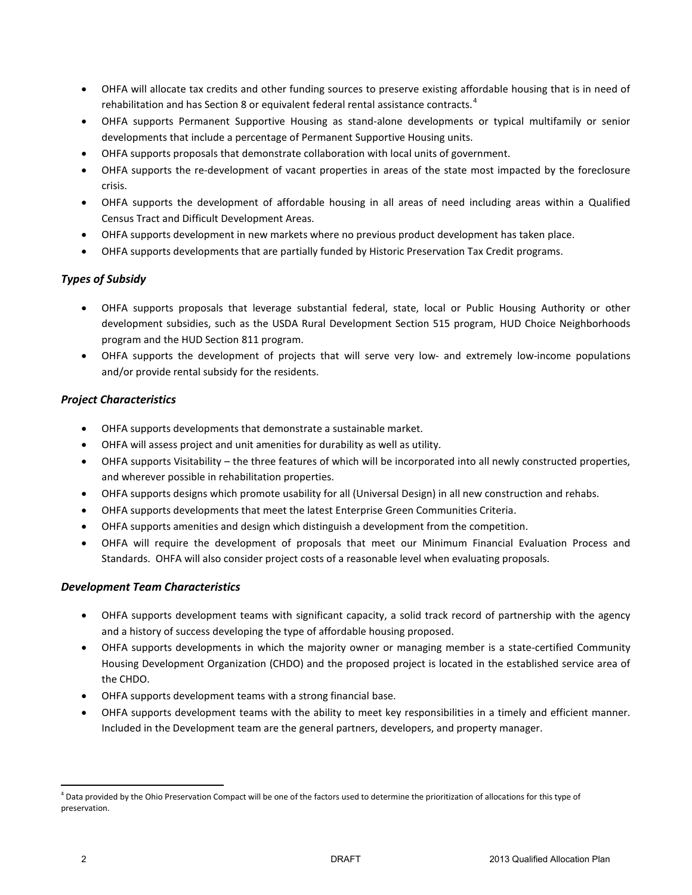- OHFA will allocate tax credits and other funding sources to preserve existing affordable housing that is in need of rehabilitation and has Section 8 or equivalent federal rental assistance contracts.<sup>4</sup>
- OHFA supports Permanent Supportive Housing as stand-alone developments or typical multifamily or senior developments that include a percentage of Permanent Supportive Housing units.
- OHFA supports proposals that demonstrate collaboration with local units of government.
- OHFA supports the re-development of vacant properties in areas of the state most impacted by the foreclosure crisis.
- OHFA supports the development of affordable housing in all areas of need including areas within a Qualified Census Tract and Difficult Development Areas.
- OHFA supports development in new markets where no previous product development has taken place.
- OHFA supports developments that are partially funded by Historic Preservation Tax Credit programs.

#### *Types of Subsidy*

- OHFA supports proposals that leverage substantial federal, state, local or Public Housing Authority or other development subsidies, such as the USDA Rural Development Section 515 program, HUD Choice Neighborhoods program and the HUD Section 811 program.
- OHFA supports the development of projects that will serve very low- and extremely low-income populations and/or provide rental subsidy for the residents.

#### *Project Characteristics*

- OHFA supports developments that demonstrate a sustainable market.
- OHFA will assess project and unit amenities for durability as well as utility.
- OHFA supports Visitability the three features of which will be incorporated into all newly constructed properties, and wherever possible in rehabilitation properties.
- OHFA supports designs which promote usability for all (Universal Design) in all new construction and rehabs.
- OHFA supports developments that meet the latest Enterprise Green Communities Criteria.
- OHFA supports amenities and design which distinguish a development from the competition.
- OHFA will require the development of proposals that meet our Minimum Financial Evaluation Process and Standards. OHFA will also consider project costs of a reasonable level when evaluating proposals.

#### *Development Team Characteristics*

- OHFA supports development teams with significant capacity, a solid track record of partnership with the agency and a history of success developing the type of affordable housing proposed.
- OHFA supports developments in which the majority owner or managing member is a state-certified Community Housing Development Organization (CHDO) and the proposed project is located in the established service area of the CHDO.
- OHFA supports development teams with a strong financial base.
- OHFA supports development teams with the ability to meet key responsibilities in a timely and efficient manner. Included in the Development team are the general partners, developers, and property manager.

 $\overline{\phantom{a}}$ 

 $^4$  Data provided by the Ohio Preservation Compact will be one of the factors used to determine the prioritization of allocations for this type of preservation.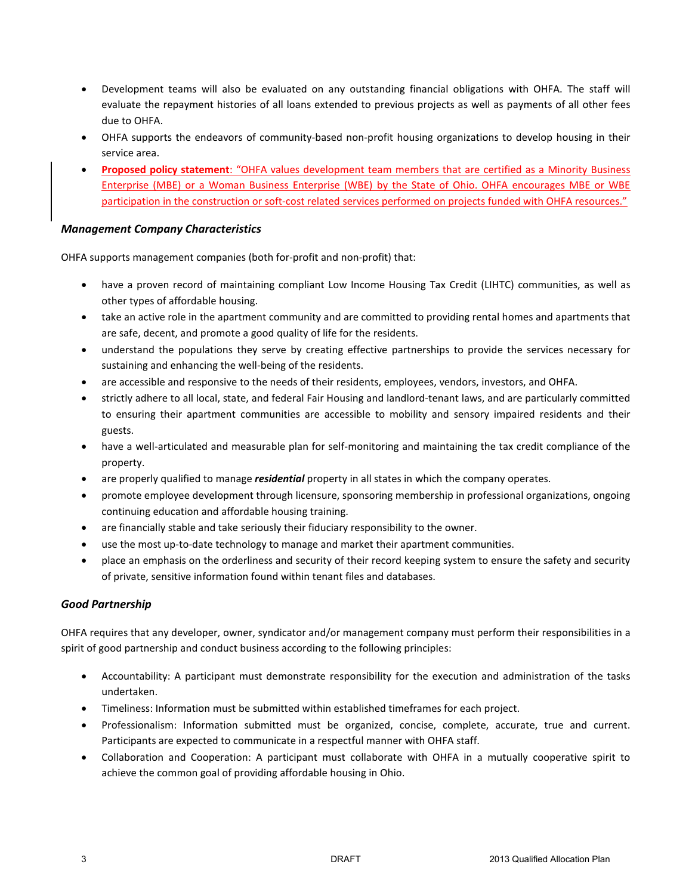- Development teams will also be evaluated on any outstanding financial obligations with OHFA. The staff will evaluate the repayment histories of all loans extended to previous projects as well as payments of all other fees due to OHFA.
- OHFA supports the endeavors of community-based non-profit housing organizations to develop housing in their service area.
- **Proposed policy statement**: "OHFA values development team members that are certified as a Minority Business Enterprise (MBE) or a Woman Business Enterprise (WBE) by the State of Ohio. OHFA encourages MBE or WBE participation in the construction or soft-cost related services performed on projects funded with OHFA resources."

### *Management Company Characteristics*

OHFA supports management companies (both for-profit and non-profit) that:

- have a proven record of maintaining compliant Low Income Housing Tax Credit (LIHTC) communities, as well as other types of affordable housing.
- take an active role in the apartment community and are committed to providing rental homes and apartments that are safe, decent, and promote a good quality of life for the residents.
- understand the populations they serve by creating effective partnerships to provide the services necessary for sustaining and enhancing the well-being of the residents.
- are accessible and responsive to the needs of their residents, employees, vendors, investors, and OHFA.
- strictly adhere to all local, state, and federal Fair Housing and landlord-tenant laws, and are particularly committed to ensuring their apartment communities are accessible to mobility and sensory impaired residents and their guests.
- have a well-articulated and measurable plan for self-monitoring and maintaining the tax credit compliance of the property.
- are properly qualified to manage *residential* property in all states in which the company operates.
- promote employee development through licensure, sponsoring membership in professional organizations, ongoing continuing education and affordable housing training.
- are financially stable and take seriously their fiduciary responsibility to the owner.
- use the most up-to-date technology to manage and market their apartment communities.
- place an emphasis on the orderliness and security of their record keeping system to ensure the safety and security of private, sensitive information found within tenant files and databases.

## *Good Partnership*

OHFA requires that any developer, owner, syndicator and/or management company must perform their responsibilities in a spirit of good partnership and conduct business according to the following principles:

- Accountability: A participant must demonstrate responsibility for the execution and administration of the tasks undertaken.
- Timeliness: Information must be submitted within established timeframes for each project.
- Professionalism: Information submitted must be organized, concise, complete, accurate, true and current. Participants are expected to communicate in a respectful manner with OHFA staff.
- Collaboration and Cooperation: A participant must collaborate with OHFA in a mutually cooperative spirit to achieve the common goal of providing affordable housing in Ohio.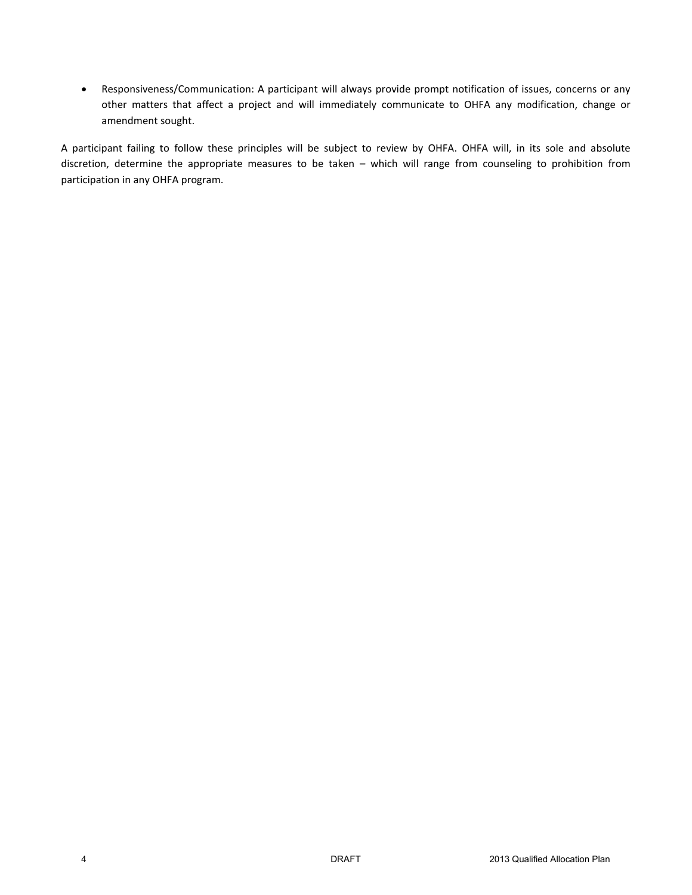• Responsiveness/Communication: A participant will always provide prompt notification of issues, concerns or any other matters that affect a project and will immediately communicate to OHFA any modification, change or amendment sought.

A participant failing to follow these principles will be subject to review by OHFA. OHFA will, in its sole and absolute discretion, determine the appropriate measures to be taken – which will range from counseling to prohibition from participation in any OHFA program.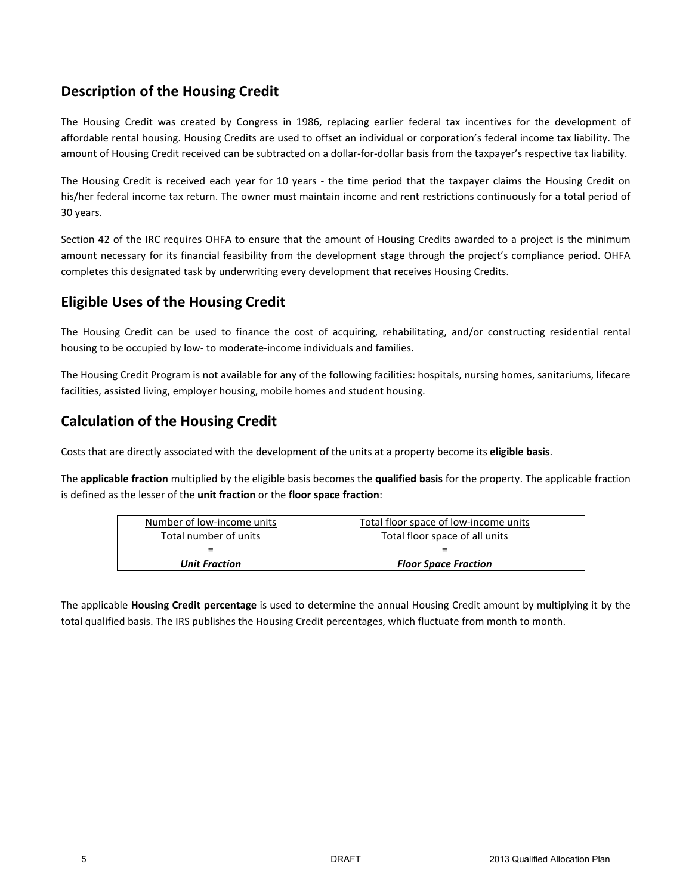# **Description of the Housing Credit**

The Housing Credit was created by Congress in 1986, replacing earlier federal tax incentives for the development of affordable rental housing. Housing Credits are used to offset an individual or corporation's federal income tax liability. The amount of Housing Credit received can be subtracted on a dollar-for-dollar basis from the taxpayer's respective tax liability.

The Housing Credit is received each year for 10 years - the time period that the taxpayer claims the Housing Credit on his/her federal income tax return. The owner must maintain income and rent restrictions continuously for a total period of 30 years.

Section 42 of the IRC requires OHFA to ensure that the amount of Housing Credits awarded to a project is the minimum amount necessary for its financial feasibility from the development stage through the project's compliance period. OHFA completes this designated task by underwriting every development that receives Housing Credits.

# **Eligible Uses of the Housing Credit**

The Housing Credit can be used to finance the cost of acquiring, rehabilitating, and/or constructing residential rental housing to be occupied by low- to moderate-income individuals and families.

The Housing Credit Program is not available for any of the following facilities: hospitals, nursing homes, sanitariums, lifecare facilities, assisted living, employer housing, mobile homes and student housing.

# **Calculation of the Housing Credit**

Costs that are directly associated with the development of the units at a property become its **eligible basis**.

The **applicable fraction** multiplied by the eligible basis becomes the **qualified basis** for the property. The applicable fraction is defined as the lesser of the **unit fraction** or the **floor space fraction**:

| Number of low-income units | Total floor space of low-income units |  |
|----------------------------|---------------------------------------|--|
| Total number of units      | Total floor space of all units        |  |
| $=$                        |                                       |  |
| <b>Unit Fraction</b>       | <b>Floor Space Fraction</b>           |  |

The applicable **Housing Credit percentage** is used to determine the annual Housing Credit amount by multiplying it by the total qualified basis. The IRS publishes the Housing Credit percentages, which fluctuate from month to month.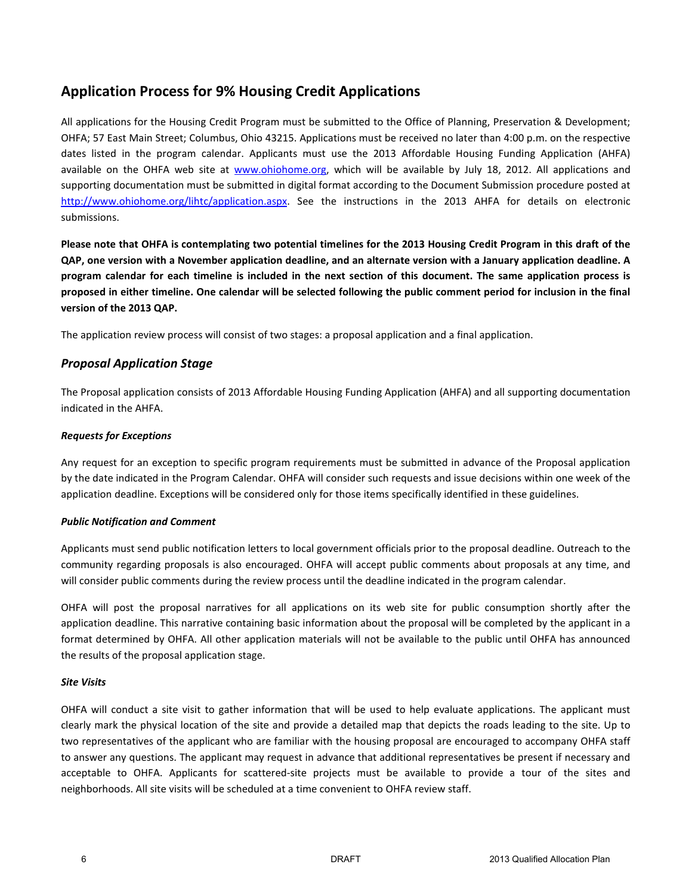# **Application Process for 9% Housing Credit Applications**

All applications for the Housing Credit Program must be submitted to the Office of Planning, Preservation & Development; OHFA; 57 East Main Street; Columbus, Ohio 43215. Applications must be received no later than 4:00 p.m. on the respective dates listed in the program calendar. Applicants must use the 2013 Affordable Housing Funding Application (AHFA) available on the OHFA web site at www.ohiohome.org, which will be available by July 18, 2012. All applications and supporting documentation must be submitted in digital format according to the Document Submission procedure posted at http://www.ohiohome.org/lihtc/application.aspx. See the instructions in the 2013 AHFA for details on electronic submissions.

**Please note that OHFA is contemplating two potential timelines for the 2013 Housing Credit Program in this draft of the QAP, one version with a November application deadline, and an alternate version with a January application deadline. A program calendar for each timeline is included in the next section of this document. The same application process is proposed in either timeline. One calendar will be selected following the public comment period for inclusion in the final version of the 2013 QAP.**

The application review process will consist of two stages: a proposal application and a final application.

# *Proposal Application Stage*

The Proposal application consists of 2013 Affordable Housing Funding Application (AHFA) and all supporting documentation indicated in the AHFA.

#### *Requests for Exceptions*

Any request for an exception to specific program requirements must be submitted in advance of the Proposal application by the date indicated in the Program Calendar. OHFA will consider such requests and issue decisions within one week of the application deadline. Exceptions will be considered only for those items specifically identified in these guidelines.

#### *Public Notification and Comment*

Applicants must send public notification letters to local government officials prior to the proposal deadline. Outreach to the community regarding proposals is also encouraged. OHFA will accept public comments about proposals at any time, and will consider public comments during the review process until the deadline indicated in the program calendar.

OHFA will post the proposal narratives for all applications on its web site for public consumption shortly after the application deadline. This narrative containing basic information about the proposal will be completed by the applicant in a format determined by OHFA. All other application materials will not be available to the public until OHFA has announced the results of the proposal application stage.

#### *Site Visits*

OHFA will conduct a site visit to gather information that will be used to help evaluate applications. The applicant must clearly mark the physical location of the site and provide a detailed map that depicts the roads leading to the site. Up to two representatives of the applicant who are familiar with the housing proposal are encouraged to accompany OHFA staff to answer any questions. The applicant may request in advance that additional representatives be present if necessary and acceptable to OHFA. Applicants for scattered-site projects must be available to provide a tour of the sites and neighborhoods. All site visits will be scheduled at a time convenient to OHFA review staff.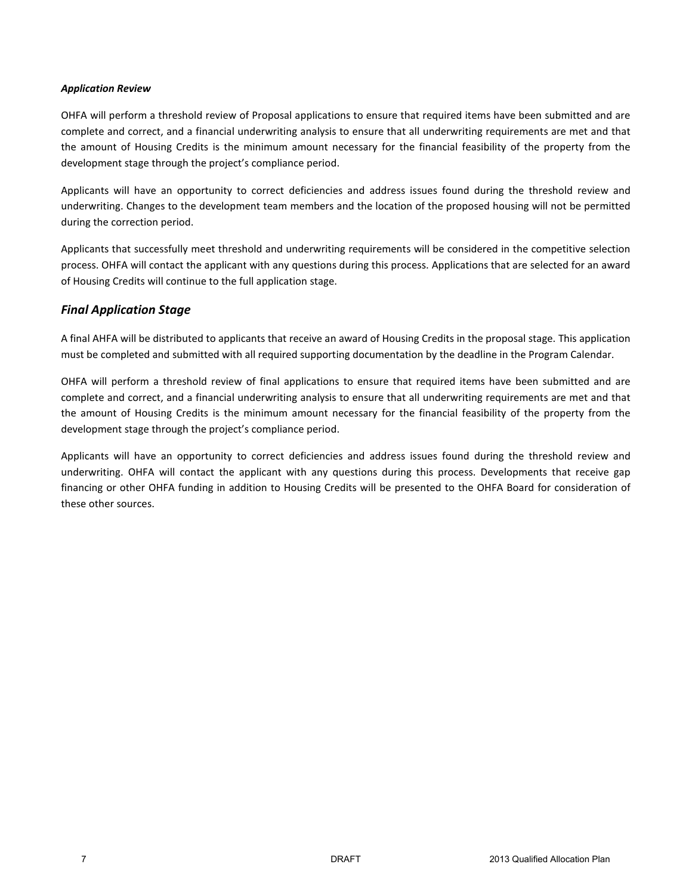#### *Application Review*

OHFA will perform a threshold review of Proposal applications to ensure that required items have been submitted and are complete and correct, and a financial underwriting analysis to ensure that all underwriting requirements are met and that the amount of Housing Credits is the minimum amount necessary for the financial feasibility of the property from the development stage through the project's compliance period.

Applicants will have an opportunity to correct deficiencies and address issues found during the threshold review and underwriting. Changes to the development team members and the location of the proposed housing will not be permitted during the correction period.

Applicants that successfully meet threshold and underwriting requirements will be considered in the competitive selection process. OHFA will contact the applicant with any questions during this process. Applications that are selected for an award of Housing Credits will continue to the full application stage.

# *Final Application Stage*

A final AHFA will be distributed to applicants that receive an award of Housing Credits in the proposal stage. This application must be completed and submitted with all required supporting documentation by the deadline in the Program Calendar.

OHFA will perform a threshold review of final applications to ensure that required items have been submitted and are complete and correct, and a financial underwriting analysis to ensure that all underwriting requirements are met and that the amount of Housing Credits is the minimum amount necessary for the financial feasibility of the property from the development stage through the project's compliance period.

Applicants will have an opportunity to correct deficiencies and address issues found during the threshold review and underwriting. OHFA will contact the applicant with any questions during this process. Developments that receive gap financing or other OHFA funding in addition to Housing Credits will be presented to the OHFA Board for consideration of these other sources.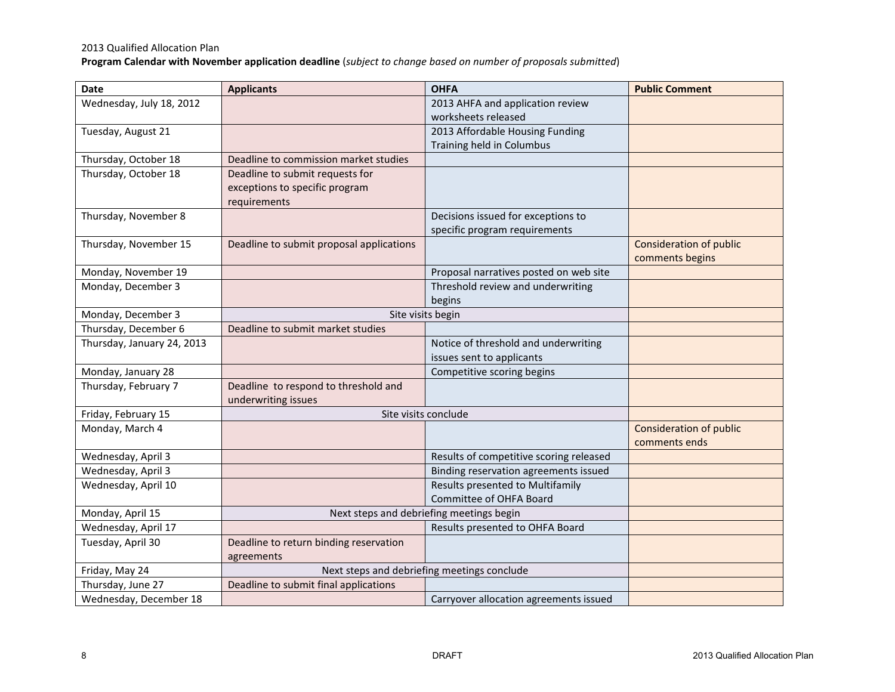# 2013 Qualified Allocation Plan

**Program Calendar with November application deadline** (*subject to change based on number of proposals submitted*)

| Date                       | <b>Applicants</b>                                    | <b>OHFA</b>                                 | <b>Public Comment</b>          |
|----------------------------|------------------------------------------------------|---------------------------------------------|--------------------------------|
| Wednesday, July 18, 2012   |                                                      | 2013 AHFA and application review            |                                |
|                            |                                                      | worksheets released                         |                                |
| Tuesday, August 21         |                                                      | 2013 Affordable Housing Funding             |                                |
|                            |                                                      | Training held in Columbus                   |                                |
| Thursday, October 18       | Deadline to commission market studies                |                                             |                                |
| Thursday, October 18       | Deadline to submit requests for                      |                                             |                                |
|                            | exceptions to specific program                       |                                             |                                |
|                            | requirements                                         |                                             |                                |
| Thursday, November 8       |                                                      | Decisions issued for exceptions to          |                                |
|                            |                                                      | specific program requirements               |                                |
| Thursday, November 15      | Deadline to submit proposal applications             |                                             | <b>Consideration of public</b> |
|                            |                                                      |                                             | comments begins                |
| Monday, November 19        |                                                      | Proposal narratives posted on web site      |                                |
| Monday, December 3         |                                                      | Threshold review and underwriting           |                                |
|                            |                                                      | begins                                      |                                |
| Monday, December 3         |                                                      | Site visits begin                           |                                |
| Thursday, December 6       | Deadline to submit market studies                    |                                             |                                |
| Thursday, January 24, 2013 |                                                      | Notice of threshold and underwriting        |                                |
|                            |                                                      | issues sent to applicants                   |                                |
| Monday, January 28         |                                                      | Competitive scoring begins                  |                                |
| Thursday, February 7       | Deadline to respond to threshold and                 |                                             |                                |
|                            | underwriting issues                                  |                                             |                                |
| Friday, February 15        |                                                      | Site visits conclude                        |                                |
| Monday, March 4            |                                                      |                                             | <b>Consideration of public</b> |
|                            |                                                      |                                             | comments ends                  |
| Wednesday, April 3         |                                                      | Results of competitive scoring released     |                                |
| Wednesday, April 3         |                                                      | Binding reservation agreements issued       |                                |
| Wednesday, April 10        |                                                      | Results presented to Multifamily            |                                |
|                            |                                                      | Committee of OHFA Board                     |                                |
| Monday, April 15           |                                                      | Next steps and debriefing meetings begin    |                                |
| Wednesday, April 17        |                                                      | Results presented to OHFA Board             |                                |
| Tuesday, April 30          | Deadline to return binding reservation<br>agreements |                                             |                                |
| Friday, May 24             |                                                      | Next steps and debriefing meetings conclude |                                |
| Thursday, June 27          | Deadline to submit final applications                |                                             |                                |
| Wednesday, December 18     |                                                      | Carryover allocation agreements issued      |                                |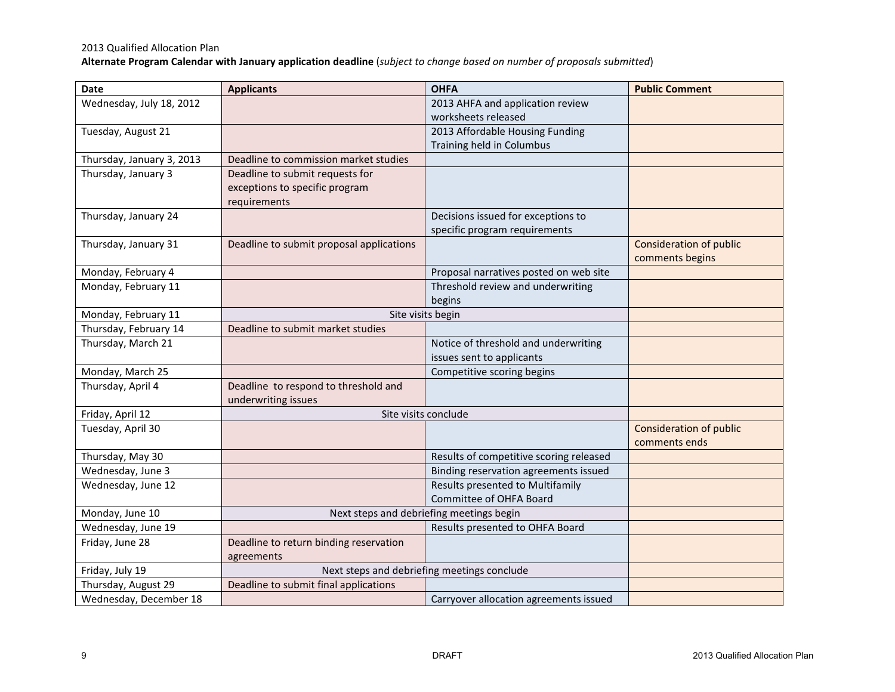# 2013 Qualified Allocation Plan

**Alternate Program Calendar with January application deadline** (*subject to change based on number of proposals submitted*)

| <b>Date</b>               | <b>Applicants</b>                        | <b>OHFA</b>                                 | <b>Public Comment</b>          |
|---------------------------|------------------------------------------|---------------------------------------------|--------------------------------|
| Wednesday, July 18, 2012  |                                          | 2013 AHFA and application review            |                                |
|                           |                                          | worksheets released                         |                                |
| Tuesday, August 21        |                                          | 2013 Affordable Housing Funding             |                                |
|                           |                                          | Training held in Columbus                   |                                |
| Thursday, January 3, 2013 | Deadline to commission market studies    |                                             |                                |
| Thursday, January 3       | Deadline to submit requests for          |                                             |                                |
|                           | exceptions to specific program           |                                             |                                |
|                           | requirements                             |                                             |                                |
| Thursday, January 24      |                                          | Decisions issued for exceptions to          |                                |
|                           |                                          | specific program requirements               |                                |
| Thursday, January 31      | Deadline to submit proposal applications |                                             | <b>Consideration of public</b> |
|                           |                                          |                                             | comments begins                |
| Monday, February 4        |                                          | Proposal narratives posted on web site      |                                |
| Monday, February 11       |                                          | Threshold review and underwriting           |                                |
|                           |                                          | begins                                      |                                |
| Monday, February 11       |                                          | Site visits begin                           |                                |
| Thursday, February 14     | Deadline to submit market studies        |                                             |                                |
| Thursday, March 21        |                                          | Notice of threshold and underwriting        |                                |
|                           |                                          | issues sent to applicants                   |                                |
| Monday, March 25          |                                          | Competitive scoring begins                  |                                |
| Thursday, April 4         | Deadline to respond to threshold and     |                                             |                                |
|                           | underwriting issues                      |                                             |                                |
| Friday, April 12          |                                          | Site visits conclude                        |                                |
| Tuesday, April 30         |                                          |                                             | <b>Consideration of public</b> |
|                           |                                          |                                             | comments ends                  |
| Thursday, May 30          |                                          | Results of competitive scoring released     |                                |
| Wednesday, June 3         |                                          | Binding reservation agreements issued       |                                |
| Wednesday, June 12        |                                          | Results presented to Multifamily            |                                |
|                           |                                          | Committee of OHFA Board                     |                                |
| Monday, June 10           |                                          | Next steps and debriefing meetings begin    |                                |
| Wednesday, June 19        |                                          | Results presented to OHFA Board             |                                |
| Friday, June 28           | Deadline to return binding reservation   |                                             |                                |
|                           | agreements                               |                                             |                                |
| Friday, July 19           |                                          | Next steps and debriefing meetings conclude |                                |
| Thursday, August 29       | Deadline to submit final applications    |                                             |                                |
| Wednesday, December 18    |                                          | Carryover allocation agreements issued      |                                |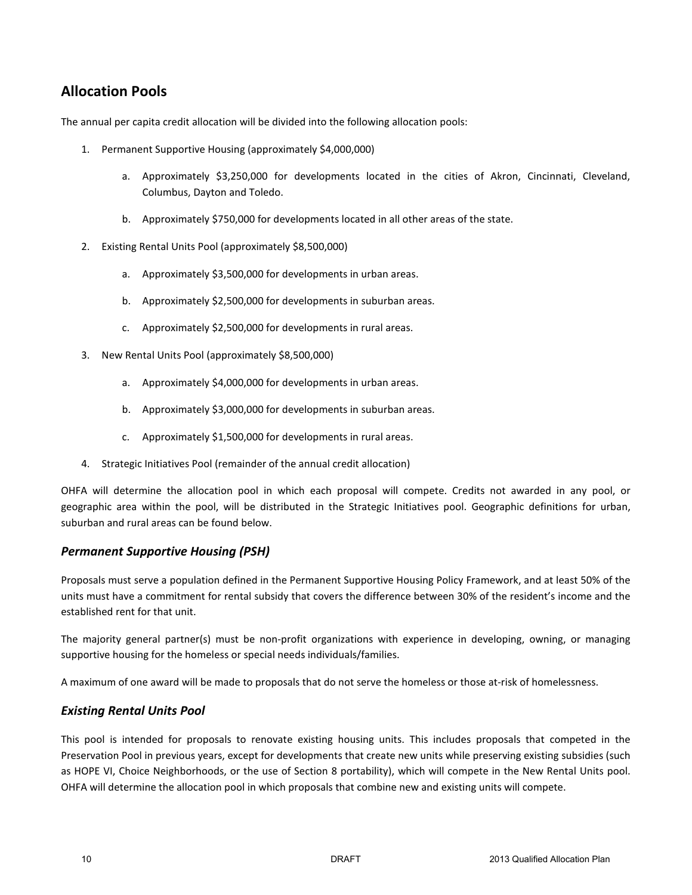# **Allocation Pools**

The annual per capita credit allocation will be divided into the following allocation pools:

- 1. Permanent Supportive Housing (approximately \$4,000,000)
	- a. Approximately \$3,250,000 for developments located in the cities of Akron, Cincinnati, Cleveland, Columbus, Dayton and Toledo.
	- b. Approximately \$750,000 for developments located in all other areas of the state.
- 2. Existing Rental Units Pool (approximately \$8,500,000)
	- a. Approximately \$3,500,000 for developments in urban areas.
	- b. Approximately \$2,500,000 for developments in suburban areas.
	- c. Approximately \$2,500,000 for developments in rural areas.
- 3. New Rental Units Pool (approximately \$8,500,000)
	- a. Approximately \$4,000,000 for developments in urban areas.
	- b. Approximately \$3,000,000 for developments in suburban areas.
	- c. Approximately \$1,500,000 for developments in rural areas.
- 4. Strategic Initiatives Pool (remainder of the annual credit allocation)

OHFA will determine the allocation pool in which each proposal will compete. Credits not awarded in any pool, or geographic area within the pool, will be distributed in the Strategic Initiatives pool. Geographic definitions for urban, suburban and rural areas can be found below.

## *Permanent Supportive Housing (PSH)*

Proposals must serve a population defined in the Permanent Supportive Housing Policy Framework, and at least 50% of the units must have a commitment for rental subsidy that covers the difference between 30% of the resident's income and the established rent for that unit.

The majority general partner(s) must be non-profit organizations with experience in developing, owning, or managing supportive housing for the homeless or special needs individuals/families.

A maximum of one award will be made to proposals that do not serve the homeless or those at-risk of homelessness.

## *Existing Rental Units Pool*

This pool is intended for proposals to renovate existing housing units. This includes proposals that competed in the Preservation Pool in previous years, except for developments that create new units while preserving existing subsidies (such as HOPE VI, Choice Neighborhoods, or the use of Section 8 portability), which will compete in the New Rental Units pool. OHFA will determine the allocation pool in which proposals that combine new and existing units will compete.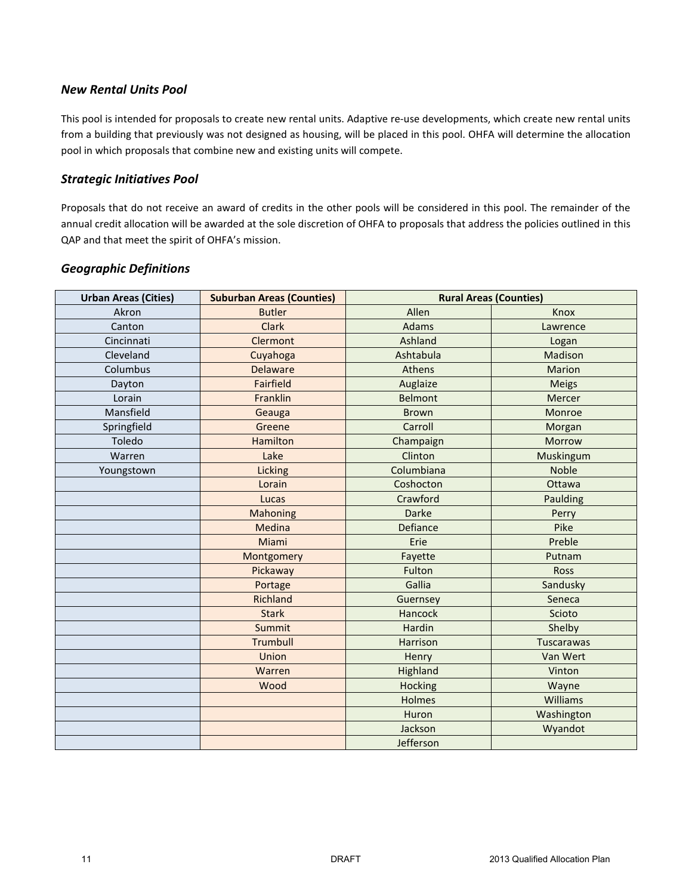# *New Rental Units Pool*

This pool is intended for proposals to create new rental units. Adaptive re-use developments, which create new rental units from a building that previously was not designed as housing, will be placed in this pool. OHFA will determine the allocation pool in which proposals that combine new and existing units will compete.

## *Strategic Initiatives Pool*

Proposals that do not receive an award of credits in the other pools will be considered in this pool. The remainder of the annual credit allocation will be awarded at the sole discretion of OHFA to proposals that address the policies outlined in this QAP and that meet the spirit of OHFA's mission.

| <b>Urban Areas (Cities)</b> | <b>Suburban Areas (Counties)</b> | <b>Rural Areas (Counties)</b> |                   |
|-----------------------------|----------------------------------|-------------------------------|-------------------|
| Akron                       | <b>Butler</b>                    | Allen                         | Knox              |
| Canton                      | <b>Clark</b>                     | Adams                         | Lawrence          |
| Cincinnati                  | Clermont                         | Ashland                       | Logan             |
| Cleveland                   | Cuyahoga                         | Ashtabula                     | Madison           |
| Columbus                    | <b>Delaware</b>                  | Athens                        | <b>Marion</b>     |
| Dayton                      | <b>Fairfield</b>                 | Auglaize                      | <b>Meigs</b>      |
| Lorain                      | Franklin                         | <b>Belmont</b>                | Mercer            |
| Mansfield                   | Geauga                           | <b>Brown</b>                  | Monroe            |
| Springfield                 | Greene                           | Carroll                       | Morgan            |
| Toledo                      | <b>Hamilton</b>                  | Champaign                     | Morrow            |
| Warren                      | Lake                             | Clinton                       | Muskingum         |
| Youngstown                  | Licking                          | Columbiana                    | <b>Noble</b>      |
|                             | Lorain                           | Coshocton                     | Ottawa            |
|                             | Lucas                            | Crawford                      | Paulding          |
|                             | Mahoning                         | Darke                         | Perry             |
|                             | Medina                           | Defiance                      | Pike              |
|                             | Miami                            | Erie                          | Preble            |
|                             | Montgomery                       | Fayette                       | Putnam            |
|                             | Pickaway                         | Fulton                        | <b>Ross</b>       |
|                             | Portage                          | Gallia                        | Sandusky          |
|                             | Richland                         | Guernsey                      | Seneca            |
|                             | <b>Stark</b>                     | Hancock                       | Scioto            |
|                             | Summit                           | Hardin                        | Shelby            |
|                             | <b>Trumbull</b>                  | Harrison                      | <b>Tuscarawas</b> |
|                             | Union                            | Henry                         | Van Wert          |
|                             | Warren                           | Highland                      | Vinton            |
|                             | Wood                             | <b>Hocking</b>                | Wayne             |
|                             |                                  | Holmes                        | Williams          |
|                             |                                  | Huron                         | Washington        |
|                             |                                  | Jackson                       | Wyandot           |
|                             |                                  | Jefferson                     |                   |

# *Geographic Definitions*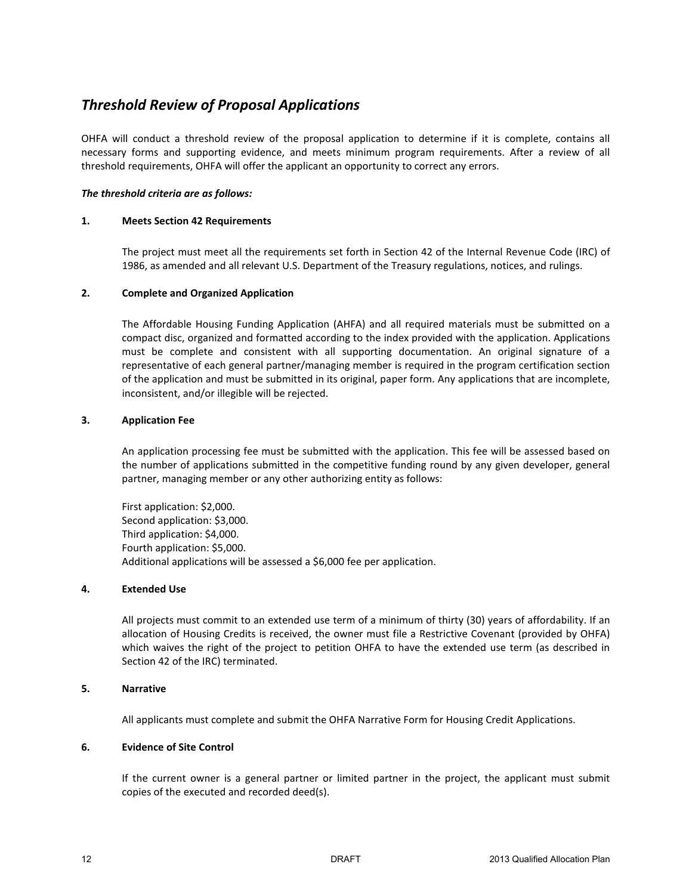# *Threshold Review of Proposal Applications*

OHFA will conduct a threshold review of the proposal application to determine if it is complete, contains all necessary forms and supporting evidence, and meets minimum program requirements. After a review of all threshold requirements, OHFA will offer the applicant an opportunity to correct any errors.

#### *The threshold criteria are as follows:*

#### **1. Meets Section 42 Requirements**

The project must meet all the requirements set forth in Section 42 of the Internal Revenue Code (IRC) of 1986, as amended and all relevant U.S. Department of the Treasury regulations, notices, and rulings.

#### **2. Complete and Organized Application**

The Affordable Housing Funding Application (AHFA) and all required materials must be submitted on a compact disc, organized and formatted according to the index provided with the application. Applications must be complete and consistent with all supporting documentation. An original signature of a representative of each general partner/managing member is required in the program certification section of the application and must be submitted in its original, paper form. Any applications that are incomplete, inconsistent, and/or illegible will be rejected.

#### **3. Application Fee**

An application processing fee must be submitted with the application. This fee will be assessed based on the number of applications submitted in the competitive funding round by any given developer, general partner, managing member or any other authorizing entity as follows:

First application: \$2,000. Second application: \$3,000. Third application: \$4,000. Fourth application: \$5,000. Additional applications will be assessed a \$6,000 fee per application.

#### **4. Extended Use**

All projects must commit to an extended use term of a minimum of thirty (30) years of affordability. If an allocation of Housing Credits is received, the owner must file a Restrictive Covenant (provided by OHFA) which waives the right of the project to petition OHFA to have the extended use term (as described in Section 42 of the IRC) terminated.

#### **5. Narrative**

All applicants must complete and submit the OHFA Narrative Form for Housing Credit Applications.

#### **6. Evidence of Site Control**

If the current owner is a general partner or limited partner in the project, the applicant must submit copies of the executed and recorded deed(s).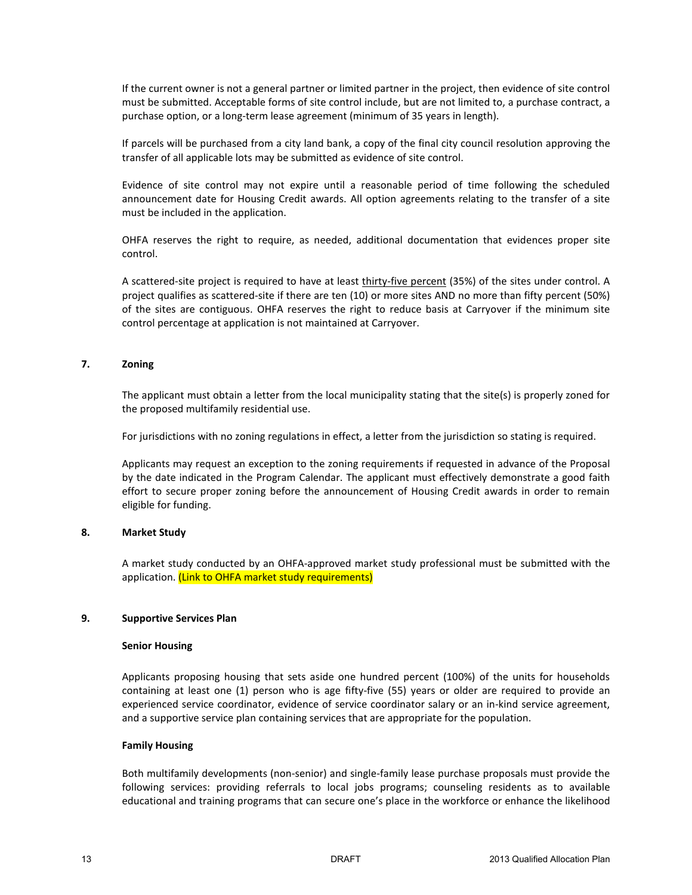If the current owner is not a general partner or limited partner in the project, then evidence of site control must be submitted. Acceptable forms of site control include, but are not limited to, a purchase contract, a purchase option, or a long-term lease agreement (minimum of 35 years in length).

If parcels will be purchased from a city land bank, a copy of the final city council resolution approving the transfer of all applicable lots may be submitted as evidence of site control.

Evidence of site control may not expire until a reasonable period of time following the scheduled announcement date for Housing Credit awards. All option agreements relating to the transfer of a site must be included in the application.

OHFA reserves the right to require, as needed, additional documentation that evidences proper site control.

A scattered-site project is required to have at least thirty-five percent (35%) of the sites under control. A project qualifies as scattered-site if there are ten (10) or more sites AND no more than fifty percent (50%) of the sites are contiguous. OHFA reserves the right to reduce basis at Carryover if the minimum site control percentage at application is not maintained at Carryover.

#### **7. Zoning**

The applicant must obtain a letter from the local municipality stating that the site(s) is properly zoned for the proposed multifamily residential use.

For jurisdictions with no zoning regulations in effect, a letter from the jurisdiction so stating is required.

Applicants may request an exception to the zoning requirements if requested in advance of the Proposal by the date indicated in the Program Calendar. The applicant must effectively demonstrate a good faith effort to secure proper zoning before the announcement of Housing Credit awards in order to remain eligible for funding.

#### **8. Market Study**

A market study conducted by an OHFA-approved market study professional must be submitted with the application. (Link to OHFA market study requirements)

#### **9. Supportive Services Plan**

#### **Senior Housing**

Applicants proposing housing that sets aside one hundred percent (100%) of the units for households containing at least one (1) person who is age fifty-five (55) years or older are required to provide an experienced service coordinator, evidence of service coordinator salary or an in-kind service agreement, and a supportive service plan containing services that are appropriate for the population.

#### **Family Housing**

Both multifamily developments (non-senior) and single-family lease purchase proposals must provide the following services: providing referrals to local jobs programs; counseling residents as to available educational and training programs that can secure one's place in the workforce or enhance the likelihood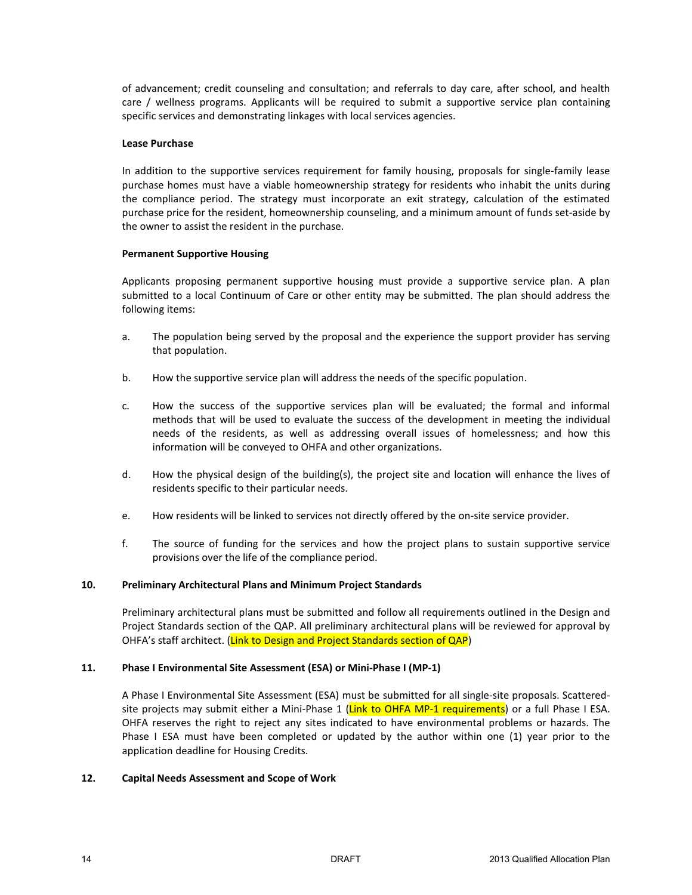of advancement; credit counseling and consultation; and referrals to day care, after school, and health care / wellness programs. Applicants will be required to submit a supportive service plan containing specific services and demonstrating linkages with local services agencies.

#### **Lease Purchase**

In addition to the supportive services requirement for family housing, proposals for single-family lease purchase homes must have a viable homeownership strategy for residents who inhabit the units during the compliance period. The strategy must incorporate an exit strategy, calculation of the estimated purchase price for the resident, homeownership counseling, and a minimum amount of funds set-aside by the owner to assist the resident in the purchase.

#### **Permanent Supportive Housing**

Applicants proposing permanent supportive housing must provide a supportive service plan. A plan submitted to a local Continuum of Care or other entity may be submitted. The plan should address the following items:

- a. The population being served by the proposal and the experience the support provider has serving that population.
- b. How the supportive service plan will address the needs of the specific population.
- c. How the success of the supportive services plan will be evaluated; the formal and informal methods that will be used to evaluate the success of the development in meeting the individual needs of the residents, as well as addressing overall issues of homelessness; and how this information will be conveyed to OHFA and other organizations.
- d. How the physical design of the building(s), the project site and location will enhance the lives of residents specific to their particular needs.
- e. How residents will be linked to services not directly offered by the on-site service provider.
- f. The source of funding for the services and how the project plans to sustain supportive service provisions over the life of the compliance period.

#### **10. Preliminary Architectural Plans and Minimum Project Standards**

Preliminary architectural plans must be submitted and follow all requirements outlined in the Design and Project Standards section of the QAP. All preliminary architectural plans will be reviewed for approval by OHFA's staff architect. (Link to Design and Project Standards section of QAP)

#### **11. Phase I Environmental Site Assessment (ESA) or Mini-Phase I (MP-1)**

A Phase I Environmental Site Assessment (ESA) must be submitted for all single-site proposals. Scatteredsite projects may submit either a Mini-Phase 1 (Link to OHFA MP-1 requirements) or a full Phase I ESA. OHFA reserves the right to reject any sites indicated to have environmental problems or hazards. The Phase I ESA must have been completed or updated by the author within one (1) year prior to the application deadline for Housing Credits.

#### **12. Capital Needs Assessment and Scope of Work**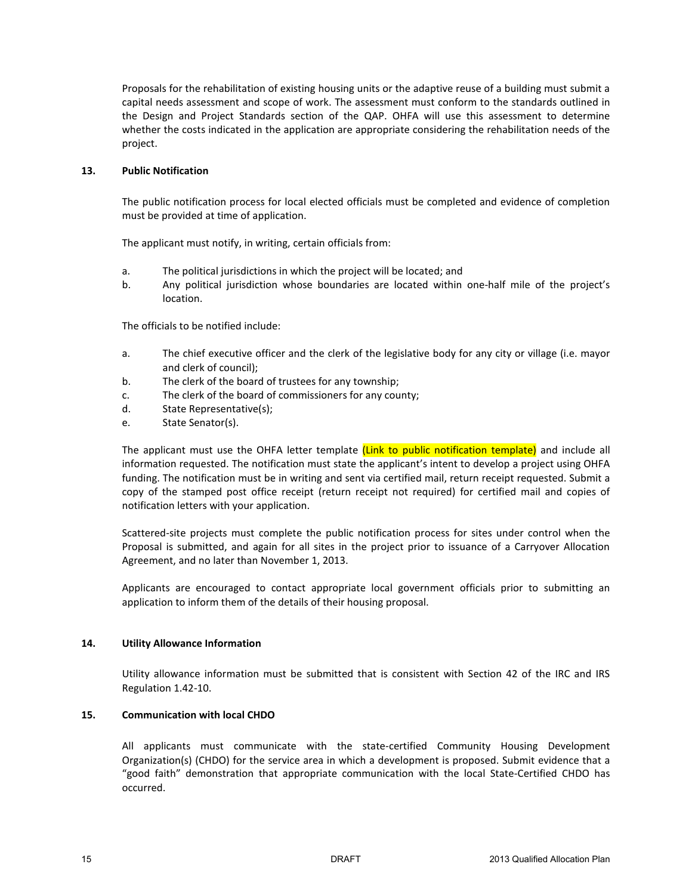Proposals for the rehabilitation of existing housing units or the adaptive reuse of a building must submit a capital needs assessment and scope of work. The assessment must conform to the standards outlined in the Design and Project Standards section of the QAP. OHFA will use this assessment to determine whether the costs indicated in the application are appropriate considering the rehabilitation needs of the project.

#### **13. Public Notification**

The public notification process for local elected officials must be completed and evidence of completion must be provided at time of application.

The applicant must notify, in writing, certain officials from:

- a. The political jurisdictions in which the project will be located; and
- b. Any political jurisdiction whose boundaries are located within one-half mile of the project's location.

The officials to be notified include:

- a. The chief executive officer and the clerk of the legislative body for any city or village (i.e. mayor and clerk of council);
- b. The clerk of the board of trustees for any township;
- c. The clerk of the board of commissioners for any county;
- d. State Representative(s);
- e. State Senator(s).

The applicant must use the OHFA letter template *(Link to public notification template)* and include all information requested. The notification must state the applicant's intent to develop a project using OHFA funding. The notification must be in writing and sent via certified mail, return receipt requested. Submit a copy of the stamped post office receipt (return receipt not required) for certified mail and copies of notification letters with your application.

Scattered-site projects must complete the public notification process for sites under control when the Proposal is submitted, and again for all sites in the project prior to issuance of a Carryover Allocation Agreement, and no later than November 1, 2013.

Applicants are encouraged to contact appropriate local government officials prior to submitting an application to inform them of the details of their housing proposal.

#### **14. Utility Allowance Information**

Utility allowance information must be submitted that is consistent with Section 42 of the IRC and IRS Regulation 1.42-10.

#### **15. Communication with local CHDO**

All applicants must communicate with the state-certified Community Housing Development Organization(s) (CHDO) for the service area in which a development is proposed. Submit evidence that a "good faith" demonstration that appropriate communication with the local State-Certified CHDO has occurred.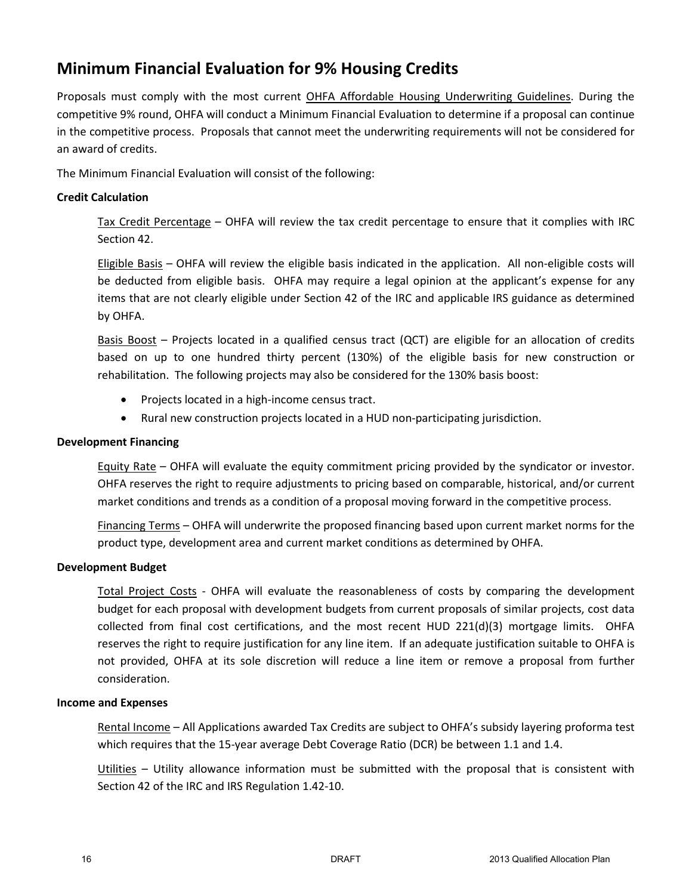# **Minimum Financial Evaluation for 9% Housing Credits**

Proposals must comply with the most current OHFA Affordable Housing Underwriting Guidelines. During the competitive 9% round, OHFA will conduct a Minimum Financial Evaluation to determine if a proposal can continue in the competitive process. Proposals that cannot meet the underwriting requirements will not be considered for an award of credits.

The Minimum Financial Evaluation will consist of the following:

## **Credit Calculation**

Tax Credit Percentage – OHFA will review the tax credit percentage to ensure that it complies with IRC Section 42.

Eligible Basis – OHFA will review the eligible basis indicated in the application. All non-eligible costs will be deducted from eligible basis. OHFA may require a legal opinion at the applicant's expense for any items that are not clearly eligible under Section 42 of the IRC and applicable IRS guidance as determined by OHFA.

Basis Boost – Projects located in a qualified census tract (QCT) are eligible for an allocation of credits based on up to one hundred thirty percent (130%) of the eligible basis for new construction or rehabilitation. The following projects may also be considered for the 130% basis boost:

- Projects located in a high-income census tract.
- Rural new construction projects located in a HUD non-participating jurisdiction.

### **Development Financing**

Equity Rate – OHFA will evaluate the equity commitment pricing provided by the syndicator or investor. OHFA reserves the right to require adjustments to pricing based on comparable, historical, and/or current market conditions and trends as a condition of a proposal moving forward in the competitive process.

Financing Terms – OHFA will underwrite the proposed financing based upon current market norms for the product type, development area and current market conditions as determined by OHFA.

## **Development Budget**

Total Project Costs - OHFA will evaluate the reasonableness of costs by comparing the development budget for each proposal with development budgets from current proposals of similar projects, cost data collected from final cost certifications, and the most recent HUD 221(d)(3) mortgage limits. OHFA reserves the right to require justification for any line item. If an adequate justification suitable to OHFA is not provided, OHFA at its sole discretion will reduce a line item or remove a proposal from further consideration.

#### **Income and Expenses**

Rental Income – All Applications awarded Tax Credits are subject to OHFA's subsidy layering proforma test which requires that the 15-year average Debt Coverage Ratio (DCR) be between 1.1 and 1.4.

Utilities – Utility allowance information must be submitted with the proposal that is consistent with Section 42 of the IRC and IRS Regulation 1.42-10.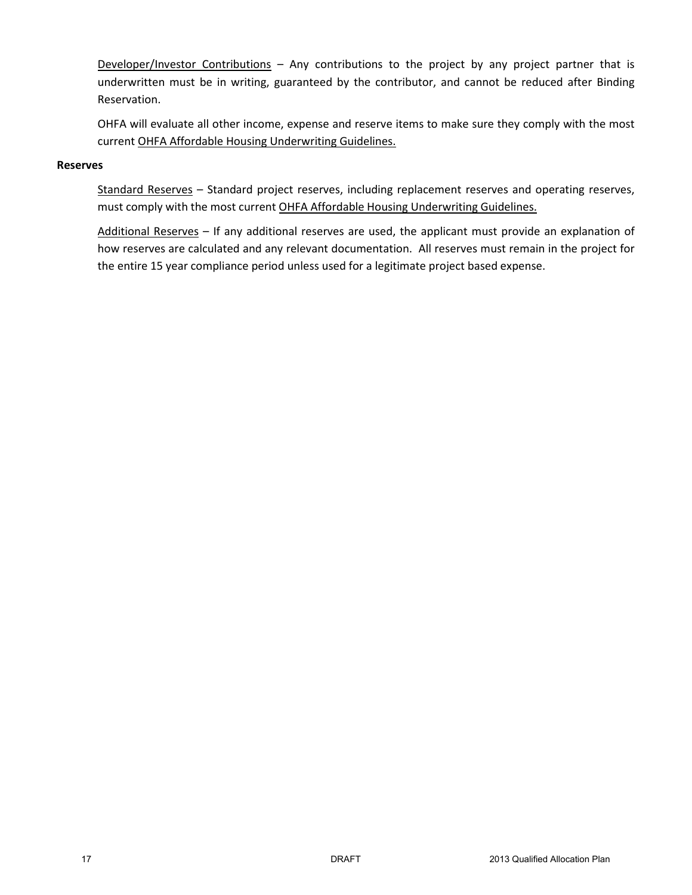Developer/Investor Contributions – Any contributions to the project by any project partner that is underwritten must be in writing, guaranteed by the contributor, and cannot be reduced after Binding Reservation.

OHFA will evaluate all other income, expense and reserve items to make sure they comply with the most current OHFA Affordable Housing Underwriting Guidelines.

#### **Reserves**

Standard Reserves – Standard project reserves, including replacement reserves and operating reserves, must comply with the most current OHFA Affordable Housing Underwriting Guidelines.

Additional Reserves – If any additional reserves are used, the applicant must provide an explanation of how reserves are calculated and any relevant documentation. All reserves must remain in the project for the entire 15 year compliance period unless used for a legitimate project based expense.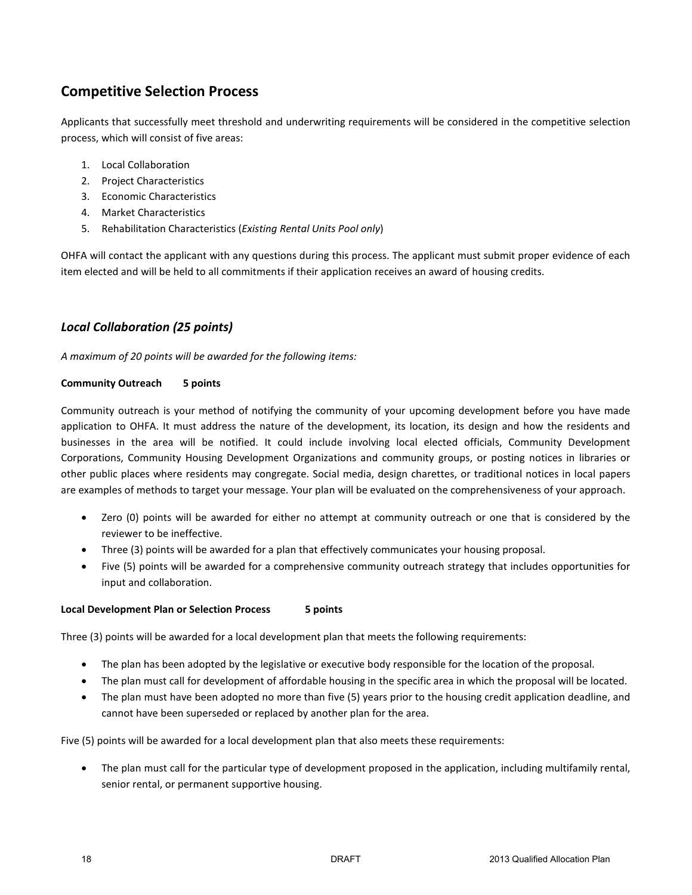# **Competitive Selection Process**

Applicants that successfully meet threshold and underwriting requirements will be considered in the competitive selection process, which will consist of five areas:

- 1. Local Collaboration
- 2. Project Characteristics
- 3. Economic Characteristics
- 4. Market Characteristics
- 5. Rehabilitation Characteristics (*Existing Rental Units Pool only*)

OHFA will contact the applicant with any questions during this process. The applicant must submit proper evidence of each item elected and will be held to all commitments if their application receives an award of housing credits.

# *Local Collaboration (25 points)*

*A maximum of 20 points will be awarded for the following items:*

#### **Community Outreach 5 points**

Community outreach is your method of notifying the community of your upcoming development before you have made application to OHFA. It must address the nature of the development, its location, its design and how the residents and businesses in the area will be notified. It could include involving local elected officials, Community Development Corporations, Community Housing Development Organizations and community groups, or posting notices in libraries or other public places where residents may congregate. Social media, design charettes, or traditional notices in local papers are examples of methods to target your message. Your plan will be evaluated on the comprehensiveness of your approach.

- Zero (0) points will be awarded for either no attempt at community outreach or one that is considered by the reviewer to be ineffective.
- Three (3) points will be awarded for a plan that effectively communicates your housing proposal.
- Five (5) points will be awarded for a comprehensive community outreach strategy that includes opportunities for input and collaboration.

#### **Local Development Plan or Selection Process 5 points**

Three (3) points will be awarded for a local development plan that meets the following requirements:

- The plan has been adopted by the legislative or executive body responsible for the location of the proposal.
- The plan must call for development of affordable housing in the specific area in which the proposal will be located.
- The plan must have been adopted no more than five (5) years prior to the housing credit application deadline, and cannot have been superseded or replaced by another plan for the area.

Five (5) points will be awarded for a local development plan that also meets these requirements:

• The plan must call for the particular type of development proposed in the application, including multifamily rental, senior rental, or permanent supportive housing.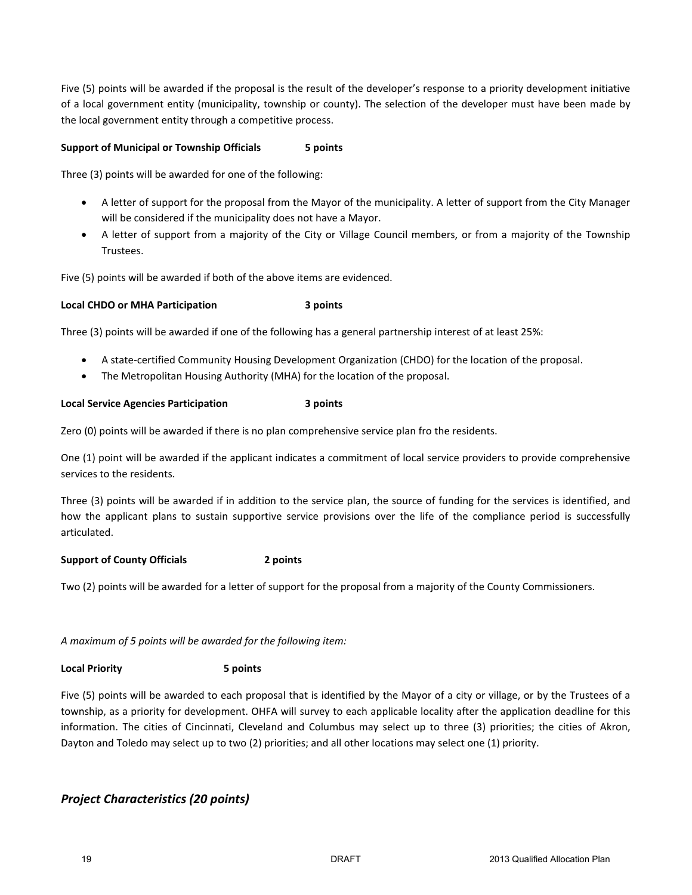Five (5) points will be awarded if the proposal is the result of the developer's response to a priority development initiative of a local government entity (municipality, township or county). The selection of the developer must have been made by the local government entity through a competitive process.

#### **Support of Municipal or Township Officials 5 points**

Three (3) points will be awarded for one of the following:

- A letter of support for the proposal from the Mayor of the municipality. A letter of support from the City Manager will be considered if the municipality does not have a Mayor.
- A letter of support from a majority of the City or Village Council members, or from a majority of the Township Trustees.

Five (5) points will be awarded if both of the above items are evidenced.

#### **Local CHDO or MHA Participation 3 points**

Three (3) points will be awarded if one of the following has a general partnership interest of at least 25%:

- A state-certified Community Housing Development Organization (CHDO) for the location of the proposal.
- The Metropolitan Housing Authority (MHA) for the location of the proposal.

#### **Local Service Agencies Participation 3 points**

Zero (0) points will be awarded if there is no plan comprehensive service plan fro the residents.

One (1) point will be awarded if the applicant indicates a commitment of local service providers to provide comprehensive services to the residents.

Three (3) points will be awarded if in addition to the service plan, the source of funding for the services is identified, and how the applicant plans to sustain supportive service provisions over the life of the compliance period is successfully articulated.

#### **Support of County Officials 2 points**

Two (2) points will be awarded for a letter of support for the proposal from a majority of the County Commissioners.

*A maximum of 5 points will be awarded for the following item:*

#### **Local Priority 5 points**

Five (5) points will be awarded to each proposal that is identified by the Mayor of a city or village, or by the Trustees of a township, as a priority for development. OHFA will survey to each applicable locality after the application deadline for this information. The cities of Cincinnati, Cleveland and Columbus may select up to three (3) priorities; the cities of Akron, Dayton and Toledo may select up to two (2) priorities; and all other locations may select one (1) priority.

# *Project Characteristics (20 points)*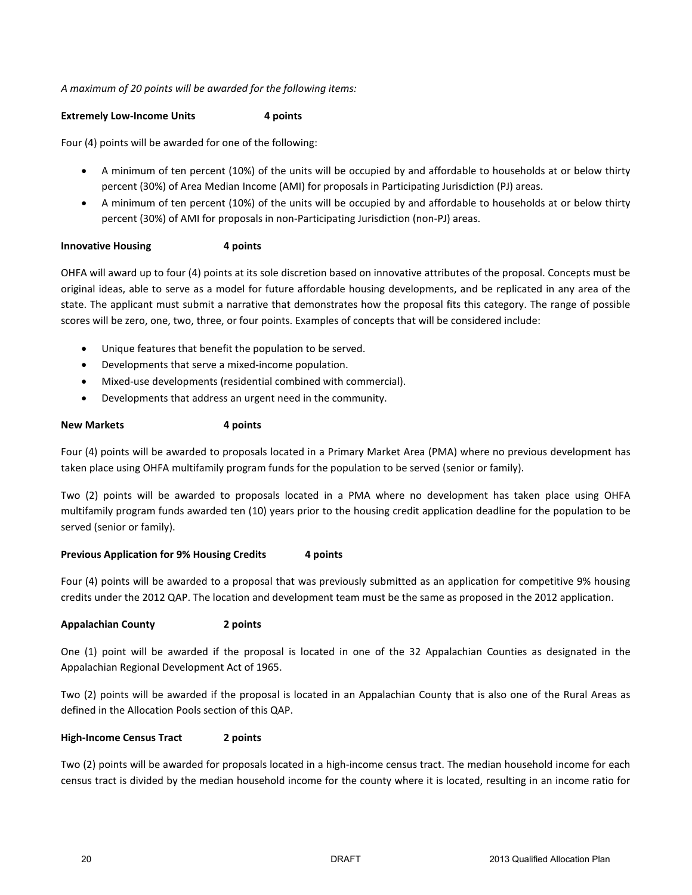#### *A maximum of 20 points will be awarded for the following items:*

#### **Extremely Low-Income Units** 4 points

Four (4) points will be awarded for one of the following:

- A minimum of ten percent (10%) of the units will be occupied by and affordable to households at or below thirty percent (30%) of Area Median Income (AMI) for proposals in Participating Jurisdiction (PJ) areas.
- A minimum of ten percent (10%) of the units will be occupied by and affordable to households at or below thirty percent (30%) of AMI for proposals in non-Participating Jurisdiction (non-PJ) areas.

#### **Innovative Housing 4 points**

OHFA will award up to four (4) points at its sole discretion based on innovative attributes of the proposal. Concepts must be original ideas, able to serve as a model for future affordable housing developments, and be replicated in any area of the state. The applicant must submit a narrative that demonstrates how the proposal fits this category. The range of possible scores will be zero, one, two, three, or four points. Examples of concepts that will be considered include:

- Unique features that benefit the population to be served.
- Developments that serve a mixed-income population.
- Mixed-use developments (residential combined with commercial).
- Developments that address an urgent need in the community.

#### **New Markets 4 points**

Four (4) points will be awarded to proposals located in a Primary Market Area (PMA) where no previous development has taken place using OHFA multifamily program funds for the population to be served (senior or family).

Two (2) points will be awarded to proposals located in a PMA where no development has taken place using OHFA multifamily program funds awarded ten (10) years prior to the housing credit application deadline for the population to be served (senior or family).

#### **Previous Application for 9% Housing Credits 4 points**

Four (4) points will be awarded to a proposal that was previously submitted as an application for competitive 9% housing credits under the 2012 QAP. The location and development team must be the same as proposed in the 2012 application.

#### **Appalachian County 2 points**

One (1) point will be awarded if the proposal is located in one of the 32 Appalachian Counties as designated in the Appalachian Regional Development Act of 1965.

Two (2) points will be awarded if the proposal is located in an Appalachian County that is also one of the Rural Areas as defined in the Allocation Pools section of this QAP.

#### **High-Income Census Tract 2 points**

Two (2) points will be awarded for proposals located in a high-income census tract. The median household income for each census tract is divided by the median household income for the county where it is located, resulting in an income ratio for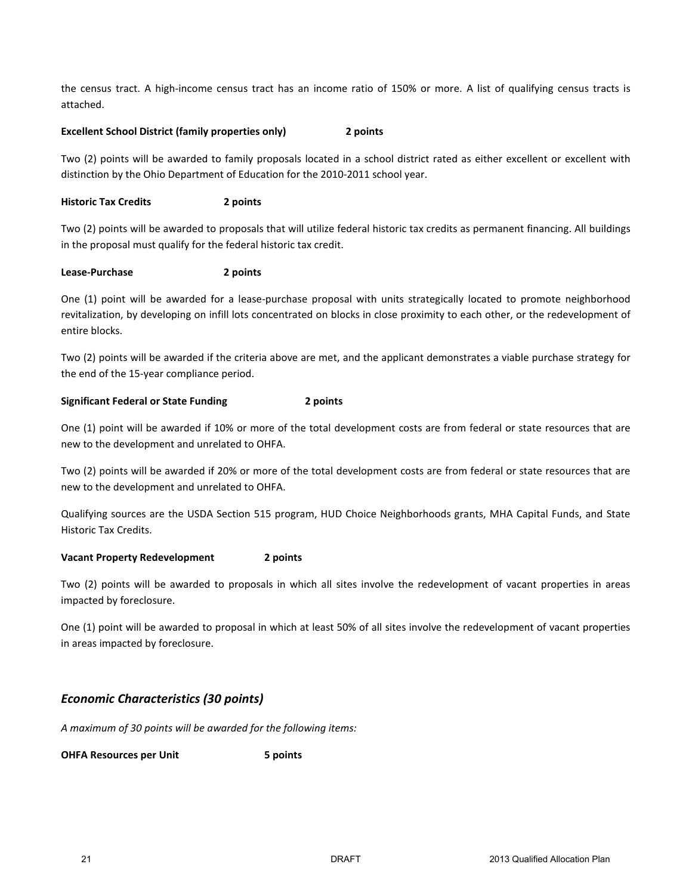the census tract. A high-income census tract has an income ratio of 150% or more. A list of qualifying census tracts is attached.

#### **Excellent School District (family properties only) 2 points**

Two (2) points will be awarded to family proposals located in a school district rated as either excellent or excellent with distinction by the Ohio Department of Education for the 2010-2011 school year.

#### **Historic Tax Credits 2 points**

Two (2) points will be awarded to proposals that will utilize federal historic tax credits as permanent financing. All buildings in the proposal must qualify for the federal historic tax credit.

#### **Lease-Purchase 2 points**

One (1) point will be awarded for a lease-purchase proposal with units strategically located to promote neighborhood revitalization, by developing on infill lots concentrated on blocks in close proximity to each other, or the redevelopment of entire blocks.

Two (2) points will be awarded if the criteria above are met, and the applicant demonstrates a viable purchase strategy for the end of the 15-year compliance period.

#### **Significant Federal or State Funding 2 points**

One (1) point will be awarded if 10% or more of the total development costs are from federal or state resources that are new to the development and unrelated to OHFA.

Two (2) points will be awarded if 20% or more of the total development costs are from federal or state resources that are new to the development and unrelated to OHFA.

Qualifying sources are the USDA Section 515 program, HUD Choice Neighborhoods grants, MHA Capital Funds, and State Historic Tax Credits.

#### **Vacant Property Redevelopment 2 points**

Two (2) points will be awarded to proposals in which all sites involve the redevelopment of vacant properties in areas impacted by foreclosure.

One (1) point will be awarded to proposal in which at least 50% of all sites involve the redevelopment of vacant properties in areas impacted by foreclosure.

## *Economic Characteristics (30 points)*

*A maximum of 30 points will be awarded for the following items:*

**OHFA Resources per Unit 5 points**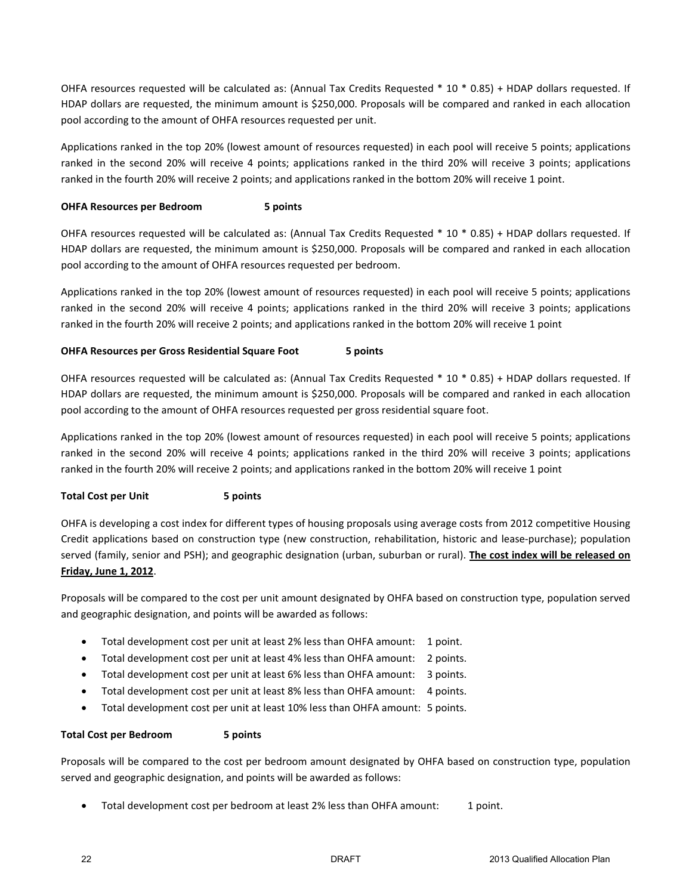OHFA resources requested will be calculated as: (Annual Tax Credits Requested \* 10 \* 0.85) + HDAP dollars requested. If HDAP dollars are requested, the minimum amount is \$250,000. Proposals will be compared and ranked in each allocation pool according to the amount of OHFA resources requested per unit.

Applications ranked in the top 20% (lowest amount of resources requested) in each pool will receive 5 points; applications ranked in the second 20% will receive 4 points; applications ranked in the third 20% will receive 3 points; applications ranked in the fourth 20% will receive 2 points; and applications ranked in the bottom 20% will receive 1 point.

#### **OHFA Resources per Bedroom 5 points**

OHFA resources requested will be calculated as: (Annual Tax Credits Requested \* 10 \* 0.85) + HDAP dollars requested. If HDAP dollars are requested, the minimum amount is \$250,000. Proposals will be compared and ranked in each allocation pool according to the amount of OHFA resources requested per bedroom.

Applications ranked in the top 20% (lowest amount of resources requested) in each pool will receive 5 points; applications ranked in the second 20% will receive 4 points; applications ranked in the third 20% will receive 3 points; applications ranked in the fourth 20% will receive 2 points; and applications ranked in the bottom 20% will receive 1 point

#### **OHFA Resources per Gross Residential Square Foot 5 points**

OHFA resources requested will be calculated as: (Annual Tax Credits Requested \* 10 \* 0.85) + HDAP dollars requested. If HDAP dollars are requested, the minimum amount is \$250,000. Proposals will be compared and ranked in each allocation pool according to the amount of OHFA resources requested per gross residential square foot.

Applications ranked in the top 20% (lowest amount of resources requested) in each pool will receive 5 points; applications ranked in the second 20% will receive 4 points; applications ranked in the third 20% will receive 3 points; applications ranked in the fourth 20% will receive 2 points; and applications ranked in the bottom 20% will receive 1 point

#### **Total Cost per Unit 5 points**

OHFA is developing a cost index for different types of housing proposals using average costs from 2012 competitive Housing Credit applications based on construction type (new construction, rehabilitation, historic and lease-purchase); population served (family, senior and PSH); and geographic designation (urban, suburban or rural). **The cost index will be released on Friday, June 1, 2012**.

Proposals will be compared to the cost per unit amount designated by OHFA based on construction type, population served and geographic designation, and points will be awarded as follows:

- Total development cost per unit at least 2% less than OHFA amount: 1 point.
- Total development cost per unit at least 4% less than OHFA amount: 2 points.
- Total development cost per unit at least 6% less than OHFA amount: 3 points.
- Total development cost per unit at least 8% less than OHFA amount: 4 points.
- Total development cost per unit at least 10% less than OHFA amount: 5 points.

#### **Total Cost per Bedroom 5 points**

Proposals will be compared to the cost per bedroom amount designated by OHFA based on construction type, population served and geographic designation, and points will be awarded as follows:

• Total development cost per bedroom at least 2% less than OHFA amount: 1 point.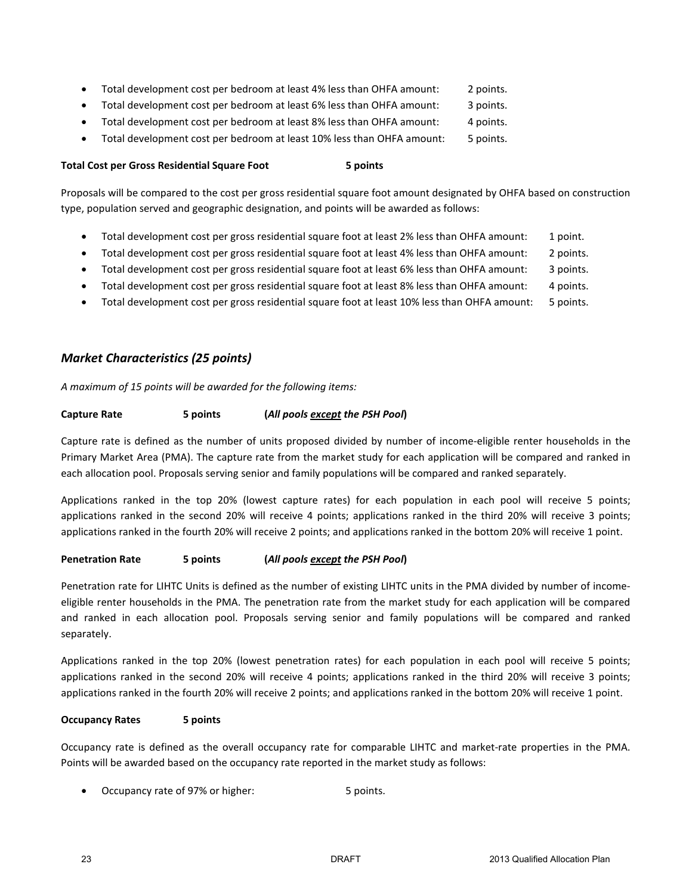- Total development cost per bedroom at least 4% less than OHFA amount: 2 points.
- Total development cost per bedroom at least 6% less than OHFA amount: 3 points.
- Total development cost per bedroom at least 8% less than OHFA amount: 4 points.
- Total development cost per bedroom at least 10% less than OHFA amount: 5 points.

#### **Total Cost per Gross Residential Square Foot 5 points**

Proposals will be compared to the cost per gross residential square foot amount designated by OHFA based on construction type, population served and geographic designation, and points will be awarded as follows:

- Total development cost per gross residential square foot at least 2% less than OHFA amount: 1 point.
- Total development cost per gross residential square foot at least 4% less than OHFA amount: 2 points.
- Total development cost per gross residential square foot at least 6% less than OHFA amount: 3 points.
- Total development cost per gross residential square foot at least 8% less than OHFA amount: 4 points.
- Total development cost per gross residential square foot at least 10% less than OHFA amount: 5 points.

# *Market Characteristics (25 points)*

*A maximum of 15 points will be awarded for the following items:*

#### **Capture Rate 5 points (***All pools except the PSH Pool***)**

Capture rate is defined as the number of units proposed divided by number of income-eligible renter households in the Primary Market Area (PMA). The capture rate from the market study for each application will be compared and ranked in each allocation pool. Proposals serving senior and family populations will be compared and ranked separately.

Applications ranked in the top 20% (lowest capture rates) for each population in each pool will receive 5 points; applications ranked in the second 20% will receive 4 points; applications ranked in the third 20% will receive 3 points; applications ranked in the fourth 20% will receive 2 points; and applications ranked in the bottom 20% will receive 1 point.

#### **Penetration Rate 5 points (***All pools except the PSH Pool***)**

Penetration rate for LIHTC Units is defined as the number of existing LIHTC units in the PMA divided by number of incomeeligible renter households in the PMA. The penetration rate from the market study for each application will be compared and ranked in each allocation pool. Proposals serving senior and family populations will be compared and ranked separately.

Applications ranked in the top 20% (lowest penetration rates) for each population in each pool will receive 5 points; applications ranked in the second 20% will receive 4 points; applications ranked in the third 20% will receive 3 points; applications ranked in the fourth 20% will receive 2 points; and applications ranked in the bottom 20% will receive 1 point.

#### **Occupancy Rates 5 points**

Occupancy rate is defined as the overall occupancy rate for comparable LIHTC and market-rate properties in the PMA. Points will be awarded based on the occupancy rate reported in the market study as follows:

Occupancy rate of 97% or higher: 5 points.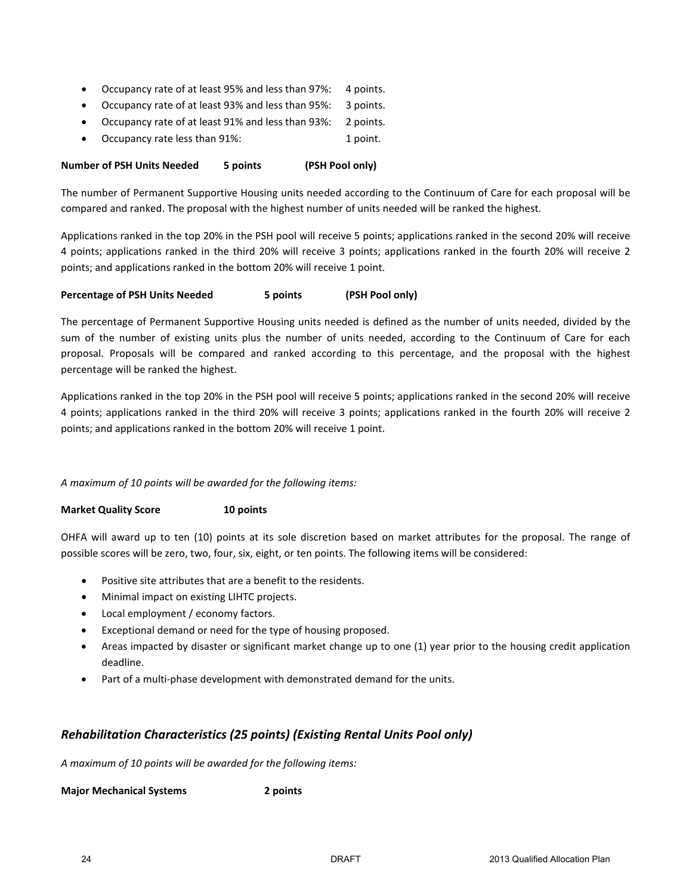- Occupancy rate of at least 95% and less than 97%: 4 points.
- Occupancy rate of at least 93% and less than 95%: 3 points.
- Occupancy rate of at least 91% and less than 93%: 2 points.
- Occupancy rate less than 91%: 1 point.

#### **Number of PSH Units Needed 5 points (PSH Pool only)**

The number of Permanent Supportive Housing units needed according to the Continuum of Care for each proposal will be compared and ranked. The proposal with the highest number of units needed will be ranked the highest.

Applications ranked in the top 20% in the PSH pool will receive 5 points; applications ranked in the second 20% will receive 4 points; applications ranked in the third 20% will receive 3 points; applications ranked in the fourth 20% will receive 2 points; and applications ranked in the bottom 20% will receive 1 point.

#### **Percentage of PSH Units Needed 5 points (PSH Pool only)**

The percentage of Permanent Supportive Housing units needed is defined as the number of units needed, divided by the sum of the number of existing units plus the number of units needed, according to the Continuum of Care for each proposal. Proposals will be compared and ranked according to this percentage, and the proposal with the highest percentage will be ranked the highest.

Applications ranked in the top 20% in the PSH pool will receive 5 points; applications ranked in the second 20% will receive 4 points; applications ranked in the third 20% will receive 3 points; applications ranked in the fourth 20% will receive 2 points; and applications ranked in the bottom 20% will receive 1 point.

*A maximum of 10 points will be awarded for the following items:*

**Market Quality Score 10 points**

OHFA will award up to ten (10) points at its sole discretion based on market attributes for the proposal. The range of possible scores will be zero, two, four, six, eight, or ten points. The following items will be considered:

- Positive site attributes that are a benefit to the residents.
- Minimal impact on existing LIHTC projects.
- Local employment / economy factors.
- Exceptional demand or need for the type of housing proposed.
- Areas impacted by disaster or significant market change up to one (1) year prior to the housing credit application deadline.
- Part of a multi-phase development with demonstrated demand for the units.

## *Rehabilitation Characteristics (25 points) (Existing Rental Units Pool only)*

*A maximum of 10 points will be awarded for the following items:*

**Major Mechanical Systems 2 points**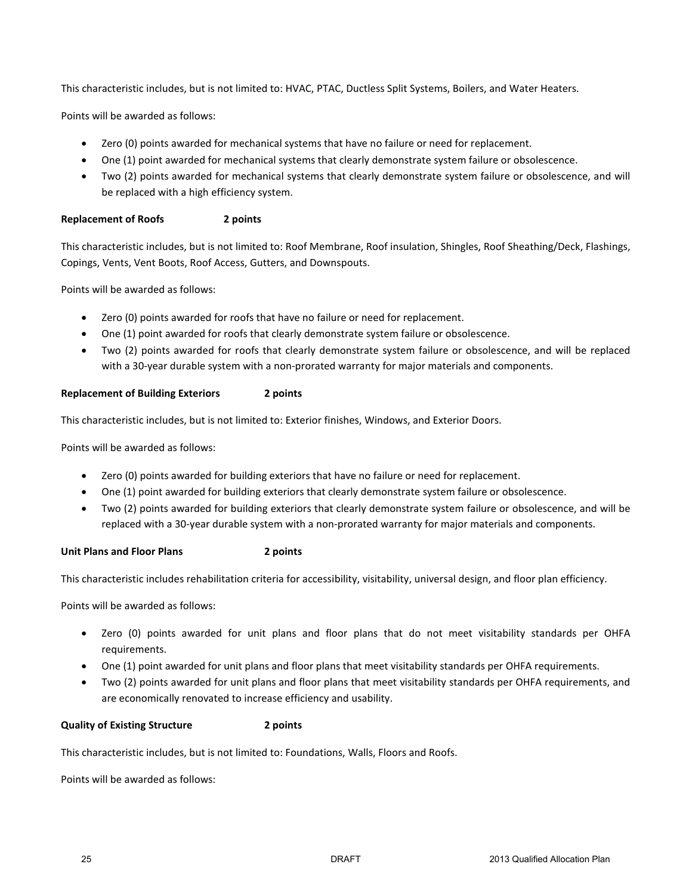This characteristic includes, but is not limited to: HVAC, PTAC, Ductless Split Systems, Boilers, and Water Heaters.

Points will be awarded as follows:

- Zero (0) points awarded for mechanical systems that have no failure or need for replacement.
- One (1) point awarded for mechanical systems that clearly demonstrate system failure or obsolescence.
- Two (2) points awarded for mechanical systems that clearly demonstrate system failure or obsolescence, and will be replaced with a high efficiency system.

#### **Replacement of Roofs 2 points**

This characteristic includes, but is not limited to: Roof Membrane, Roof insulation, Shingles, Roof Sheathing/Deck, Flashings, Copings, Vents, Vent Boots, Roof Access, Gutters, and Downspouts.

Points will be awarded as follows:

- Zero (0) points awarded for roofs that have no failure or need for replacement.
- One (1) point awarded for roofs that clearly demonstrate system failure or obsolescence.
- Two (2) points awarded for roofs that clearly demonstrate system failure or obsolescence, and will be replaced with a 30-year durable system with a non-prorated warranty for major materials and components.

#### **Replacement of Building Exteriors 2 points**

This characteristic includes, but is not limited to: Exterior finishes, Windows, and Exterior Doors.

Points will be awarded as follows:

- Zero (0) points awarded for building exteriors that have no failure or need for replacement.
- One (1) point awarded for building exteriors that clearly demonstrate system failure or obsolescence.
- Two (2) points awarded for building exteriors that clearly demonstrate system failure or obsolescence, and will be replaced with a 30-year durable system with a non-prorated warranty for major materials and components.

**Unit Plans and Floor Plans 2 points** 

This characteristic includes rehabilitation criteria for accessibility, visitability, universal design, and floor plan efficiency.

Points will be awarded as follows:

- Zero (0) points awarded for unit plans and floor plans that do not meet visitability standards per OHFA requirements.
- One (1) point awarded for unit plans and floor plans that meet visitability standards per OHFA requirements.
- Two (2) points awarded for unit plans and floor plans that meet visitability standards per OHFA requirements, and are economically renovated to increase efficiency and usability.

#### **Quality of Existing Structure 2 points**

This characteristic includes, but is not limited to: Foundations, Walls, Floors and Roofs.

Points will be awarded as follows: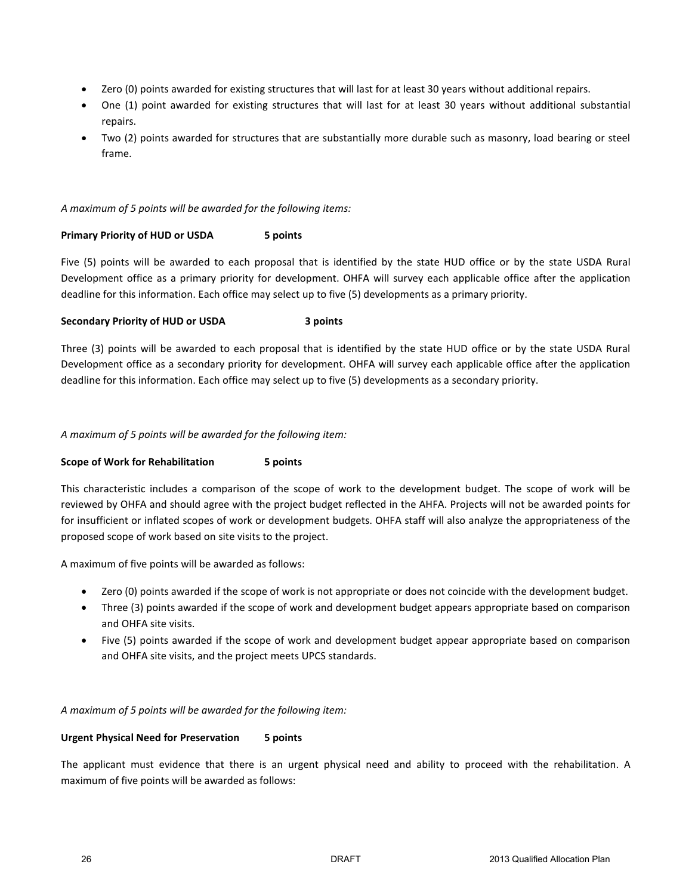- Zero (0) points awarded for existing structures that will last for at least 30 years without additional repairs.
- One (1) point awarded for existing structures that will last for at least 30 years without additional substantial repairs.
- Two (2) points awarded for structures that are substantially more durable such as masonry, load bearing or steel frame.

#### *A maximum of 5 points will be awarded for the following items:*

#### **Primary Priority of HUD or USDA 5 points**

Five (5) points will be awarded to each proposal that is identified by the state HUD office or by the state USDA Rural Development office as a primary priority for development. OHFA will survey each applicable office after the application deadline for this information. Each office may select up to five (5) developments as a primary priority.

#### **Secondary Priority of HUD or USDA 3 points**

Three (3) points will be awarded to each proposal that is identified by the state HUD office or by the state USDA Rural Development office as a secondary priority for development. OHFA will survey each applicable office after the application deadline for this information. Each office may select up to five (5) developments as a secondary priority.

#### *A maximum of 5 points will be awarded for the following item:*

#### **Scope of Work for Rehabilitation 5 points**

This characteristic includes a comparison of the scope of work to the development budget. The scope of work will be reviewed by OHFA and should agree with the project budget reflected in the AHFA. Projects will not be awarded points for for insufficient or inflated scopes of work or development budgets. OHFA staff will also analyze the appropriateness of the proposed scope of work based on site visits to the project.

A maximum of five points will be awarded as follows:

- Zero (0) points awarded if the scope of work is not appropriate or does not coincide with the development budget.
- Three (3) points awarded if the scope of work and development budget appears appropriate based on comparison and OHFA site visits.
- Five (5) points awarded if the scope of work and development budget appear appropriate based on comparison and OHFA site visits, and the project meets UPCS standards.

#### *A maximum of 5 points will be awarded for the following item:*

#### **Urgent Physical Need for Preservation 5 points**

The applicant must evidence that there is an urgent physical need and ability to proceed with the rehabilitation. A maximum of five points will be awarded as follows: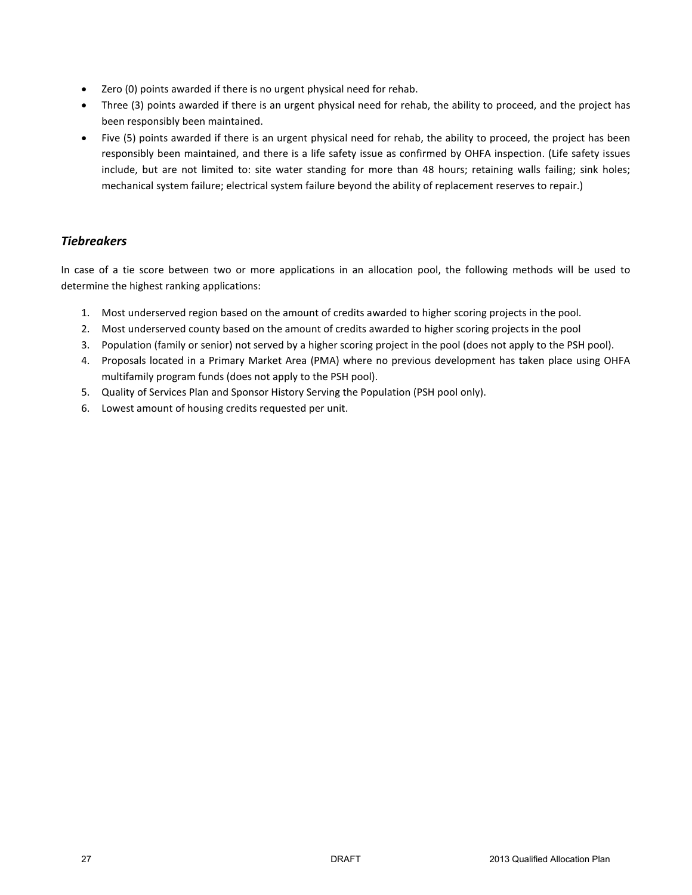- Zero (0) points awarded if there is no urgent physical need for rehab.
- Three (3) points awarded if there is an urgent physical need for rehab, the ability to proceed, and the project has been responsibly been maintained.
- Five (5) points awarded if there is an urgent physical need for rehab, the ability to proceed, the project has been responsibly been maintained, and there is a life safety issue as confirmed by OHFA inspection. (Life safety issues include, but are not limited to: site water standing for more than 48 hours; retaining walls failing; sink holes; mechanical system failure; electrical system failure beyond the ability of replacement reserves to repair.)

# *Tiebreakers*

In case of a tie score between two or more applications in an allocation pool, the following methods will be used to determine the highest ranking applications:

- 1. Most underserved region based on the amount of credits awarded to higher scoring projects in the pool.
- 2. Most underserved county based on the amount of credits awarded to higher scoring projects in the pool
- 3. Population (family or senior) not served by a higher scoring project in the pool (does not apply to the PSH pool).
- 4. Proposals located in a Primary Market Area (PMA) where no previous development has taken place using OHFA multifamily program funds (does not apply to the PSH pool).
- 5. Quality of Services Plan and Sponsor History Serving the Population (PSH pool only).
- 6. Lowest amount of housing credits requested per unit.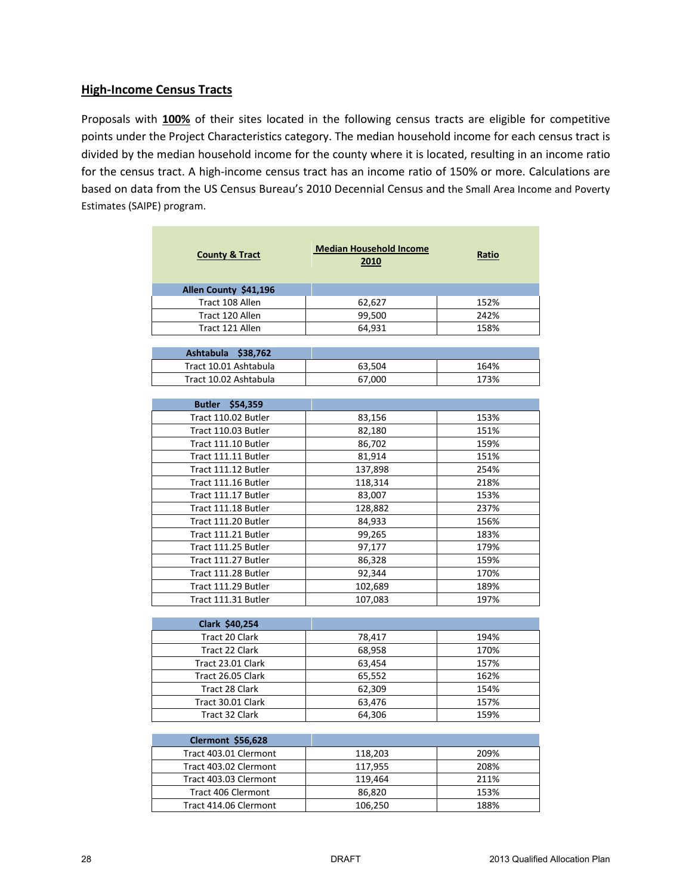# **High-Income Census Tracts**

Proposals with **100%** of their sites located in the following census tracts are eligible for competitive points under the Project Characteristics category. The median household income for each census tract is divided by the median household income for the county where it is located, resulting in an income ratio for the census tract. A high-income census tract has an income ratio of 150% or more. Calculations are based on data from the US Census Bureau's 2010 Decennial Census and the Small Area Income and Poverty Estimates (SAIPE) program.

| <b>County &amp; Tract</b>        | <b>Median Household Income</b><br>2010 | Ratio |
|----------------------------------|----------------------------------------|-------|
| Allen County \$41,196            |                                        |       |
| Tract 108 Allen                  | 62,627                                 | 152%  |
| Tract 120 Allen                  | 99,500                                 | 242%  |
| Tract 121 Allen                  | 64,931                                 | 158%  |
|                                  |                                        |       |
| Ashtabula \$38,762               |                                        |       |
| Tract 10.01 Ashtabula            | 63,504                                 | 164%  |
| Tract 10.02 Ashtabula            | 67,000                                 | 173%  |
|                                  |                                        |       |
| Butler \$54,359                  |                                        |       |
| Tract 110.02 Butler              | 83,156                                 | 153%  |
| Tract 110.03 Butler              | 82,180                                 | 151%  |
| Tract 111.10 Butler              | 86,702                                 | 159%  |
| Tract 111.11 Butler              | 81,914                                 | 151%  |
| Tract 111.12 Butler              | 137,898                                | 254%  |
| Tract 111.16 Butler              | 118,314                                | 218%  |
| Tract 111.17 Butler              | 83,007                                 | 153%  |
| Tract 111.18 Butler              | 128,882                                | 237%  |
| Tract 111.20 Butler              | 84,933                                 | 156%  |
| Tract 111.21 Butler              | 99,265                                 | 183%  |
| Tract 111.25 Butler              | 97,177                                 | 179%  |
| Tract 111.27 Butler              | 86,328                                 | 159%  |
| Tract 111.28 Butler              | 92,344                                 | 170%  |
| Tract 111.29 Butler              | 102,689                                | 189%  |
| Tract 111.31 Butler              | 107,083                                | 197%  |
|                                  |                                        |       |
| Clark \$40,254<br>Tract 20 Clark |                                        | 194%  |
| Tract 22 Clark                   | 78,417                                 | 170%  |
| Tract 23.01 Clark                | 68,958<br>63,454                       | 157%  |
| Tract 26.05 Clark                | 65,552                                 | 162%  |
| Tract 28 Clark                   | 62,309                                 | 154%  |
|                                  |                                        |       |
| Tract 30.01 Clark                | 63,476                                 | 157%  |
| Tract 32 Clark                   | 64,306                                 | 159%  |
| <b>Clermont \$56,628</b>         |                                        |       |
| Tract 403.01 Clermont            | 118,203                                | 209%  |
| Tract 403.02 Clermont            | 117,955                                | 208%  |
| Tract 403.03 Clermont            | 119,464                                | 211%  |
| <b>Tract 406 Clermont</b>        | 86,820                                 | 153%  |

Tract 414.06 Clermont  $106,250$  188%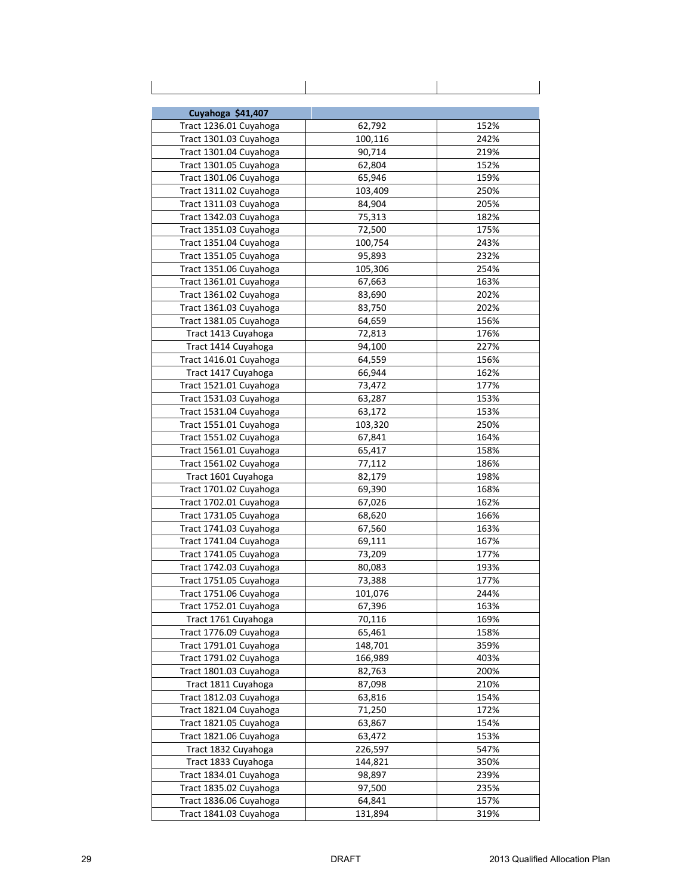| Cuyahoga \$41,407      |         |      |
|------------------------|---------|------|
| Tract 1236.01 Cuyahoga | 62,792  | 152% |
| Tract 1301.03 Cuyahoga | 100,116 | 242% |
| Tract 1301.04 Cuyahoga | 90,714  | 219% |
| Tract 1301.05 Cuyahoga | 62,804  | 152% |
| Tract 1301.06 Cuyahoga | 65,946  | 159% |
| Tract 1311.02 Cuyahoga | 103,409 | 250% |
| Tract 1311.03 Cuyahoga | 84,904  | 205% |
| Tract 1342.03 Cuyahoga | 75,313  | 182% |
| Tract 1351.03 Cuyahoga | 72,500  | 175% |
| Tract 1351.04 Cuyahoga | 100,754 | 243% |
| Tract 1351.05 Cuyahoga | 95,893  | 232% |
| Tract 1351.06 Cuyahoga | 105,306 | 254% |
| Tract 1361.01 Cuyahoga | 67,663  | 163% |
| Tract 1361.02 Cuyahoga | 83,690  | 202% |
| Tract 1361.03 Cuyahoga | 83,750  | 202% |
| Tract 1381.05 Cuyahoga | 64,659  | 156% |
| Tract 1413 Cuyahoga    | 72,813  | 176% |
| Tract 1414 Cuyahoga    | 94,100  | 227% |
| Tract 1416.01 Cuyahoga | 64,559  | 156% |
| Tract 1417 Cuyahoga    | 66,944  | 162% |
| Tract 1521.01 Cuyahoga | 73,472  | 177% |
| Tract 1531.03 Cuyahoga | 63,287  | 153% |
| Tract 1531.04 Cuyahoga | 63,172  | 153% |
| Tract 1551.01 Cuyahoga | 103,320 | 250% |
| Tract 1551.02 Cuyahoga | 67,841  | 164% |
| Tract 1561.01 Cuyahoga | 65,417  | 158% |
| Tract 1561.02 Cuyahoga | 77,112  | 186% |
| Tract 1601 Cuyahoga    | 82,179  | 198% |
| Tract 1701.02 Cuyahoga | 69,390  | 168% |
| Tract 1702.01 Cuyahoga | 67,026  | 162% |
| Tract 1731.05 Cuyahoga | 68,620  | 166% |
| Tract 1741.03 Cuyahoga | 67,560  | 163% |
| Tract 1741.04 Cuyahoga | 69,111  | 167% |
| Tract 1741.05 Cuyahoga | 73,209  | 177% |
| Tract 1742.03 Cuyahoga | 80,083  | 193% |
| Tract 1751.05 Cuyahoga | 73,388  | 177% |
| Tract 1751.06 Cuyahoga | 101,076 | 244% |
| Tract 1752.01 Cuyahoga | 67,396  | 163% |
| Tract 1761 Cuyahoga    | 70,116  | 169% |
| Tract 1776.09 Cuyahoga | 65,461  | 158% |
| Tract 1791.01 Cuyahoga | 148,701 | 359% |
| Tract 1791.02 Cuyahoga | 166,989 | 403% |
| Tract 1801.03 Cuyahoga | 82,763  | 200% |
| Tract 1811 Cuyahoga    | 87,098  | 210% |
| Tract 1812.03 Cuyahoga | 63,816  | 154% |
| Tract 1821.04 Cuyahoga | 71,250  | 172% |
| Tract 1821.05 Cuyahoga | 63,867  | 154% |
| Tract 1821.06 Cuyahoga | 63,472  | 153% |
| Tract 1832 Cuyahoga    | 226,597 | 547% |
| Tract 1833 Cuyahoga    | 144,821 | 350% |
| Tract 1834.01 Cuyahoga | 98,897  | 239% |
| Tract 1835.02 Cuyahoga | 97,500  | 235% |
| Tract 1836.06 Cuyahoga | 64,841  | 157% |
| Tract 1841.03 Cuyahoga | 131,894 | 319% |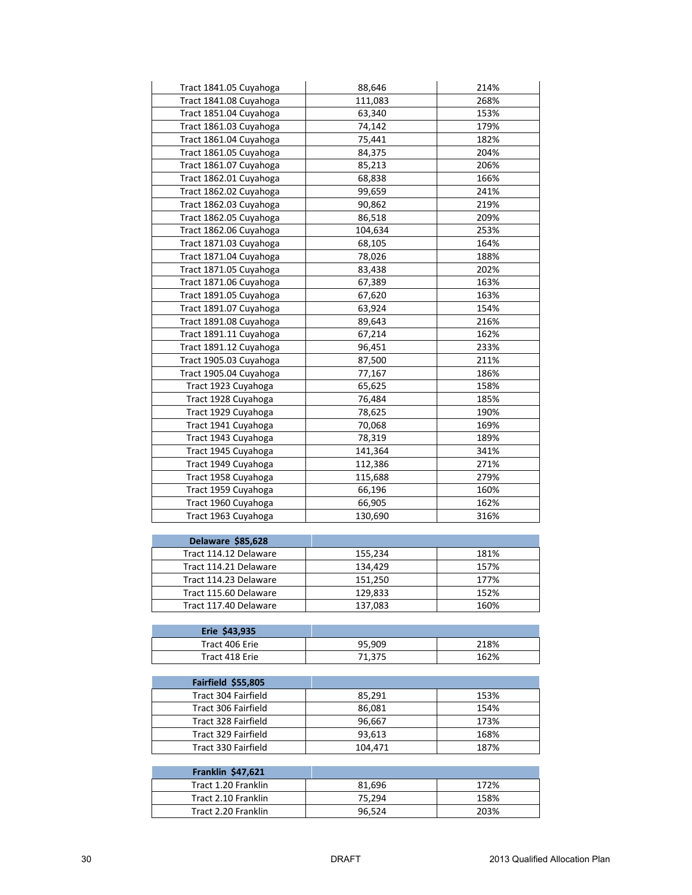| Tract 1841.05 Cuyahoga<br>Tract 1841.08 Cuyahoga | 88,646<br>111,083 | 214%<br>268% |
|--------------------------------------------------|-------------------|--------------|
| Tract 1851.04 Cuyahoga                           | 63,340            | 153%         |
|                                                  |                   |              |
| Tract 1861.03 Cuyahoga                           | 74,142            | 179%<br>182% |
| Tract 1861.04 Cuyahoga                           | 75,441            |              |
| Tract 1861.05 Cuyahoga                           | 84,375            | 204%         |
| Tract 1861.07 Cuyahoga                           | 85,213            | 206%         |
| Tract 1862.01 Cuyahoga                           | 68,838            | 166%         |
| Tract 1862.02 Cuyahoga                           | 99,659            | 241%         |
| Tract 1862.03 Cuyahoga                           | 90,862            | 219%         |
| Tract 1862.05 Cuyahoga                           | 86,518            | 209%         |
| Tract 1862.06 Cuyahoga                           | 104,634           | 253%         |
| Tract 1871.03 Cuyahoga                           | 68,105            | 164%         |
| Tract 1871.04 Cuyahoga                           | 78,026            | 188%         |
| Tract 1871.05 Cuyahoga                           | 83,438            | 202%         |
| Tract 1871.06 Cuyahoga                           | 67,389            | 163%         |
| Tract 1891.05 Cuyahoga                           | 67,620            | 163%         |
| Tract 1891.07 Cuyahoga                           | 63,924            | 154%         |
| Tract 1891.08 Cuyahoga                           | 89,643            | 216%         |
| Tract 1891.11 Cuyahoga                           | 67,214            | 162%         |
| Tract 1891.12 Cuyahoga                           | 96,451            | 233%         |
| Tract 1905.03 Cuyahoga                           | 87,500            | 211%         |
| Tract 1905.04 Cuyahoga                           | 77,167            | 186%         |
| Tract 1923 Cuyahoga                              | 65,625            | 158%         |
| Tract 1928 Cuyahoga                              | 76,484            | 185%         |
| Tract 1929 Cuyahoga                              | 78,625            | 190%         |
| Tract 1941 Cuyahoga                              | 70,068            | 169%         |
| Tract 1943 Cuyahoga                              | 78,319            | 189%         |
| Tract 1945 Cuyahoga                              | 141,364           | 341%         |
| Tract 1949 Cuyahoga                              | 112,386           | 271%         |
| Tract 1958 Cuyahoga                              | 115,688           | 279%         |
| Tract 1959 Cuyahoga                              | 66,196            | 160%         |
| Tract 1960 Cuyahoga                              | 66,905            | 162%         |
| Tract 1963 Cuyahoga                              | 130,690           | 316%         |
|                                                  |                   |              |
| Delaware \$85,628                                |                   |              |
| Tract 114.12 Delaware                            | 155,234           | 181%         |
| Tract 114.21 Delaware                            | 134,429           | 157%         |
| Tract 114.23 Delaware                            | 151.250           | 177%         |
| Tract 115.60 Delaware                            | 129,833           | 152%         |
| Tract 117.40 Delaware                            | 137,083           | 160%         |
|                                                  |                   |              |
| Erie \$43,935                                    |                   |              |
| Tract 406 Erie                                   | 95,909            | 218%         |
| Tract 418 Erie                                   | 71,375            | 162%         |
| Fairfield \$55,805                               |                   |              |
| Tract 304 Fairfield                              | 85,291            | 153%         |
| Tract 306 Fairfield                              |                   | 154%         |
| Tract 328 Fairfield                              | 86,081<br>96,667  | 173%         |
| Tract 329 Fairfield                              | 93,613            | 168%         |
| Tract 330 Fairfield                              |                   | 187%         |
|                                                  | 104,471           |              |
| <b>Franklin \$47,621</b>                         |                   |              |
| Tract 1.20 Franklin                              | 81,696            | 172%         |
| Tract 2.10 Franklin                              | 75,294            | 158%         |
| Tract 2.20 Franklin                              | 96,524            | 203%         |
|                                                  |                   |              |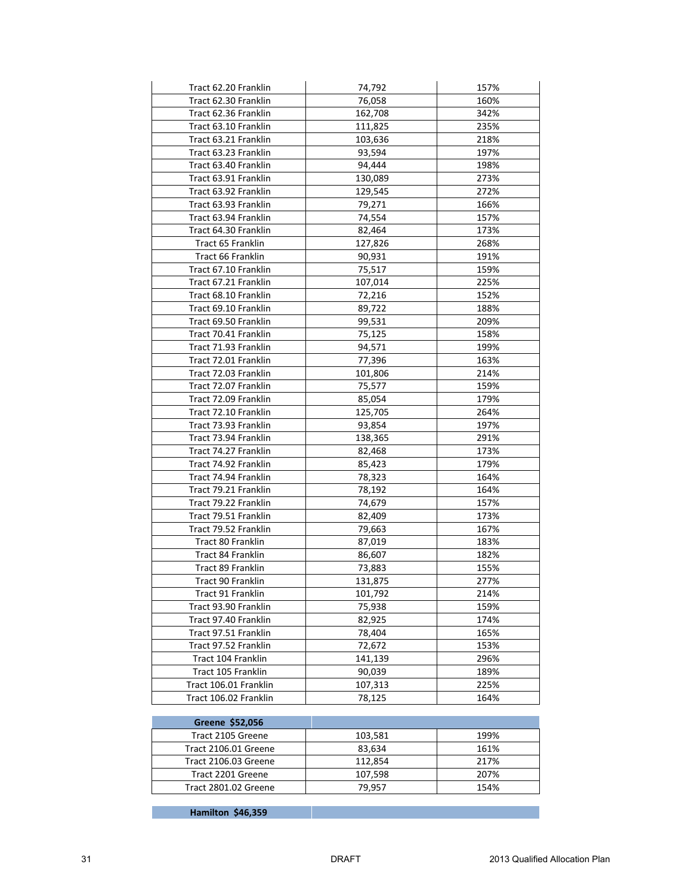| Tract 62.20 Franklin     | 74,792  | 157% |
|--------------------------|---------|------|
| Tract 62.30 Franklin     | 76,058  | 160% |
| Tract 62.36 Franklin     | 162,708 | 342% |
| Tract 63.10 Franklin     | 111,825 | 235% |
| Tract 63.21 Franklin     | 103,636 | 218% |
| Tract 63.23 Franklin     | 93,594  | 197% |
| Tract 63.40 Franklin     | 94,444  | 198% |
| Tract 63.91 Franklin     | 130,089 | 273% |
| Tract 63.92 Franklin     | 129,545 | 272% |
| Tract 63.93 Franklin     | 79,271  | 166% |
| Tract 63.94 Franklin     | 74,554  | 157% |
| Tract 64.30 Franklin     | 82,464  | 173% |
| Tract 65 Franklin        | 127,826 | 268% |
| Tract 66 Franklin        | 90,931  | 191% |
| Tract 67.10 Franklin     | 75,517  | 159% |
| Tract 67.21 Franklin     | 107,014 | 225% |
| Tract 68.10 Franklin     | 72,216  | 152% |
| Tract 69.10 Franklin     | 89,722  | 188% |
| Tract 69.50 Franklin     | 99,531  | 209% |
| Tract 70.41 Franklin     | 75,125  | 158% |
| Tract 71.93 Franklin     | 94,571  | 199% |
| Tract 72.01 Franklin     | 77,396  | 163% |
| Tract 72.03 Franklin     | 101,806 | 214% |
| Tract 72.07 Franklin     | 75,577  | 159% |
| Tract 72.09 Franklin     | 85,054  | 179% |
| Tract 72.10 Franklin     | 125,705 | 264% |
| Tract 73.93 Franklin     | 93,854  | 197% |
| Tract 73.94 Franklin     | 138,365 | 291% |
| Tract 74.27 Franklin     | 82,468  | 173% |
| Tract 74.92 Franklin     | 85,423  | 179% |
| Tract 74.94 Franklin     | 78,323  | 164% |
| Tract 79.21 Franklin     | 78,192  | 164% |
| Tract 79.22 Franklin     | 74,679  | 157% |
| Tract 79.51 Franklin     | 82,409  | 173% |
| Tract 79.52 Franklin     | 79,663  | 167% |
| Tract 80 Franklin        | 87,019  | 183% |
| Tract 84 Franklin        | 86,607  | 182% |
| Tract 89 Franklin        | 73,883  | 155% |
| <b>Tract 90 Franklin</b> | 131,875 | 277% |
| Tract 91 Franklin        | 101,792 | 214% |
| Tract 93.90 Franklin     | 75,938  | 159% |
| Tract 97.40 Franklin     | 82,925  | 174% |
| Tract 97.51 Franklin     | 78,404  | 165% |
| Tract 97.52 Franklin     | 72,672  | 153% |
| Tract 104 Franklin       | 141,139 | 296% |
| Tract 105 Franklin       | 90,039  | 189% |
| Tract 106.01 Franklin    | 107,313 | 225% |
| Tract 106.02 Franklin    | 78,125  | 164% |
|                          |         |      |

| Greene \$52,056      |         |      |
|----------------------|---------|------|
| Tract 2105 Greene    | 103,581 | 199% |
| Tract 2106.01 Greene | 83,634  | 161% |
| Tract 2106.03 Greene | 112.854 | 217% |
| Tract 2201 Greene    | 107,598 | 207% |
| Tract 2801.02 Greene | 79.957  | 154% |
|                      |         |      |

**Hamilton \$46,359**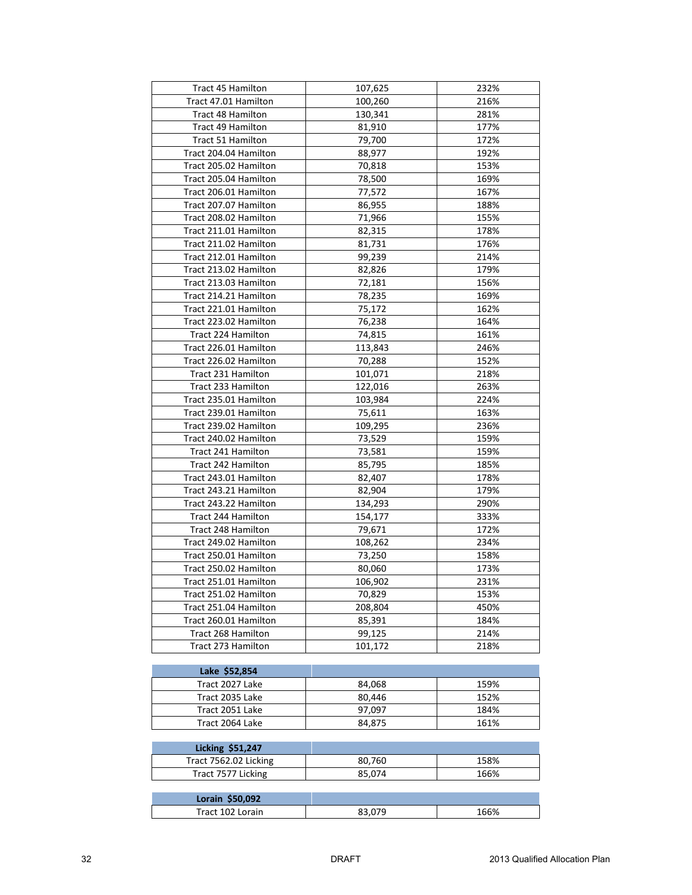| <b>Tract 45 Hamilton</b>  | 107,625 | 232% |
|---------------------------|---------|------|
| Tract 47.01 Hamilton      | 100,260 | 216% |
| Tract 48 Hamilton         | 130,341 | 281% |
| Tract 49 Hamilton         | 81,910  | 177% |
| Tract 51 Hamilton         | 79,700  | 172% |
| Tract 204.04 Hamilton     | 88,977  | 192% |
| Tract 205.02 Hamilton     | 70,818  | 153% |
| Tract 205.04 Hamilton     | 78,500  | 169% |
| Tract 206.01 Hamilton     | 77,572  | 167% |
| Tract 207.07 Hamilton     | 86,955  | 188% |
| Tract 208.02 Hamilton     | 71,966  | 155% |
| Tract 211.01 Hamilton     | 82,315  | 178% |
| Tract 211.02 Hamilton     | 81,731  | 176% |
| Tract 212.01 Hamilton     | 99,239  | 214% |
| Tract 213.02 Hamilton     | 82,826  | 179% |
| Tract 213.03 Hamilton     | 72,181  | 156% |
| Tract 214.21 Hamilton     | 78,235  | 169% |
| Tract 221.01 Hamilton     | 75,172  | 162% |
| Tract 223.02 Hamilton     | 76,238  | 164% |
| Tract 224 Hamilton        | 74,815  | 161% |
| Tract 226.01 Hamilton     | 113,843 | 246% |
| Tract 226.02 Hamilton     | 70,288  | 152% |
| Tract 231 Hamilton        | 101,071 | 218% |
| Tract 233 Hamilton        | 122,016 | 263% |
| Tract 235.01 Hamilton     | 103,984 | 224% |
| Tract 239.01 Hamilton     | 75,611  | 163% |
| Tract 239.02 Hamilton     | 109,295 | 236% |
| Tract 240.02 Hamilton     | 73,529  | 159% |
| Tract 241 Hamilton        | 73,581  | 159% |
| Tract 242 Hamilton        | 85,795  | 185% |
| Tract 243.01 Hamilton     | 82,407  | 178% |
| Tract 243.21 Hamilton     | 82,904  | 179% |
| Tract 243.22 Hamilton     | 134,293 | 290% |
| <b>Tract 244 Hamilton</b> | 154,177 | 333% |
| Tract 248 Hamilton        | 79,671  | 172% |
| Tract 249.02 Hamilton     | 108,262 | 234% |
| Tract 250.01 Hamilton     | 73,250  | 158% |
| Tract 250.02 Hamilton     | 80,060  | 173% |
| Tract 251.01 Hamilton     | 106,902 | 231% |
| Tract 251.02 Hamilton     | 70,829  | 153% |
| Tract 251.04 Hamilton     | 208,804 | 450% |
| Tract 260.01 Hamilton     | 85,391  | 184% |
| Tract 268 Hamilton        | 99,125  | 214% |
| Tract 273 Hamilton        | 101,172 | 218% |
|                           |         |      |
| Lake \$52,854             |         |      |
| Tract 2027 Lake           | 84,068  | 159% |
| Tract 2035 Lake           | 80,446  | 152% |
| Tract 2051 Lake           | 97,097  | 184% |
| Tract 2064 Lake           | 84,875  | 161% |
| <b>Licking \$51,247</b>   |         |      |
| Tract 7562.02 Licking     | 80,760  | 158% |
| Tract 7577 Licking        | 85,074  | 166% |
|                           |         |      |
| Lorain \$50,092           |         |      |
| Tract 102 Lorain          | 83,079  | 166% |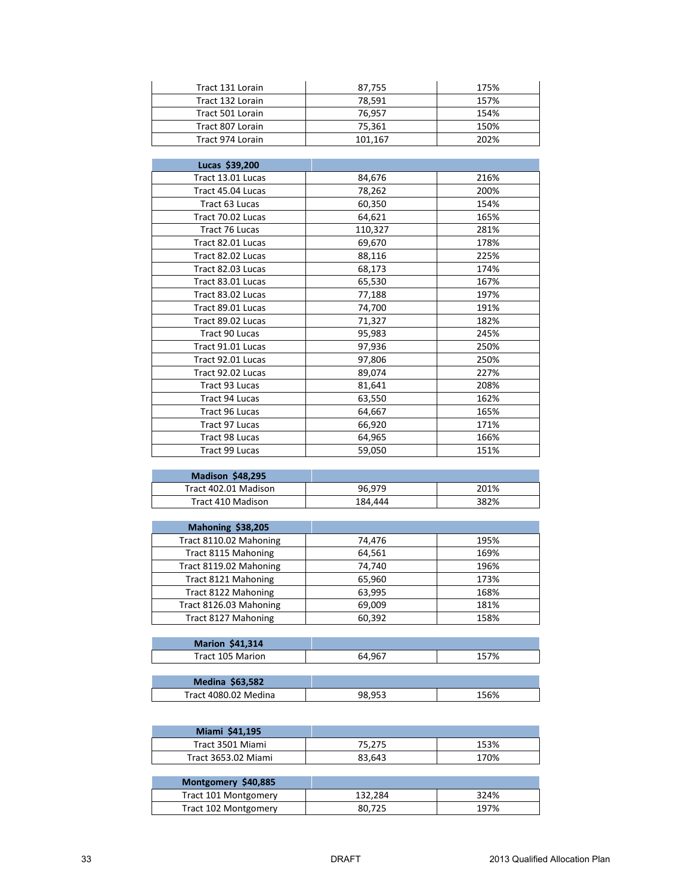| Tract 131 Lorain | 87.755  | 175% |
|------------------|---------|------|
| Tract 132 Lorain | 78.591  | 157% |
| Tract 501 Lorain | 76.957  | 154% |
| Tract 807 Lorain | 75,361  | 150% |
| Tract 974 Lorain | 101.167 | 202% |

| Lucas \$39,200    |         |      |
|-------------------|---------|------|
|                   |         |      |
| Tract 13.01 Lucas | 84,676  | 216% |
| Tract 45.04 Lucas | 78,262  | 200% |
| Tract 63 Lucas    | 60,350  | 154% |
| Tract 70.02 Lucas | 64,621  | 165% |
| Tract 76 Lucas    | 110,327 | 281% |
| Tract 82.01 Lucas | 69,670  | 178% |
| Tract 82.02 Lucas | 88,116  | 225% |
| Tract 82.03 Lucas | 68,173  | 174% |
| Tract 83.01 Lucas | 65,530  | 167% |
| Tract 83.02 Lucas | 77,188  | 197% |
| Tract 89.01 Lucas | 74,700  | 191% |
| Tract 89.02 Lucas | 71,327  | 182% |
| Tract 90 Lucas    | 95,983  | 245% |
| Tract 91.01 Lucas | 97,936  | 250% |
| Tract 92.01 Lucas | 97,806  | 250% |
| Tract 92.02 Lucas | 89,074  | 227% |
| Tract 93 Lucas    | 81,641  | 208% |
| Tract 94 Lucas    | 63,550  | 162% |
| Tract 96 Lucas    | 64,667  | 165% |
| Tract 97 Lucas    | 66,920  | 171% |
| Tract 98 Lucas    | 64,965  | 166% |
| Tract 99 Lucas    | 59,050  | 151% |

| <b>Madison \$48,295</b> |         |      |
|-------------------------|---------|------|
| Tract 402.01 Madison    | 96.979  | 201% |
| Tract 410 Madison       | 184.444 | 382% |

| Mahoning \$38,205      |        |      |
|------------------------|--------|------|
| Tract 8110.02 Mahoning | 74,476 | 195% |
| Tract 8115 Mahoning    | 64,561 | 169% |
| Tract 8119.02 Mahoning | 74,740 | 196% |
| Tract 8121 Mahoning    | 65,960 | 173% |
| Tract 8122 Mahoning    | 63,995 | 168% |
| Tract 8126.03 Mahoning | 69,009 | 181% |
| Tract 8127 Mahoning    | 60,392 | 158% |

| <b>Marion \$41,314</b> |        |    |
|------------------------|--------|----|
| Tract 105 Marion       | 64.967 | 7% |
|                        |        |    |

| .582<br><b>Medina</b> |     |    |
|-----------------------|-----|----|
| Tract 4080.02 Medina  | nra | 6% |

| Miami \$41,195      |        |      |
|---------------------|--------|------|
| Tract 3501 Miami    | 75.275 | 153% |
| Tract 3653.02 Miami | 83,643 | 170% |

| Montgomery \$40,885  |         |      |
|----------------------|---------|------|
| Tract 101 Montgomery | 132.284 | 324% |
| Tract 102 Montgomery | 80.725  | 197% |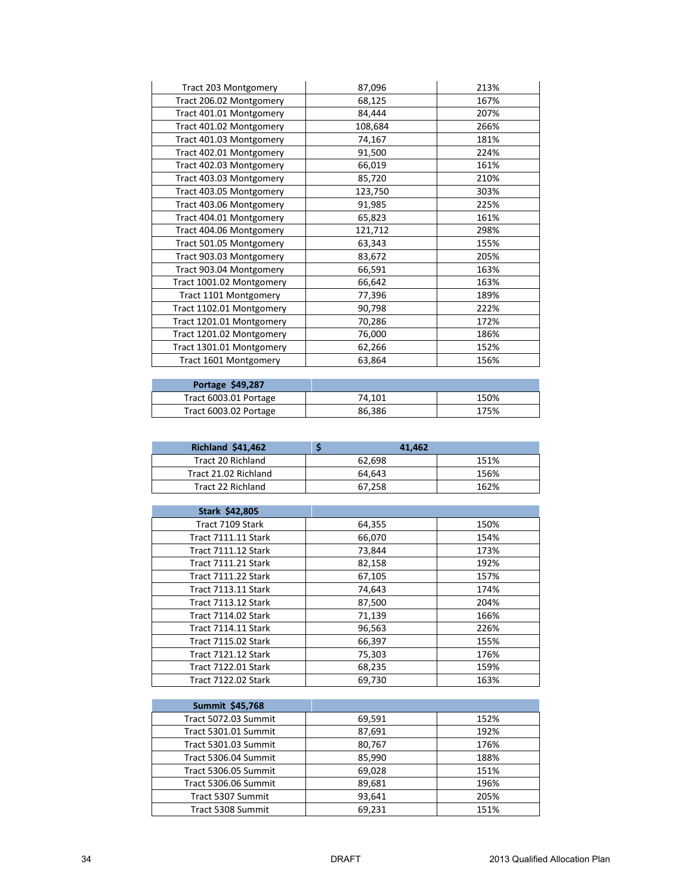| Tract 203 Montgomery     | 87,096  | 213% |
|--------------------------|---------|------|
| Tract 206.02 Montgomery  | 68,125  | 167% |
| Tract 401.01 Montgomery  | 84,444  | 207% |
| Tract 401.02 Montgomery  | 108,684 | 266% |
| Tract 401.03 Montgomery  | 74,167  | 181% |
| Tract 402.01 Montgomery  | 91,500  | 224% |
| Tract 402.03 Montgomery  | 66,019  | 161% |
| Tract 403.03 Montgomery  | 85,720  | 210% |
| Tract 403.05 Montgomery  | 123,750 | 303% |
| Tract 403.06 Montgomery  | 91,985  | 225% |
| Tract 404.01 Montgomery  | 65,823  | 161% |
| Tract 404.06 Montgomery  | 121,712 | 298% |
| Tract 501.05 Montgomery  | 63,343  | 155% |
| Tract 903.03 Montgomery  | 83,672  | 205% |
| Tract 903.04 Montgomery  | 66,591  | 163% |
| Tract 1001.02 Montgomery | 66,642  | 163% |
| Tract 1101 Montgomery    | 77,396  | 189% |
| Tract 1102.01 Montgomery | 90,798  | 222% |
| Tract 1201.01 Montgomery | 70,286  | 172% |
| Tract 1201.02 Montgomery | 76,000  | 186% |
| Tract 1301.01 Montgomery | 62,266  | 152% |
| Tract 1601 Montgomery    | 63,864  | 156% |

| Portage \$49,287      |        |      |
|-----------------------|--------|------|
| Tract 6003.01 Portage | 74.101 | 150% |
| Tract 6003.02 Portage | 86,386 | 175% |

| <b>Richland \$41,462</b> | 41.462 |      |
|--------------------------|--------|------|
| Tract 20 Richland        | 62.698 | 151% |
| Tract 21.02 Richland     | 64.643 | 156% |
| Tract 22 Richland        | 67.258 | 162% |

| Stark \$42,805             |        |      |
|----------------------------|--------|------|
| Tract 7109 Stark           | 64,355 | 150% |
| <b>Tract 7111.11 Stark</b> | 66,070 | 154% |
| <b>Tract 7111.12 Stark</b> | 73,844 | 173% |
| <b>Tract 7111.21 Stark</b> | 82,158 | 192% |
| <b>Tract 7111.22 Stark</b> | 67,105 | 157% |
| <b>Tract 7113.11 Stark</b> | 74,643 | 174% |
| <b>Tract 7113.12 Stark</b> | 87,500 | 204% |
| <b>Tract 7114.02 Stark</b> | 71,139 | 166% |
| <b>Tract 7114.11 Stark</b> | 96,563 | 226% |
| <b>Tract 7115.02 Stark</b> | 66,397 | 155% |
| <b>Tract 7121.12 Stark</b> | 75,303 | 176% |
| <b>Tract 7122.01 Stark</b> | 68,235 | 159% |
| <b>Tract 7122.02 Stark</b> | 69.730 | 163% |

| <b>Summit \$45,768</b> |        |      |
|------------------------|--------|------|
| Tract 5072.03 Summit   | 69,591 | 152% |
| Tract 5301.01 Summit   | 87,691 | 192% |
| Tract 5301.03 Summit   | 80,767 | 176% |
| Tract 5306.04 Summit   | 85,990 | 188% |
| Tract 5306.05 Summit   | 69,028 | 151% |
| Tract 5306.06 Summit   | 89,681 | 196% |
| Tract 5307 Summit      | 93,641 | 205% |
| Tract 5308 Summit      | 69.231 | 151% |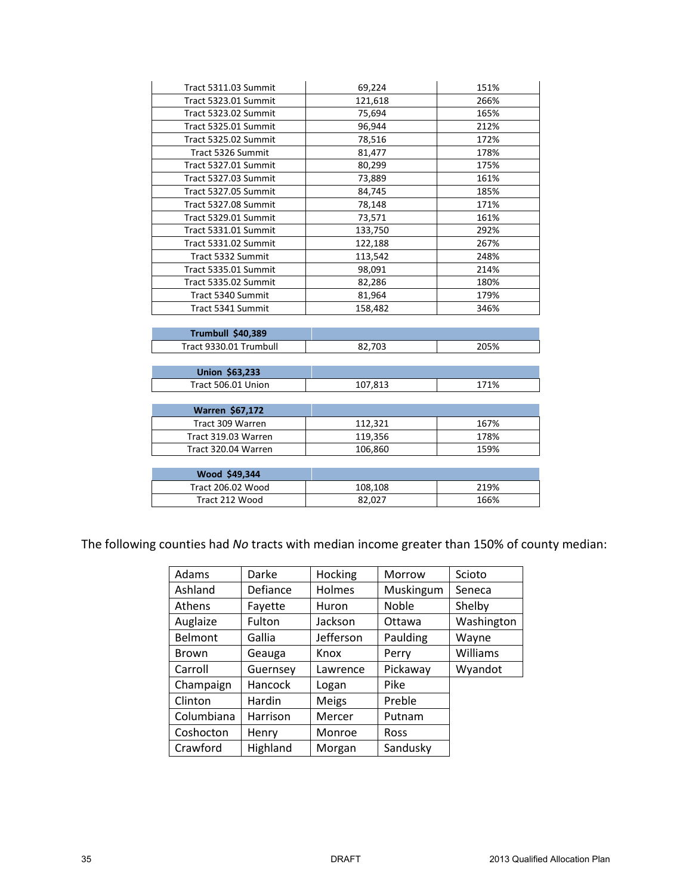| Tract 5311.03 Summit     | 69,224  | 151% |
|--------------------------|---------|------|
| Tract 5323.01 Summit     | 121,618 | 266% |
| Tract 5323.02 Summit     | 75,694  | 165% |
| Tract 5325.01 Summit     | 96,944  | 212% |
| Tract 5325.02 Summit     | 78,516  | 172% |
| Tract 5326 Summit        | 81,477  | 178% |
| Tract 5327.01 Summit     | 80,299  | 175% |
| Tract 5327.03 Summit     | 73,889  | 161% |
| Tract 5327.05 Summit     | 84,745  | 185% |
| Tract 5327.08 Summit     | 78,148  | 171% |
| Tract 5329.01 Summit     | 73,571  | 161% |
| Tract 5331.01 Summit     | 133,750 | 292% |
| Tract 5331.02 Summit     | 122,188 | 267% |
| Tract 5332 Summit        | 113,542 | 248% |
| Tract 5335.01 Summit     | 98,091  | 214% |
| Tract 5335.02 Summit     | 82,286  | 180% |
| Tract 5340 Summit        | 81,964  | 179% |
| Tract 5341 Summit        | 158,482 | 346% |
|                          |         |      |
| Trumbull \$40,389        |         |      |
| Tract 9330.01 Trumbull   | 82,703  | 205% |
|                          |         |      |
| Union \$63,233           |         |      |
| Tract 506.01 Union       | 107,813 | 171% |
|                          |         |      |
| <b>Warren \$67,172</b>   |         |      |
| Tract 309 Warren         | 112,321 | 167% |
| Tract 319.03 Warren      | 119,356 | 178% |
| Tract 320.04 Warren      | 106,860 | 159% |
|                          |         |      |
| Wood \$49,344            |         |      |
| <b>Tract 206.02 Wood</b> | 108,108 | 219% |
| Tract 212 Wood           | 82,027  | 166% |

The following counties had *No* tracts with median income greater than 150% of county median:

| Adams        | Darke           | Hocking       | Morrow    | Scioto     |
|--------------|-----------------|---------------|-----------|------------|
| Ashland      | <b>Defiance</b> | <b>Holmes</b> | Muskingum | Seneca     |
| Athens       | Fayette         | Huron         | Noble     | Shelby     |
| Auglaize     | Fulton          | Jackson       | Ottawa    | Washington |
| Belmont      | Gallia          | Jefferson     | Paulding  | Wayne      |
| <b>Brown</b> | Geauga          | Knox          | Perry     | Williams   |
| Carroll      | Guernsey        | Lawrence      | Pickaway  | Wyandot    |
| Champaign    | Hancock         | Logan         | Pike      |            |
| Clinton      | Hardin          | <b>Meigs</b>  | Preble    |            |
| Columbiana   | Harrison        | Mercer        | Putnam    |            |
| Coshocton    | Henry           | Monroe        | Ross      |            |
| Crawford     | Highland        | Morgan        | Sandusky  |            |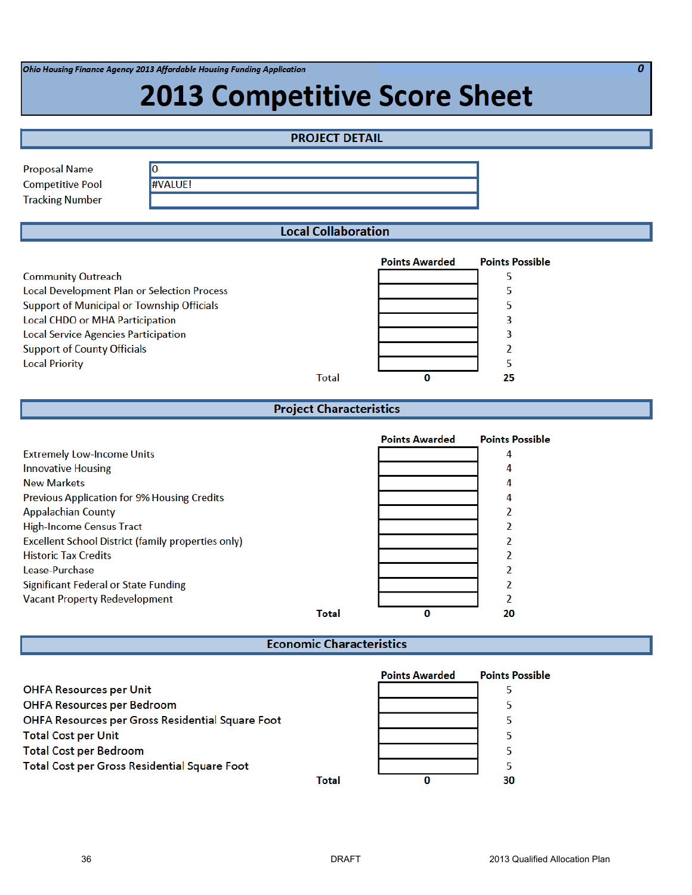Ohio Housing Finance Agency 2013 Affordable Housing Funding Application

# **2013 Competitive Score Sheet**

| <b>PROJECT DETAIL</b>                                                         |                             |  |  |  |  |
|-------------------------------------------------------------------------------|-----------------------------|--|--|--|--|
| <b>Proposal Name</b><br>0                                                     |                             |  |  |  |  |
| <b>#VALUE!</b><br><b>Competitive Pool</b>                                     |                             |  |  |  |  |
| <b>Tracking Number</b>                                                        |                             |  |  |  |  |
| <b>Local Collaboration</b>                                                    |                             |  |  |  |  |
|                                                                               |                             |  |  |  |  |
| <b>Points Awarded</b>                                                         | <b>Points Possible</b>      |  |  |  |  |
| <b>Community Outreach</b>                                                     | 5                           |  |  |  |  |
| <b>Local Development Plan or Selection Process</b>                            | 5                           |  |  |  |  |
| Support of Municipal or Township Officials<br>Local CHDO or MHA Participation | 5<br>3                      |  |  |  |  |
| <b>Local Service Agencies Participation</b>                                   | 3                           |  |  |  |  |
| <b>Support of County Officials</b>                                            | 2                           |  |  |  |  |
| <b>Local Priority</b>                                                         | 5                           |  |  |  |  |
| 0<br><b>Total</b>                                                             | 25                          |  |  |  |  |
|                                                                               |                             |  |  |  |  |
| <b>Project Characteristics</b>                                                |                             |  |  |  |  |
|                                                                               |                             |  |  |  |  |
| <b>Points Awarded</b>                                                         | <b>Points Possible</b><br>4 |  |  |  |  |
| <b>Extremely Low-Income Units</b><br><b>Innovative Housing</b>                | 4                           |  |  |  |  |
| <b>New Markets</b>                                                            | 4                           |  |  |  |  |
| Previous Application for 9% Housing Credits                                   | 4                           |  |  |  |  |
| <b>Appalachian County</b>                                                     | 2                           |  |  |  |  |
| <b>High-Income Census Tract</b>                                               | 2                           |  |  |  |  |
| <b>Excellent School District (family properties only)</b>                     | 2                           |  |  |  |  |
| <b>Historic Tax Credits</b>                                                   | 2                           |  |  |  |  |
| Lease-Purchase                                                                | 2                           |  |  |  |  |
| Significant Federal or State Funding                                          | 2                           |  |  |  |  |
| <b>Vacant Property Redevelopment</b>                                          | 2                           |  |  |  |  |
| 0<br>Total                                                                    | 20                          |  |  |  |  |
| <b>Economic Characteristics</b>                                               |                             |  |  |  |  |
|                                                                               |                             |  |  |  |  |
| <b>Points Awarded</b>                                                         | <b>Points Possible</b>      |  |  |  |  |
| <b>OHFA Resources per Unit</b>                                                | 5                           |  |  |  |  |
| <b>OHFA Resources per Bedroom</b>                                             | 5                           |  |  |  |  |
| OHFA Resources per Gross Residential Square Foot                              |                             |  |  |  |  |
|                                                                               | 5                           |  |  |  |  |
| <b>Total Cost per Unit</b>                                                    | 5                           |  |  |  |  |
| <b>Total Cost per Bedroom</b><br>Total Cost per Gross Residential Square Foot | 5<br>5                      |  |  |  |  |

 $\overline{\boldsymbol{\theta}}$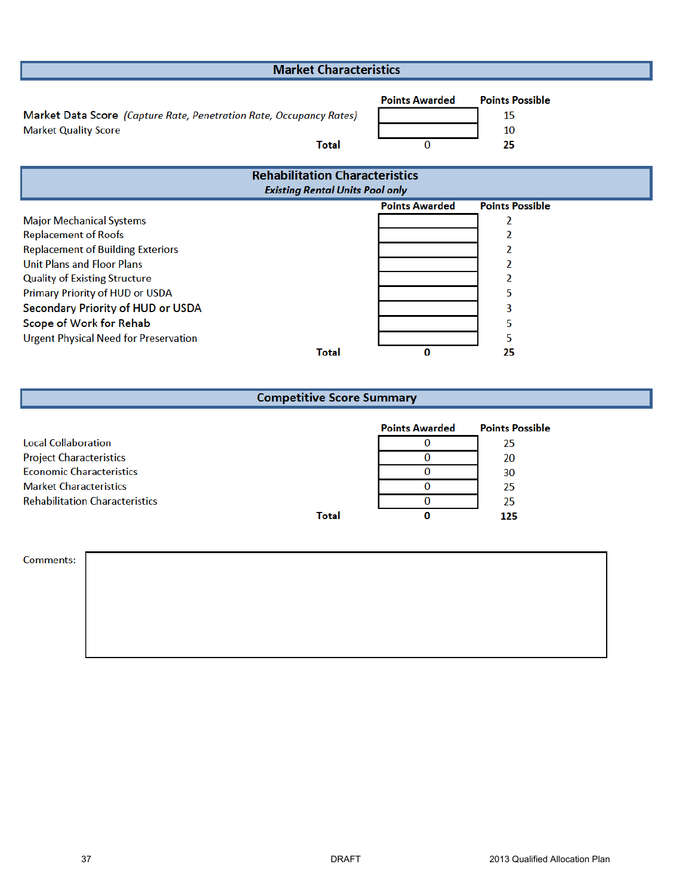| <b>Market Characteristics</b>                                                                               |                            |                                          |  |  |  |
|-------------------------------------------------------------------------------------------------------------|----------------------------|------------------------------------------|--|--|--|
| Market Data Score (Capture Rate, Penetration Rate, Occupancy Rates)<br><b>Market Quality Score</b><br>Total | <b>Points Awarded</b><br>0 | <b>Points Possible</b><br>15<br>10<br>25 |  |  |  |
| <b>Rehabilitation Characteristics</b>                                                                       |                            |                                          |  |  |  |
| <b>Existing Rental Units Pool only</b>                                                                      |                            |                                          |  |  |  |
|                                                                                                             | <b>Points Awarded</b>      | <b>Points Possible</b>                   |  |  |  |
| <b>Major Mechanical Systems</b>                                                                             |                            | 2                                        |  |  |  |
| <b>Replacement of Roofs</b>                                                                                 |                            |                                          |  |  |  |
| <b>Replacement of Building Exteriors</b>                                                                    |                            | 2                                        |  |  |  |
| <b>Unit Plans and Floor Plans</b>                                                                           |                            |                                          |  |  |  |
| <b>Quality of Existing Structure</b>                                                                        |                            | 2                                        |  |  |  |
| Primary Priority of HUD or USDA                                                                             |                            | 5                                        |  |  |  |
| Secondary Priority of HUD or USDA                                                                           |                            | 3                                        |  |  |  |
| Scope of Work for Rehab                                                                                     |                            | 5                                        |  |  |  |
| <b>Urgent Physical Need for Preservation</b>                                                                |                            | 5                                        |  |  |  |
| <b>Total</b>                                                                                                | 0                          | 25                                       |  |  |  |

# **Competitive Score Summary**

|                                       |       | <b>Points Awarded</b> | <b>Points Possible</b> |
|---------------------------------------|-------|-----------------------|------------------------|
| <b>Local Collaboration</b>            |       |                       | 25                     |
| <b>Project Characteristics</b>        |       |                       | 20                     |
| <b>Economic Characteristics</b>       |       |                       | 30                     |
| <b>Market Characteristics</b>         |       |                       | 25                     |
| <b>Rehabilitation Characteristics</b> |       |                       | 25                     |
|                                       | Total |                       | 125                    |

Comments: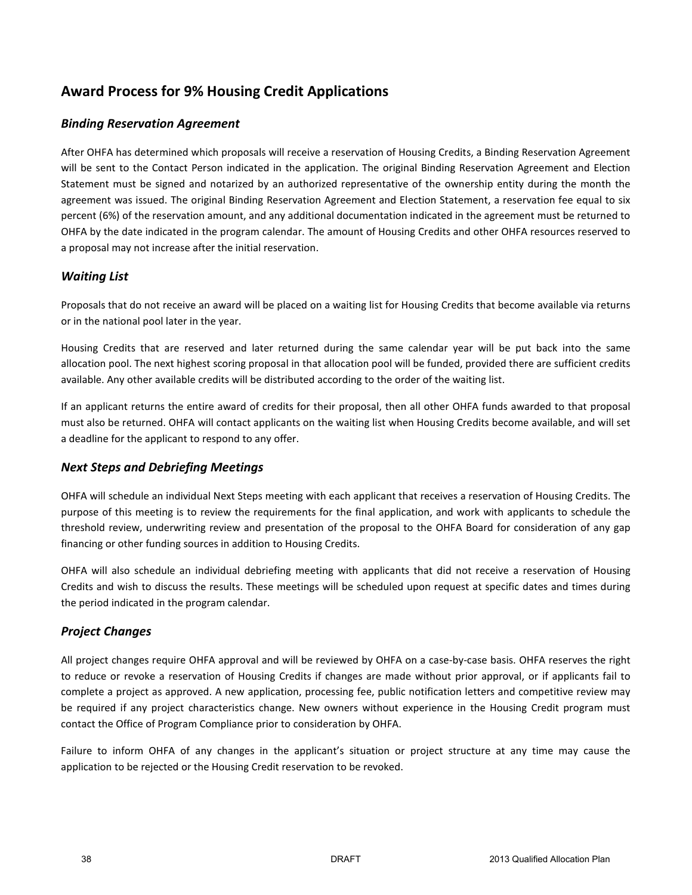# **Award Process for 9% Housing Credit Applications**

## *Binding Reservation Agreement*

After OHFA has determined which proposals will receive a reservation of Housing Credits, a Binding Reservation Agreement will be sent to the Contact Person indicated in the application. The original Binding Reservation Agreement and Election Statement must be signed and notarized by an authorized representative of the ownership entity during the month the agreement was issued. The original Binding Reservation Agreement and Election Statement, a reservation fee equal to six percent (6%) of the reservation amount, and any additional documentation indicated in the agreement must be returned to OHFA by the date indicated in the program calendar. The amount of Housing Credits and other OHFA resources reserved to a proposal may not increase after the initial reservation.

## *Waiting List*

Proposals that do not receive an award will be placed on a waiting list for Housing Credits that become available via returns or in the national pool later in the year.

Housing Credits that are reserved and later returned during the same calendar year will be put back into the same allocation pool. The next highest scoring proposal in that allocation pool will be funded, provided there are sufficient credits available. Any other available credits will be distributed according to the order of the waiting list.

If an applicant returns the entire award of credits for their proposal, then all other OHFA funds awarded to that proposal must also be returned. OHFA will contact applicants on the waiting list when Housing Credits become available, and will set a deadline for the applicant to respond to any offer.

## *Next Steps and Debriefing Meetings*

OHFA will schedule an individual Next Steps meeting with each applicant that receives a reservation of Housing Credits. The purpose of this meeting is to review the requirements for the final application, and work with applicants to schedule the threshold review, underwriting review and presentation of the proposal to the OHFA Board for consideration of any gap financing or other funding sources in addition to Housing Credits.

OHFA will also schedule an individual debriefing meeting with applicants that did not receive a reservation of Housing Credits and wish to discuss the results. These meetings will be scheduled upon request at specific dates and times during the period indicated in the program calendar.

## *Project Changes*

All project changes require OHFA approval and will be reviewed by OHFA on a case-by-case basis. OHFA reserves the right to reduce or revoke a reservation of Housing Credits if changes are made without prior approval, or if applicants fail to complete a project as approved. A new application, processing fee, public notification letters and competitive review may be required if any project characteristics change. New owners without experience in the Housing Credit program must contact the Office of Program Compliance prior to consideration by OHFA.

Failure to inform OHFA of any changes in the applicant's situation or project structure at any time may cause the application to be rejected or the Housing Credit reservation to be revoked.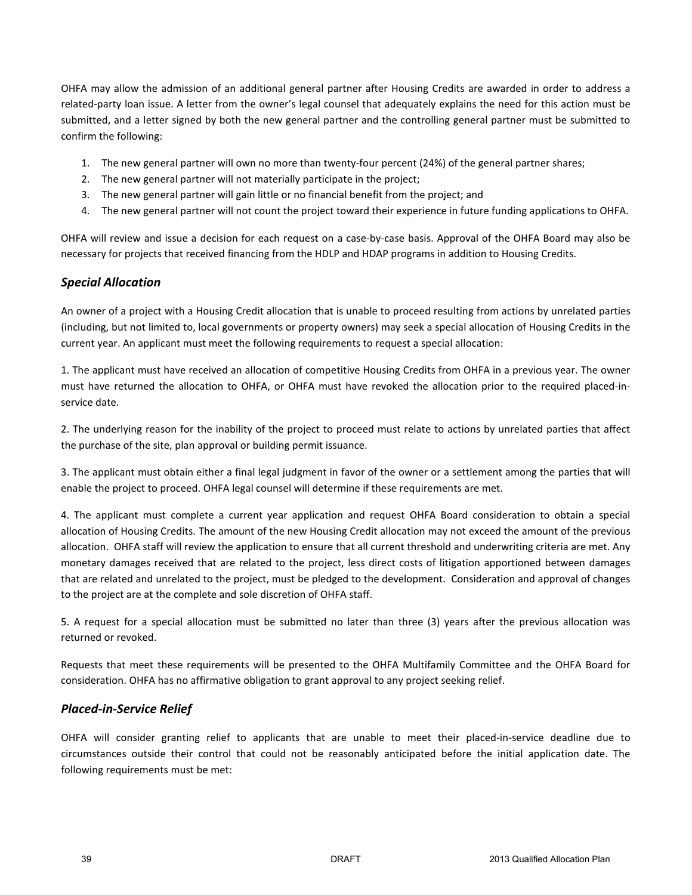OHFA may allow the admission of an additional general partner after Housing Credits are awarded in order to address a related-party loan issue. A letter from the owner's legal counsel that adequately explains the need for this action must be submitted, and a letter signed by both the new general partner and the controlling general partner must be submitted to confirm the following:

- 1. The new general partner will own no more than twenty-four percent (24%) of the general partner shares;
- 2. The new general partner will not materially participate in the project;
- 3. The new general partner will gain little or no financial benefit from the project; and
- 4. The new general partner will not count the project toward their experience in future funding applications to OHFA.

OHFA will review and issue a decision for each request on a case-by-case basis. Approval of the OHFA Board may also be necessary for projects that received financing from the HDLP and HDAP programs in addition to Housing Credits.

## *Special Allocation*

An owner of a project with a Housing Credit allocation that is unable to proceed resulting from actions by unrelated parties (including, but not limited to, local governments or property owners) may seek a special allocation of Housing Credits in the current year. An applicant must meet the following requirements to request a special allocation:

1. The applicant must have received an allocation of competitive Housing Credits from OHFA in a previous year. The owner must have returned the allocation to OHFA, or OHFA must have revoked the allocation prior to the required placed-inservice date.

2. The underlying reason for the inability of the project to proceed must relate to actions by unrelated parties that affect the purchase of the site, plan approval or building permit issuance.

3. The applicant must obtain either a final legal judgment in favor of the owner or a settlement among the parties that will enable the project to proceed. OHFA legal counsel will determine if these requirements are met.

4. The applicant must complete a current year application and request OHFA Board consideration to obtain a special allocation of Housing Credits. The amount of the new Housing Credit allocation may not exceed the amount of the previous allocation. OHFA staff will review the application to ensure that all current threshold and underwriting criteria are met. Any monetary damages received that are related to the project, less direct costs of litigation apportioned between damages that are related and unrelated to the project, must be pledged to the development. Consideration and approval of changes to the project are at the complete and sole discretion of OHFA staff.

5. A request for a special allocation must be submitted no later than three (3) years after the previous allocation was returned or revoked.

Requests that meet these requirements will be presented to the OHFA Multifamily Committee and the OHFA Board for consideration. OHFA has no affirmative obligation to grant approval to any project seeking relief.

### *Placed-in-Service Relief*

OHFA will consider granting relief to applicants that are unable to meet their placed-in-service deadline due to circumstances outside their control that could not be reasonably anticipated before the initial application date. The following requirements must be met: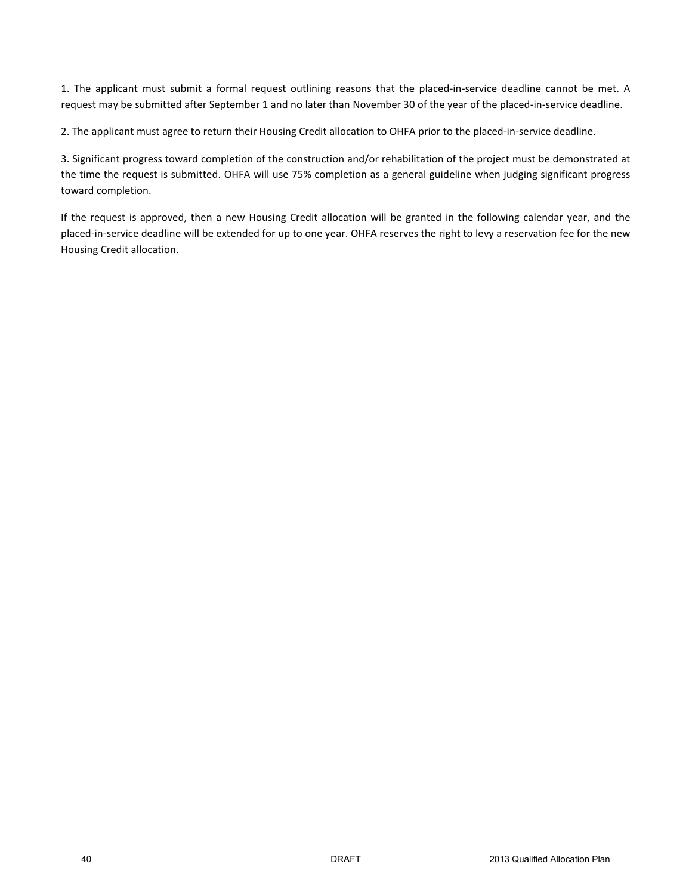1. The applicant must submit a formal request outlining reasons that the placed-in-service deadline cannot be met. A request may be submitted after September 1 and no later than November 30 of the year of the placed-in-service deadline.

2. The applicant must agree to return their Housing Credit allocation to OHFA prior to the placed-in-service deadline.

3. Significant progress toward completion of the construction and/or rehabilitation of the project must be demonstrated at the time the request is submitted. OHFA will use 75% completion as a general guideline when judging significant progress toward completion.

If the request is approved, then a new Housing Credit allocation will be granted in the following calendar year, and the placed-in-service deadline will be extended for up to one year. OHFA reserves the right to levy a reservation fee for the new Housing Credit allocation.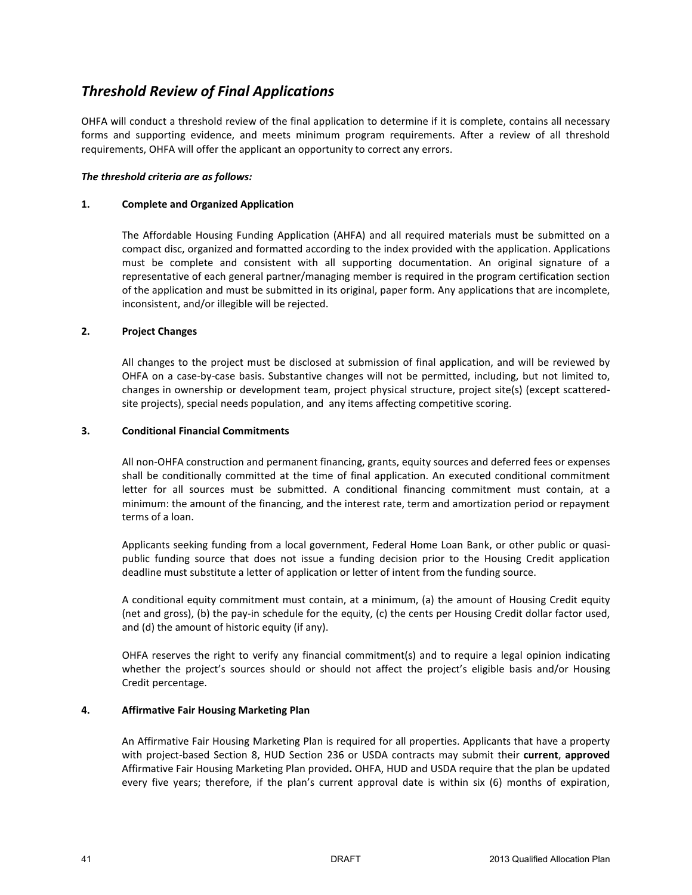# *Threshold Review of Final Applications*

OHFA will conduct a threshold review of the final application to determine if it is complete, contains all necessary forms and supporting evidence, and meets minimum program requirements. After a review of all threshold requirements, OHFA will offer the applicant an opportunity to correct any errors.

#### *The threshold criteria are as follows:*

#### **1. Complete and Organized Application**

The Affordable Housing Funding Application (AHFA) and all required materials must be submitted on a compact disc, organized and formatted according to the index provided with the application. Applications must be complete and consistent with all supporting documentation. An original signature of a representative of each general partner/managing member is required in the program certification section of the application and must be submitted in its original, paper form. Any applications that are incomplete, inconsistent, and/or illegible will be rejected.

#### **2. Project Changes**

All changes to the project must be disclosed at submission of final application, and will be reviewed by OHFA on a case-by-case basis. Substantive changes will not be permitted, including, but not limited to, changes in ownership or development team, project physical structure, project site(s) (except scatteredsite projects), special needs population, and any items affecting competitive scoring.

#### **3. Conditional Financial Commitments**

All non-OHFA construction and permanent financing, grants, equity sources and deferred fees or expenses shall be conditionally committed at the time of final application. An executed conditional commitment letter for all sources must be submitted. A conditional financing commitment must contain, at a minimum: the amount of the financing, and the interest rate, term and amortization period or repayment terms of a loan.

Applicants seeking funding from a local government, Federal Home Loan Bank, or other public or quasipublic funding source that does not issue a funding decision prior to the Housing Credit application deadline must substitute a letter of application or letter of intent from the funding source.

A conditional equity commitment must contain, at a minimum, (a) the amount of Housing Credit equity (net and gross), (b) the pay-in schedule for the equity, (c) the cents per Housing Credit dollar factor used, and (d) the amount of historic equity (if any).

OHFA reserves the right to verify any financial commitment(s) and to require a legal opinion indicating whether the project's sources should or should not affect the project's eligible basis and/or Housing Credit percentage.

#### **4. Affirmative Fair Housing Marketing Plan**

An Affirmative Fair Housing Marketing Plan is required for all properties. Applicants that have a property with project-based Section 8, HUD Section 236 or USDA contracts may submit their **current**, **approved**  Affirmative Fair Housing Marketing Plan provided**.** OHFA, HUD and USDA require that the plan be updated every five years; therefore, if the plan's current approval date is within six (6) months of expiration,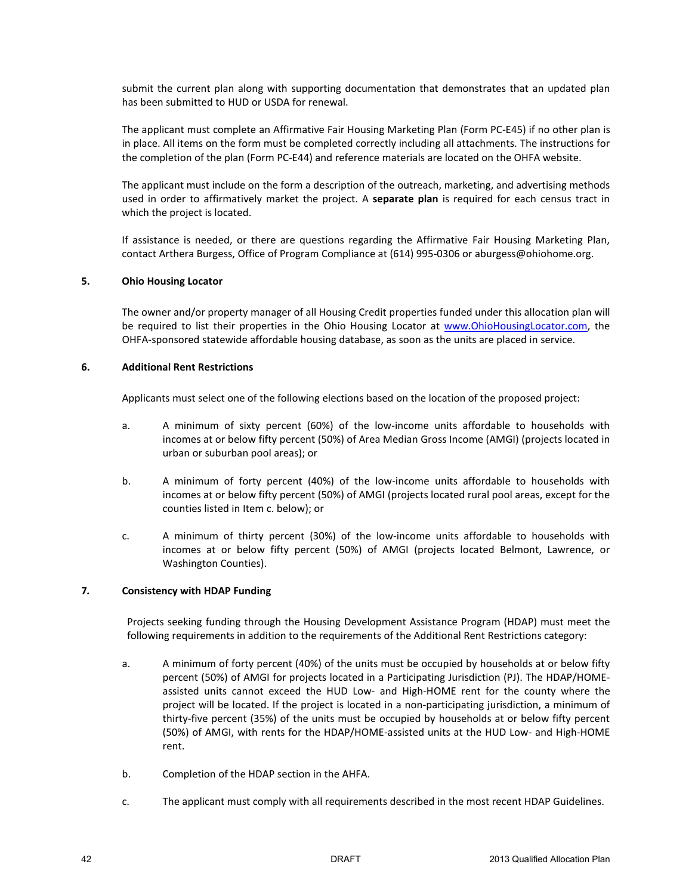submit the current plan along with supporting documentation that demonstrates that an updated plan has been submitted to HUD or USDA for renewal.

The applicant must complete an Affirmative Fair Housing Marketing Plan (Form PC-E45) if no other plan is in place. All items on the form must be completed correctly including all attachments. The instructions for the completion of the plan (Form PC-E44) and reference materials are located on the OHFA website.

The applicant must include on the form a description of the outreach, marketing, and advertising methods used in order to affirmatively market the project. A **separate plan** is required for each census tract in which the project is located.

If assistance is needed, or there are questions regarding the Affirmative Fair Housing Marketing Plan, contact Arthera Burgess, Office of Program Compliance at (614) 995-0306 or aburgess@ohiohome.org.

#### **5. Ohio Housing Locator**

The owner and/or property manager of all Housing Credit properties funded under this allocation plan will be required to list their properties in the Ohio Housing Locator at www.OhioHousingLocator.com, the OHFA-sponsored statewide affordable housing database, as soon as the units are placed in service.

#### **6. Additional Rent Restrictions**

Applicants must select one of the following elections based on the location of the proposed project:

- a. A minimum of sixty percent (60%) of the low-income units affordable to households with incomes at or below fifty percent (50%) of Area Median Gross Income (AMGI) (projects located in urban or suburban pool areas); or
- b. A minimum of forty percent (40%) of the low-income units affordable to households with incomes at or below fifty percent (50%) of AMGI (projects located rural pool areas, except for the counties listed in Item c. below); or
- c. A minimum of thirty percent (30%) of the low-income units affordable to households with incomes at or below fifty percent (50%) of AMGI (projects located Belmont, Lawrence, or Washington Counties).

#### **7***.* **Consistency with HDAP Funding**

Projects seeking funding through the Housing Development Assistance Program (HDAP) must meet the following requirements in addition to the requirements of the Additional Rent Restrictions category:

- a. A minimum of forty percent (40%) of the units must be occupied by households at or below fifty percent (50%) of AMGI for projects located in a Participating Jurisdiction (PJ). The HDAP/HOMEassisted units cannot exceed the HUD Low- and High-HOME rent for the county where the project will be located. If the project is located in a non-participating jurisdiction, a minimum of thirty-five percent (35%) of the units must be occupied by households at or below fifty percent (50%) of AMGI, with rents for the HDAP/HOME-assisted units at the HUD Low- and High-HOME rent.
- b. Completion of the HDAP section in the AHFA.
- c. The applicant must comply with all requirements described in the most recent HDAP Guidelines.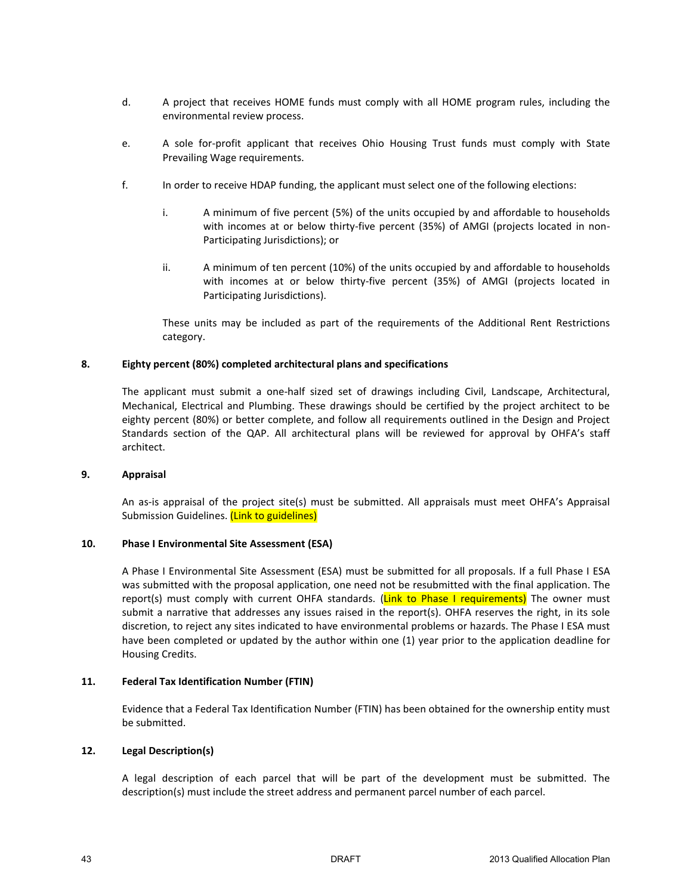- d. A project that receives HOME funds must comply with all HOME program rules, including the environmental review process.
- e. A sole for-profit applicant that receives Ohio Housing Trust funds must comply with State Prevailing Wage requirements.
- f. In order to receive HDAP funding, the applicant must select one of the following elections:
	- i. A minimum of five percent (5%) of the units occupied by and affordable to households with incomes at or below thirty-five percent (35%) of AMGI (projects located in non-Participating Jurisdictions); or
	- ii. A minimum of ten percent (10%) of the units occupied by and affordable to households with incomes at or below thirty-five percent (35%) of AMGI (projects located in Participating Jurisdictions).

These units may be included as part of the requirements of the Additional Rent Restrictions category.

#### **8. Eighty percent (80%) completed architectural plans and specifications**

The applicant must submit a one-half sized set of drawings including Civil, Landscape, Architectural, Mechanical, Electrical and Plumbing. These drawings should be certified by the project architect to be eighty percent (80%) or better complete, and follow all requirements outlined in the Design and Project Standards section of the QAP. All architectural plans will be reviewed for approval by OHFA's staff architect.

#### **9. Appraisal**

An as-is appraisal of the project site(s) must be submitted. All appraisals must meet OHFA's Appraisal Submission Guidelines. (Link to guidelines)

#### **10. Phase I Environmental Site Assessment (ESA)**

A Phase I Environmental Site Assessment (ESA) must be submitted for all proposals. If a full Phase I ESA was submitted with the proposal application, one need not be resubmitted with the final application. The report(s) must comply with current OHFA standards. (Link to Phase I requirements) The owner must submit a narrative that addresses any issues raised in the report(s). OHFA reserves the right, in its sole discretion, to reject any sites indicated to have environmental problems or hazards. The Phase I ESA must have been completed or updated by the author within one (1) year prior to the application deadline for Housing Credits.

#### **11. Federal Tax Identification Number (FTIN)**

Evidence that a Federal Tax Identification Number (FTIN) has been obtained for the ownership entity must be submitted.

#### **12. Legal Description(s)**

A legal description of each parcel that will be part of the development must be submitted. The description(s) must include the street address and permanent parcel number of each parcel.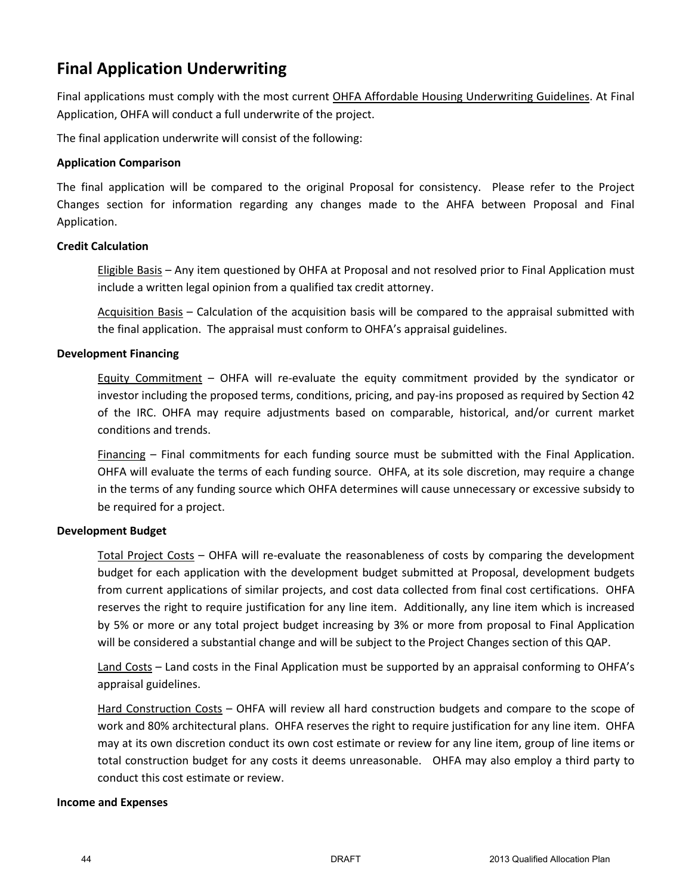# **Final Application Underwriting**

Final applications must comply with the most current OHFA Affordable Housing Underwriting Guidelines. At Final Application, OHFA will conduct a full underwrite of the project.

The final application underwrite will consist of the following:

### **Application Comparison**

The final application will be compared to the original Proposal for consistency. Please refer to the Project Changes section for information regarding any changes made to the AHFA between Proposal and Final Application.

### **Credit Calculation**

Eligible Basis – Any item questioned by OHFA at Proposal and not resolved prior to Final Application must include a written legal opinion from a qualified tax credit attorney.

Acquisition Basis – Calculation of the acquisition basis will be compared to the appraisal submitted with the final application. The appraisal must conform to OHFA's appraisal guidelines.

### **Development Financing**

Equity Commitment – OHFA will re-evaluate the equity commitment provided by the syndicator or investor including the proposed terms, conditions, pricing, and pay-ins proposed as required by Section 42 of the IRC. OHFA may require adjustments based on comparable, historical, and/or current market conditions and trends.

Financing – Final commitments for each funding source must be submitted with the Final Application. OHFA will evaluate the terms of each funding source. OHFA, at its sole discretion, may require a change in the terms of any funding source which OHFA determines will cause unnecessary or excessive subsidy to be required for a project.

### **Development Budget**

Total Project Costs – OHFA will re-evaluate the reasonableness of costs by comparing the development budget for each application with the development budget submitted at Proposal, development budgets from current applications of similar projects, and cost data collected from final cost certifications. OHFA reserves the right to require justification for any line item. Additionally, any line item which is increased by 5% or more or any total project budget increasing by 3% or more from proposal to Final Application will be considered a substantial change and will be subject to the Project Changes section of this QAP.

Land Costs – Land costs in the Final Application must be supported by an appraisal conforming to OHFA's appraisal guidelines.

Hard Construction Costs - OHFA will review all hard construction budgets and compare to the scope of work and 80% architectural plans. OHFA reserves the right to require justification for any line item. OHFA may at its own discretion conduct its own cost estimate or review for any line item, group of line items or total construction budget for any costs it deems unreasonable. OHFA may also employ a third party to conduct this cost estimate or review.

### **Income and Expenses**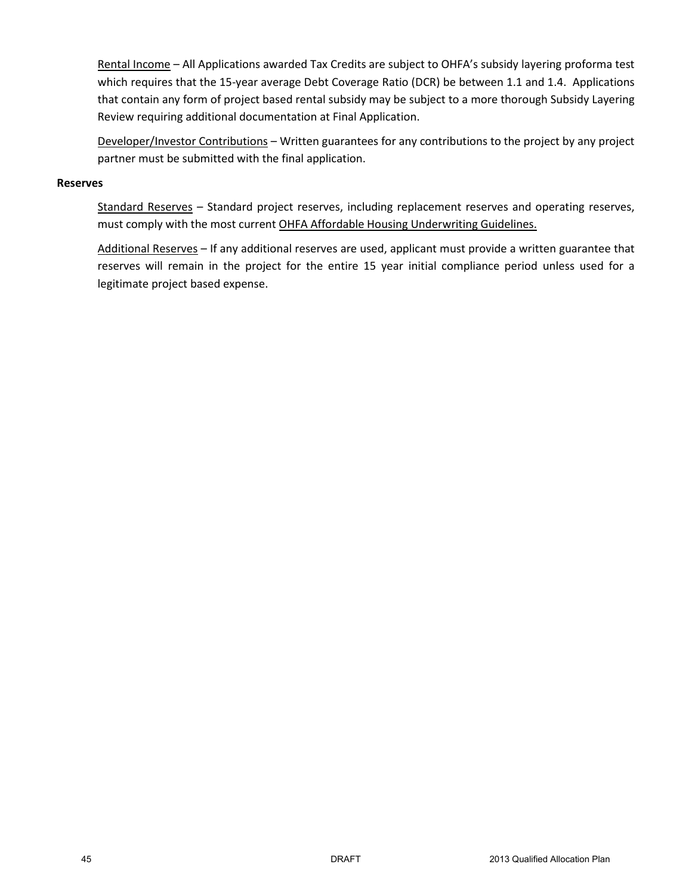Rental Income – All Applications awarded Tax Credits are subject to OHFA's subsidy layering proforma test which requires that the 15-year average Debt Coverage Ratio (DCR) be between 1.1 and 1.4. Applications that contain any form of project based rental subsidy may be subject to a more thorough Subsidy Layering Review requiring additional documentation at Final Application.

Developer/Investor Contributions – Written guarantees for any contributions to the project by any project partner must be submitted with the final application.

#### **Reserves**

Standard Reserves - Standard project reserves, including replacement reserves and operating reserves, must comply with the most current OHFA Affordable Housing Underwriting Guidelines.

Additional Reserves – If any additional reserves are used, applicant must provide a written guarantee that reserves will remain in the project for the entire 15 year initial compliance period unless used for a legitimate project based expense.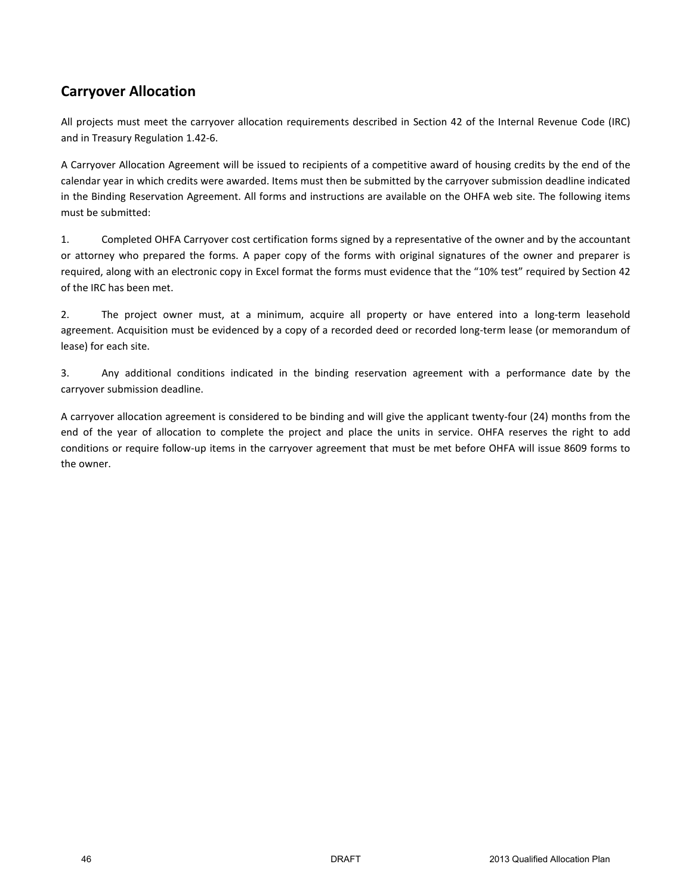# **Carryover Allocation**

All projects must meet the carryover allocation requirements described in Section 42 of the Internal Revenue Code (IRC) and in Treasury Regulation 1.42-6.

A Carryover Allocation Agreement will be issued to recipients of a competitive award of housing credits by the end of the calendar year in which credits were awarded. Items must then be submitted by the carryover submission deadline indicated in the Binding Reservation Agreement. All forms and instructions are available on the OHFA web site. The following items must be submitted:

1. Completed OHFA Carryover cost certification forms signed by a representative of the owner and by the accountant or attorney who prepared the forms. A paper copy of the forms with original signatures of the owner and preparer is required, along with an electronic copy in Excel format the forms must evidence that the "10% test" required by Section 42 of the IRC has been met.

2. The project owner must, at a minimum, acquire all property or have entered into a long-term leasehold agreement. Acquisition must be evidenced by a copy of a recorded deed or recorded long-term lease (or memorandum of lease) for each site.

3. Any additional conditions indicated in the binding reservation agreement with a performance date by the carryover submission deadline.

A carryover allocation agreement is considered to be binding and will give the applicant twenty-four (24) months from the end of the year of allocation to complete the project and place the units in service. OHFA reserves the right to add conditions or require follow-up items in the carryover agreement that must be met before OHFA will issue 8609 forms to the owner.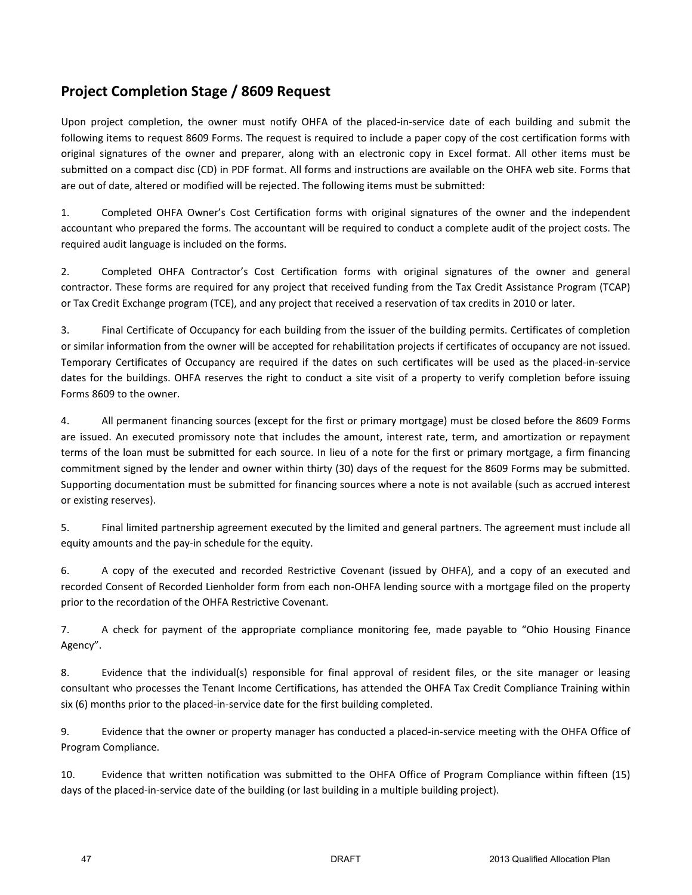# **Project Completion Stage / 8609 Request**

Upon project completion, the owner must notify OHFA of the placed-in-service date of each building and submit the following items to request 8609 Forms. The request is required to include a paper copy of the cost certification forms with original signatures of the owner and preparer, along with an electronic copy in Excel format. All other items must be submitted on a compact disc (CD) in PDF format. All forms and instructions are available on the OHFA web site. Forms that are out of date, altered or modified will be rejected. The following items must be submitted:

1. Completed OHFA Owner's Cost Certification forms with original signatures of the owner and the independent accountant who prepared the forms. The accountant will be required to conduct a complete audit of the project costs. The required audit language is included on the forms.

2. Completed OHFA Contractor's Cost Certification forms with original signatures of the owner and general contractor. These forms are required for any project that received funding from the Tax Credit Assistance Program (TCAP) or Tax Credit Exchange program (TCE), and any project that received a reservation of tax credits in 2010 or later.

3. Final Certificate of Occupancy for each building from the issuer of the building permits. Certificates of completion or similar information from the owner will be accepted for rehabilitation projects if certificates of occupancy are not issued. Temporary Certificates of Occupancy are required if the dates on such certificates will be used as the placed-in-service dates for the buildings. OHFA reserves the right to conduct a site visit of a property to verify completion before issuing Forms 8609 to the owner.

4. All permanent financing sources (except for the first or primary mortgage) must be closed before the 8609 Forms are issued. An executed promissory note that includes the amount, interest rate, term, and amortization or repayment terms of the loan must be submitted for each source. In lieu of a note for the first or primary mortgage, a firm financing commitment signed by the lender and owner within thirty (30) days of the request for the 8609 Forms may be submitted. Supporting documentation must be submitted for financing sources where a note is not available (such as accrued interest or existing reserves).

5. Final limited partnership agreement executed by the limited and general partners. The agreement must include all equity amounts and the pay-in schedule for the equity.

6. A copy of the executed and recorded Restrictive Covenant (issued by OHFA), and a copy of an executed and recorded Consent of Recorded Lienholder form from each non-OHFA lending source with a mortgage filed on the property prior to the recordation of the OHFA Restrictive Covenant.

7. A check for payment of the appropriate compliance monitoring fee, made payable to "Ohio Housing Finance Agency".

8. Evidence that the individual(s) responsible for final approval of resident files, or the site manager or leasing consultant who processes the Tenant Income Certifications, has attended the OHFA Tax Credit Compliance Training within six (6) months prior to the placed-in-service date for the first building completed.

9. Evidence that the owner or property manager has conducted a placed-in-service meeting with the OHFA Office of Program Compliance.

10. Evidence that written notification was submitted to the OHFA Office of Program Compliance within fifteen (15) days of the placed-in-service date of the building (or last building in a multiple building project).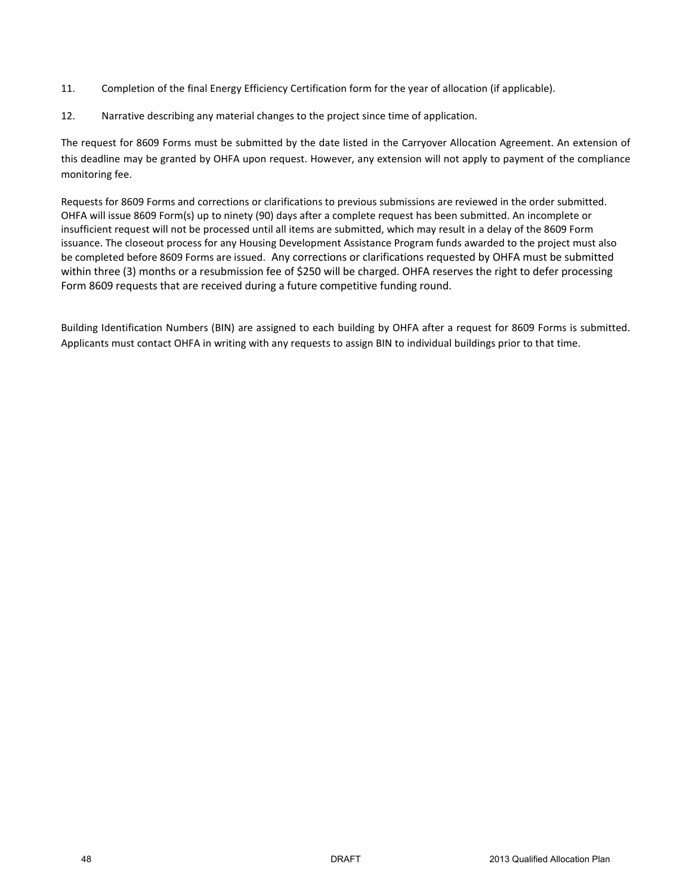- 11. Completion of the final Energy Efficiency Certification form for the year of allocation (if applicable).
- 12. Narrative describing any material changes to the project since time of application.

The request for 8609 Forms must be submitted by the date listed in the Carryover Allocation Agreement. An extension of this deadline may be granted by OHFA upon request. However, any extension will not apply to payment of the compliance monitoring fee.

Requests for 8609 Forms and corrections or clarifications to previous submissions are reviewed in the order submitted. OHFA will issue 8609 Form(s) up to ninety (90) days after a complete request has been submitted. An incomplete or insufficient request will not be processed until all items are submitted, which may result in a delay of the 8609 Form issuance. The closeout process for any Housing Development Assistance Program funds awarded to the project must also be completed before 8609 Forms are issued. Any corrections or clarifications requested by OHFA must be submitted within three (3) months or a resubmission fee of \$250 will be charged. OHFA reserves the right to defer processing Form 8609 requests that are received during a future competitive funding round.

Building Identification Numbers (BIN) are assigned to each building by OHFA after a request for 8609 Forms is submitted. Applicants must contact OHFA in writing with any requests to assign BIN to individual buildings prior to that time.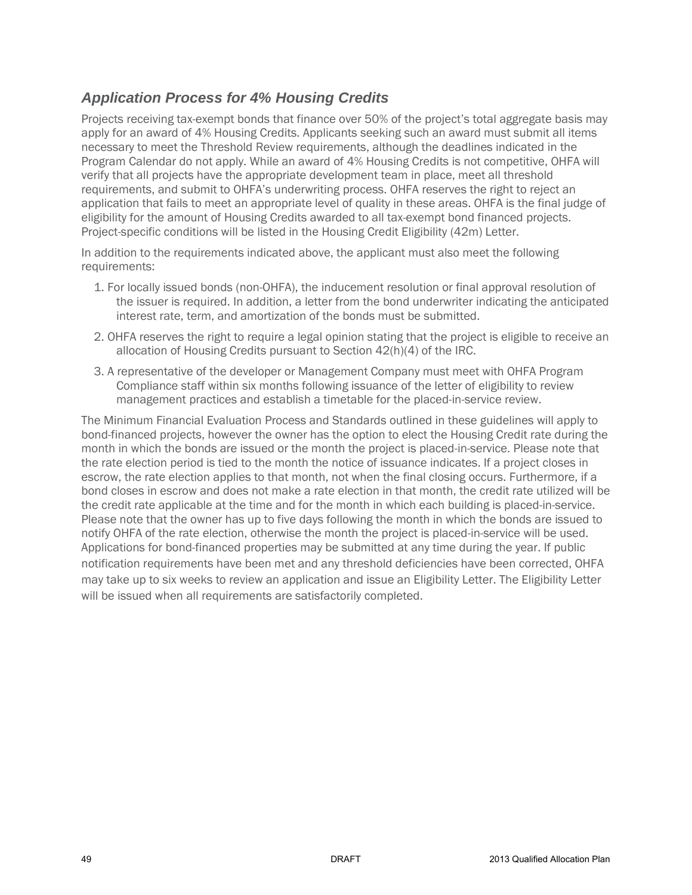# *Application Process for 4% Housing Credits*

Projects receiving tax-exempt bonds that finance over 50% of the project's total aggregate basis may apply for an award of 4% Housing Credits. Applicants seeking such an award must submit all items necessary to meet the Threshold Review requirements, although the deadlines indicated in the Program Calendar do not apply. While an award of 4% Housing Credits is not competitive, OHFA will verify that all projects have the appropriate development team in place, meet all threshold requirements, and submit to OHFA's underwriting process. OHFA reserves the right to reject an application that fails to meet an appropriate level of quality in these areas. OHFA is the final judge of eligibility for the amount of Housing Credits awarded to all tax-exempt bond financed projects. Project-specific conditions will be listed in the Housing Credit Eligibility (42m) Letter.

In addition to the requirements indicated above, the applicant must also meet the following requirements:

- 1. For locally issued bonds (non-OHFA), the inducement resolution or final approval resolution of the issuer is required. In addition, a letter from the bond underwriter indicating the anticipated interest rate, term, and amortization of the bonds must be submitted.
- 2. OHFA reserves the right to require a legal opinion stating that the project is eligible to receive an allocation of Housing Credits pursuant to Section 42(h)(4) of the IRC.
- 3. A representative of the developer or Management Company must meet with OHFA Program Compliance staff within six months following issuance of the letter of eligibility to review management practices and establish a timetable for the placed-in-service review.

The Minimum Financial Evaluation Process and Standards outlined in these guidelines will apply to bond-financed projects, however the owner has the option to elect the Housing Credit rate during the month in which the bonds are issued or the month the project is placed-in-service. Please note that the rate election period is tied to the month the notice of issuance indicates. If a project closes in escrow, the rate election applies to that month, not when the final closing occurs. Furthermore, if a bond closes in escrow and does not make a rate election in that month, the credit rate utilized will be the credit rate applicable at the time and for the month in which each building is placed-in-service. Please note that the owner has up to five days following the month in which the bonds are issued to notify OHFA of the rate election, otherwise the month the project is placed-in-service will be used. Applications for bond-financed properties may be submitted at any time during the year. If public notification requirements have been met and any threshold deficiencies have been corrected, OHFA may take up to six weeks to review an application and issue an Eligibility Letter. The Eligibility Letter will be issued when all requirements are satisfactorily completed.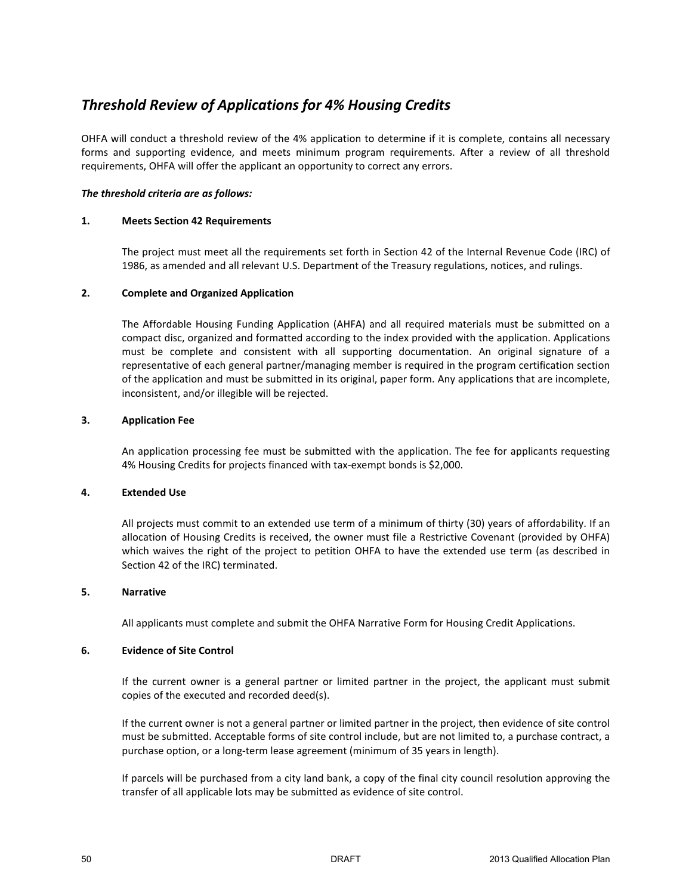# *Threshold Review of Applications for 4% Housing Credits*

OHFA will conduct a threshold review of the 4% application to determine if it is complete, contains all necessary forms and supporting evidence, and meets minimum program requirements. After a review of all threshold requirements, OHFA will offer the applicant an opportunity to correct any errors.

#### *The threshold criteria are as follows:*

#### **1. Meets Section 42 Requirements**

The project must meet all the requirements set forth in Section 42 of the Internal Revenue Code (IRC) of 1986, as amended and all relevant U.S. Department of the Treasury regulations, notices, and rulings.

#### **2. Complete and Organized Application**

The Affordable Housing Funding Application (AHFA) and all required materials must be submitted on a compact disc, organized and formatted according to the index provided with the application. Applications must be complete and consistent with all supporting documentation. An original signature of a representative of each general partner/managing member is required in the program certification section of the application and must be submitted in its original, paper form. Any applications that are incomplete, inconsistent, and/or illegible will be rejected.

#### **3. Application Fee**

An application processing fee must be submitted with the application. The fee for applicants requesting 4% Housing Credits for projects financed with tax-exempt bonds is \$2,000.

#### **4. Extended Use**

All projects must commit to an extended use term of a minimum of thirty (30) years of affordability. If an allocation of Housing Credits is received, the owner must file a Restrictive Covenant (provided by OHFA) which waives the right of the project to petition OHFA to have the extended use term (as described in Section 42 of the IRC) terminated.

#### **5. Narrative**

All applicants must complete and submit the OHFA Narrative Form for Housing Credit Applications.

#### **6. Evidence of Site Control**

If the current owner is a general partner or limited partner in the project, the applicant must submit copies of the executed and recorded deed(s).

If the current owner is not a general partner or limited partner in the project, then evidence of site control must be submitted. Acceptable forms of site control include, but are not limited to, a purchase contract, a purchase option, or a long-term lease agreement (minimum of 35 years in length).

If parcels will be purchased from a city land bank, a copy of the final city council resolution approving the transfer of all applicable lots may be submitted as evidence of site control.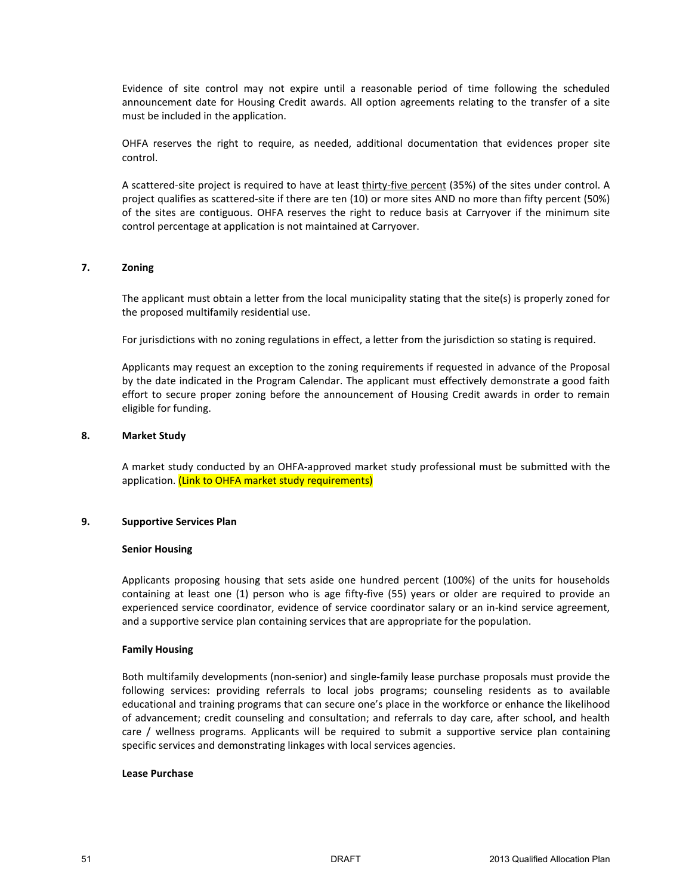Evidence of site control may not expire until a reasonable period of time following the scheduled announcement date for Housing Credit awards. All option agreements relating to the transfer of a site must be included in the application.

OHFA reserves the right to require, as needed, additional documentation that evidences proper site control.

A scattered-site project is required to have at least thirty-five percent (35%) of the sites under control. A project qualifies as scattered-site if there are ten (10) or more sites AND no more than fifty percent (50%) of the sites are contiguous. OHFA reserves the right to reduce basis at Carryover if the minimum site control percentage at application is not maintained at Carryover.

#### **7. Zoning**

The applicant must obtain a letter from the local municipality stating that the site(s) is properly zoned for the proposed multifamily residential use.

For jurisdictions with no zoning regulations in effect, a letter from the jurisdiction so stating is required.

Applicants may request an exception to the zoning requirements if requested in advance of the Proposal by the date indicated in the Program Calendar. The applicant must effectively demonstrate a good faith effort to secure proper zoning before the announcement of Housing Credit awards in order to remain eligible for funding.

#### **8. Market Study**

A market study conducted by an OHFA-approved market study professional must be submitted with the application. (Link to OHFA market study requirements)

#### **9. Supportive Services Plan**

#### **Senior Housing**

Applicants proposing housing that sets aside one hundred percent (100%) of the units for households containing at least one (1) person who is age fifty-five (55) years or older are required to provide an experienced service coordinator, evidence of service coordinator salary or an in-kind service agreement, and a supportive service plan containing services that are appropriate for the population.

#### **Family Housing**

Both multifamily developments (non-senior) and single-family lease purchase proposals must provide the following services: providing referrals to local jobs programs; counseling residents as to available educational and training programs that can secure one's place in the workforce or enhance the likelihood of advancement; credit counseling and consultation; and referrals to day care, after school, and health care / wellness programs. Applicants will be required to submit a supportive service plan containing specific services and demonstrating linkages with local services agencies.

#### **Lease Purchase**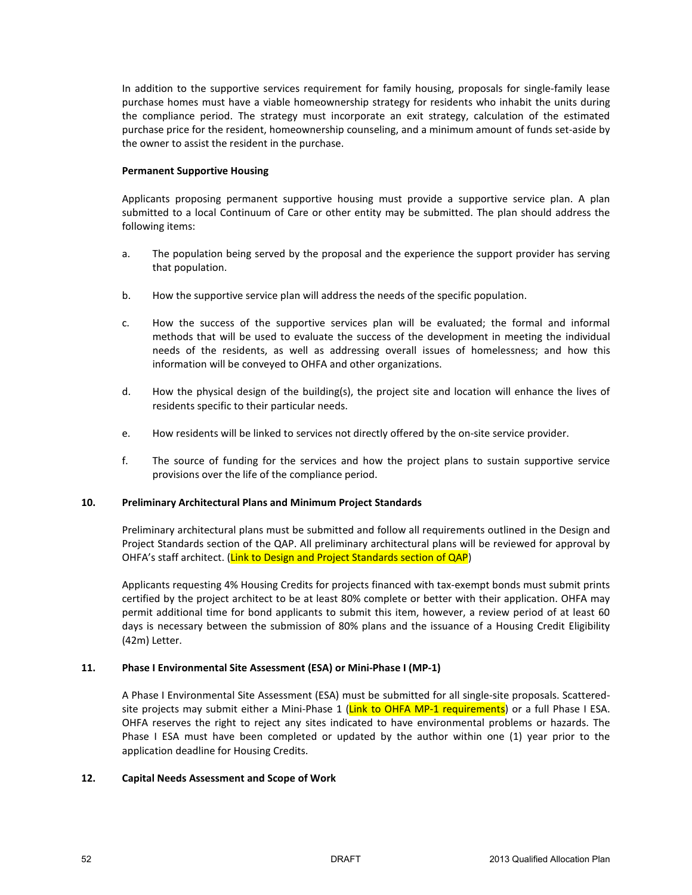In addition to the supportive services requirement for family housing, proposals for single-family lease purchase homes must have a viable homeownership strategy for residents who inhabit the units during the compliance period. The strategy must incorporate an exit strategy, calculation of the estimated purchase price for the resident, homeownership counseling, and a minimum amount of funds set-aside by the owner to assist the resident in the purchase.

#### **Permanent Supportive Housing**

Applicants proposing permanent supportive housing must provide a supportive service plan. A plan submitted to a local Continuum of Care or other entity may be submitted. The plan should address the following items:

- a. The population being served by the proposal and the experience the support provider has serving that population.
- b. How the supportive service plan will address the needs of the specific population.
- c. How the success of the supportive services plan will be evaluated; the formal and informal methods that will be used to evaluate the success of the development in meeting the individual needs of the residents, as well as addressing overall issues of homelessness; and how this information will be conveyed to OHFA and other organizations.
- d. How the physical design of the building(s), the project site and location will enhance the lives of residents specific to their particular needs.
- e. How residents will be linked to services not directly offered by the on-site service provider.
- f. The source of funding for the services and how the project plans to sustain supportive service provisions over the life of the compliance period.

#### **10. Preliminary Architectural Plans and Minimum Project Standards**

Preliminary architectural plans must be submitted and follow all requirements outlined in the Design and Project Standards section of the QAP. All preliminary architectural plans will be reviewed for approval by OHFA's staff architect. (Link to Design and Project Standards section of QAP)

Applicants requesting 4% Housing Credits for projects financed with tax-exempt bonds must submit prints certified by the project architect to be at least 80% complete or better with their application. OHFA may permit additional time for bond applicants to submit this item, however, a review period of at least 60 days is necessary between the submission of 80% plans and the issuance of a Housing Credit Eligibility (42m) Letter.

#### **11. Phase I Environmental Site Assessment (ESA) or Mini-Phase I (MP-1)**

A Phase I Environmental Site Assessment (ESA) must be submitted for all single-site proposals. Scatteredsite projects may submit either a Mini-Phase 1 (Link to OHFA MP-1 requirements) or a full Phase I ESA. OHFA reserves the right to reject any sites indicated to have environmental problems or hazards. The Phase I ESA must have been completed or updated by the author within one (1) year prior to the application deadline for Housing Credits.

#### **12. Capital Needs Assessment and Scope of Work**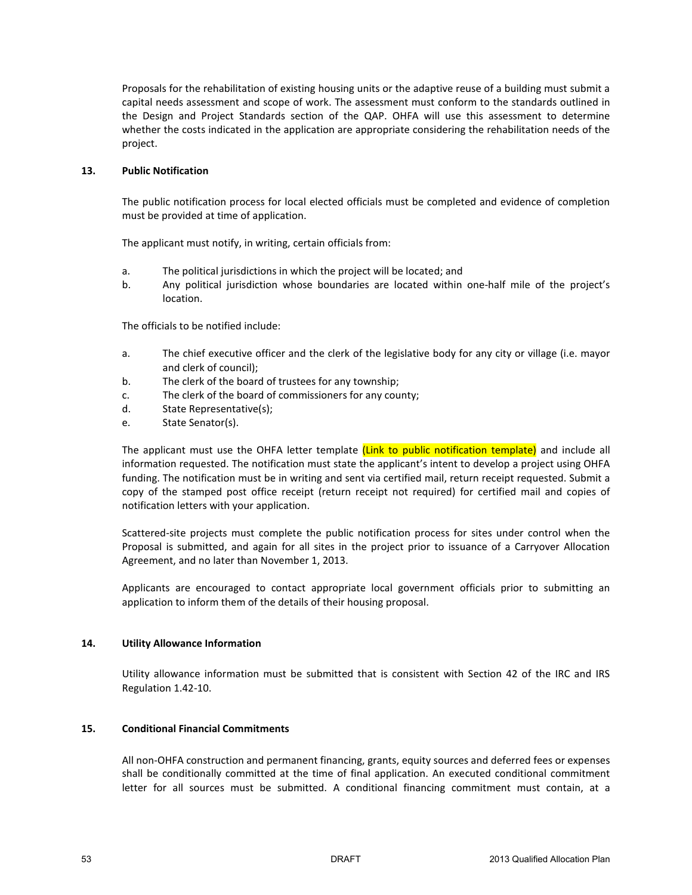Proposals for the rehabilitation of existing housing units or the adaptive reuse of a building must submit a capital needs assessment and scope of work. The assessment must conform to the standards outlined in the Design and Project Standards section of the QAP. OHFA will use this assessment to determine whether the costs indicated in the application are appropriate considering the rehabilitation needs of the project.

#### **13. Public Notification**

The public notification process for local elected officials must be completed and evidence of completion must be provided at time of application.

The applicant must notify, in writing, certain officials from:

- a. The political jurisdictions in which the project will be located; and
- b. Any political jurisdiction whose boundaries are located within one-half mile of the project's location.

The officials to be notified include:

- a. The chief executive officer and the clerk of the legislative body for any city or village (i.e. mayor and clerk of council);
- b. The clerk of the board of trustees for any township;
- c. The clerk of the board of commissioners for any county;
- d. State Representative(s);
- e. State Senator(s).

The applicant must use the OHFA letter template *(Link to public notification template)* and include all information requested. The notification must state the applicant's intent to develop a project using OHFA funding. The notification must be in writing and sent via certified mail, return receipt requested. Submit a copy of the stamped post office receipt (return receipt not required) for certified mail and copies of notification letters with your application.

Scattered-site projects must complete the public notification process for sites under control when the Proposal is submitted, and again for all sites in the project prior to issuance of a Carryover Allocation Agreement, and no later than November 1, 2013.

Applicants are encouraged to contact appropriate local government officials prior to submitting an application to inform them of the details of their housing proposal.

#### **14. Utility Allowance Information**

Utility allowance information must be submitted that is consistent with Section 42 of the IRC and IRS Regulation 1.42-10.

#### **15. Conditional Financial Commitments**

All non-OHFA construction and permanent financing, grants, equity sources and deferred fees or expenses shall be conditionally committed at the time of final application. An executed conditional commitment letter for all sources must be submitted. A conditional financing commitment must contain, at a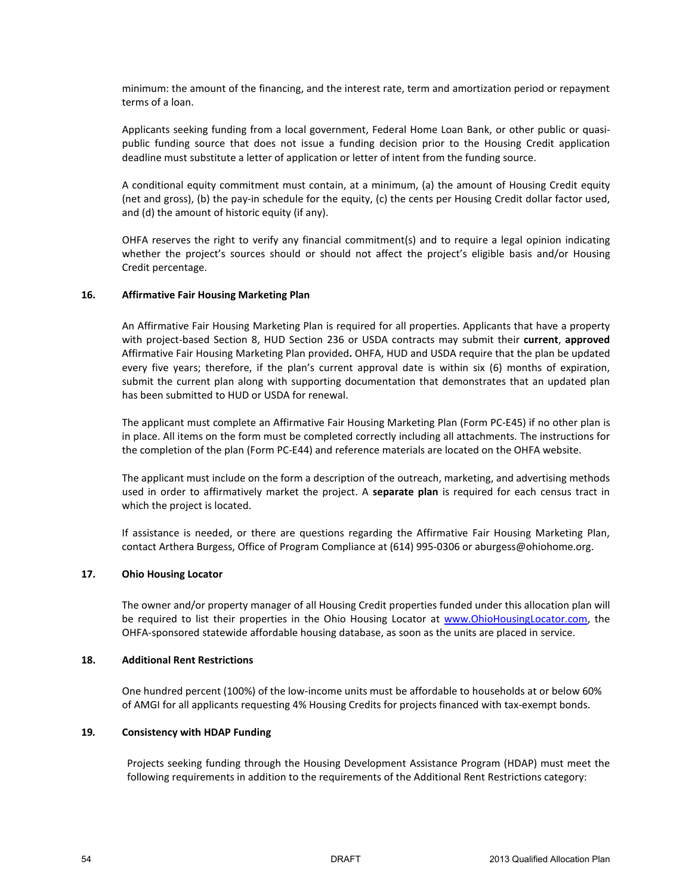minimum: the amount of the financing, and the interest rate, term and amortization period or repayment terms of a loan.

Applicants seeking funding from a local government, Federal Home Loan Bank, or other public or quasipublic funding source that does not issue a funding decision prior to the Housing Credit application deadline must substitute a letter of application or letter of intent from the funding source.

A conditional equity commitment must contain, at a minimum, (a) the amount of Housing Credit equity (net and gross), (b) the pay-in schedule for the equity, (c) the cents per Housing Credit dollar factor used, and (d) the amount of historic equity (if any).

OHFA reserves the right to verify any financial commitment(s) and to require a legal opinion indicating whether the project's sources should or should not affect the project's eligible basis and/or Housing Credit percentage.

#### **16. Affirmative Fair Housing Marketing Plan**

An Affirmative Fair Housing Marketing Plan is required for all properties. Applicants that have a property with project-based Section 8, HUD Section 236 or USDA contracts may submit their **current**, **approved**  Affirmative Fair Housing Marketing Plan provided**.** OHFA, HUD and USDA require that the plan be updated every five years; therefore, if the plan's current approval date is within six (6) months of expiration, submit the current plan along with supporting documentation that demonstrates that an updated plan has been submitted to HUD or USDA for renewal.

The applicant must complete an Affirmative Fair Housing Marketing Plan (Form PC-E45) if no other plan is in place. All items on the form must be completed correctly including all attachments. The instructions for the completion of the plan (Form PC-E44) and reference materials are located on the OHFA website.

The applicant must include on the form a description of the outreach, marketing, and advertising methods used in order to affirmatively market the project. A **separate plan** is required for each census tract in which the project is located.

If assistance is needed, or there are questions regarding the Affirmative Fair Housing Marketing Plan, contact Arthera Burgess, Office of Program Compliance at (614) 995-0306 or aburgess@ohiohome.org.

#### **17. Ohio Housing Locator**

The owner and/or property manager of all Housing Credit properties funded under this allocation plan will be required to list their properties in the Ohio Housing Locator at www.OhioHousingLocator.com, the OHFA-sponsored statewide affordable housing database, as soon as the units are placed in service.

#### **18. Additional Rent Restrictions**

One hundred percent (100%) of the low-income units must be affordable to households at or below 60% of AMGI for all applicants requesting 4% Housing Credits for projects financed with tax-exempt bonds.

#### **19***.* **Consistency with HDAP Funding**

Projects seeking funding through the Housing Development Assistance Program (HDAP) must meet the following requirements in addition to the requirements of the Additional Rent Restrictions category: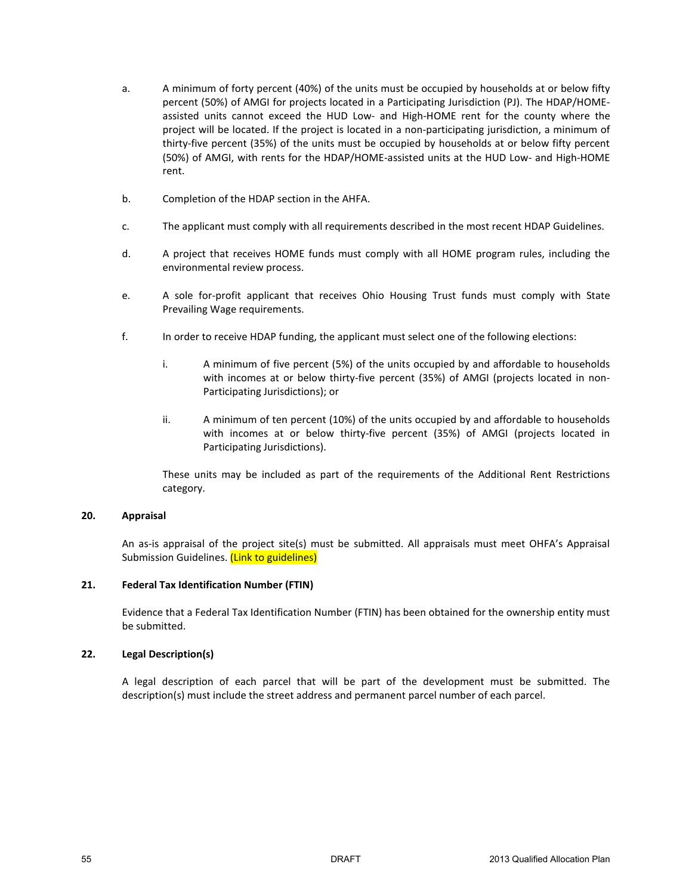- a. A minimum of forty percent (40%) of the units must be occupied by households at or below fifty percent (50%) of AMGI for projects located in a Participating Jurisdiction (PJ). The HDAP/HOMEassisted units cannot exceed the HUD Low- and High-HOME rent for the county where the project will be located. If the project is located in a non-participating jurisdiction, a minimum of thirty-five percent (35%) of the units must be occupied by households at or below fifty percent (50%) of AMGI, with rents for the HDAP/HOME-assisted units at the HUD Low- and High-HOME rent.
- b. Completion of the HDAP section in the AHFA.
- c. The applicant must comply with all requirements described in the most recent HDAP Guidelines.
- d. A project that receives HOME funds must comply with all HOME program rules, including the environmental review process.
- e. A sole for-profit applicant that receives Ohio Housing Trust funds must comply with State Prevailing Wage requirements.
- f. In order to receive HDAP funding, the applicant must select one of the following elections:
	- i. A minimum of five percent (5%) of the units occupied by and affordable to households with incomes at or below thirty-five percent (35%) of AMGI (projects located in non-Participating Jurisdictions); or
	- ii. A minimum of ten percent (10%) of the units occupied by and affordable to households with incomes at or below thirty-five percent (35%) of AMGI (projects located in Participating Jurisdictions).

These units may be included as part of the requirements of the Additional Rent Restrictions category.

#### **20. Appraisal**

An as-is appraisal of the project site(s) must be submitted. All appraisals must meet OHFA's Appraisal Submission Guidelines. (Link to guidelines)

#### **21. Federal Tax Identification Number (FTIN)**

Evidence that a Federal Tax Identification Number (FTIN) has been obtained for the ownership entity must be submitted.

#### **22. Legal Description(s)**

A legal description of each parcel that will be part of the development must be submitted. The description(s) must include the street address and permanent parcel number of each parcel.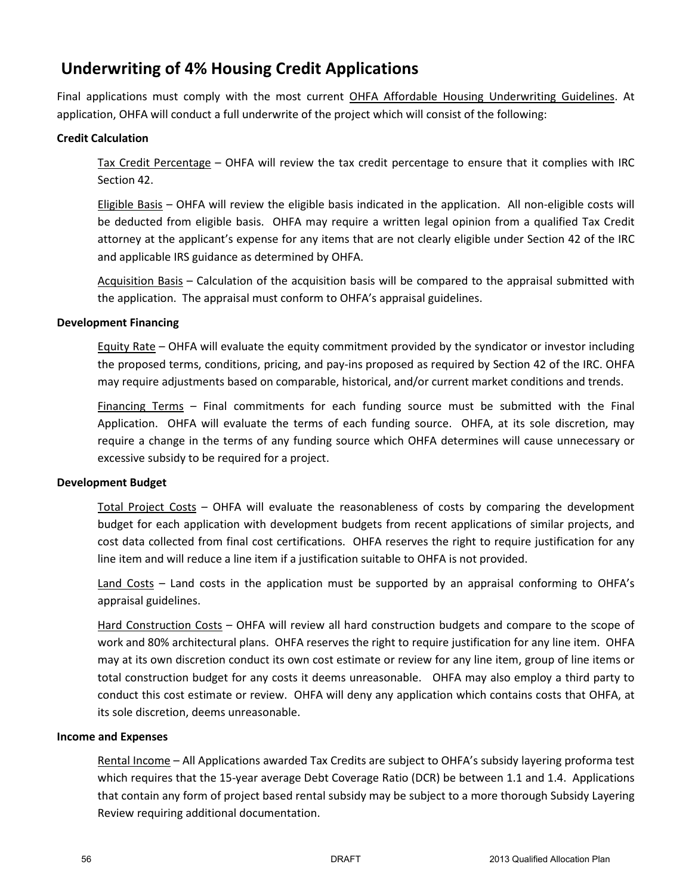# **Underwriting of 4% Housing Credit Applications**

Final applications must comply with the most current OHFA Affordable Housing Underwriting Guidelines. At application, OHFA will conduct a full underwrite of the project which will consist of the following:

## **Credit Calculation**

Tax Credit Percentage – OHFA will review the tax credit percentage to ensure that it complies with IRC Section 42.

Eligible Basis – OHFA will review the eligible basis indicated in the application. All non-eligible costs will be deducted from eligible basis. OHFA may require a written legal opinion from a qualified Tax Credit attorney at the applicant's expense for any items that are not clearly eligible under Section 42 of the IRC and applicable IRS guidance as determined by OHFA.

Acquisition Basis – Calculation of the acquisition basis will be compared to the appraisal submitted with the application. The appraisal must conform to OHFA's appraisal guidelines.

### **Development Financing**

Equity Rate – OHFA will evaluate the equity commitment provided by the syndicator or investor including the proposed terms, conditions, pricing, and pay-ins proposed as required by Section 42 of the IRC. OHFA may require adjustments based on comparable, historical, and/or current market conditions and trends.

Financing Terms – Final commitments for each funding source must be submitted with the Final Application. OHFA will evaluate the terms of each funding source. OHFA, at its sole discretion, may require a change in the terms of any funding source which OHFA determines will cause unnecessary or excessive subsidy to be required for a project.

### **Development Budget**

Total Project Costs – OHFA will evaluate the reasonableness of costs by comparing the development budget for each application with development budgets from recent applications of similar projects, and cost data collected from final cost certifications. OHFA reserves the right to require justification for any line item and will reduce a line item if a justification suitable to OHFA is not provided.

Land Costs – Land costs in the application must be supported by an appraisal conforming to OHFA's appraisal guidelines.

Hard Construction Costs – OHFA will review all hard construction budgets and compare to the scope of work and 80% architectural plans. OHFA reserves the right to require justification for any line item. OHFA may at its own discretion conduct its own cost estimate or review for any line item, group of line items or total construction budget for any costs it deems unreasonable. OHFA may also employ a third party to conduct this cost estimate or review. OHFA will deny any application which contains costs that OHFA, at its sole discretion, deems unreasonable.

### **Income and Expenses**

Rental Income – All Applications awarded Tax Credits are subject to OHFA's subsidy layering proforma test which requires that the 15-year average Debt Coverage Ratio (DCR) be between 1.1 and 1.4. Applications that contain any form of project based rental subsidy may be subject to a more thorough Subsidy Layering Review requiring additional documentation.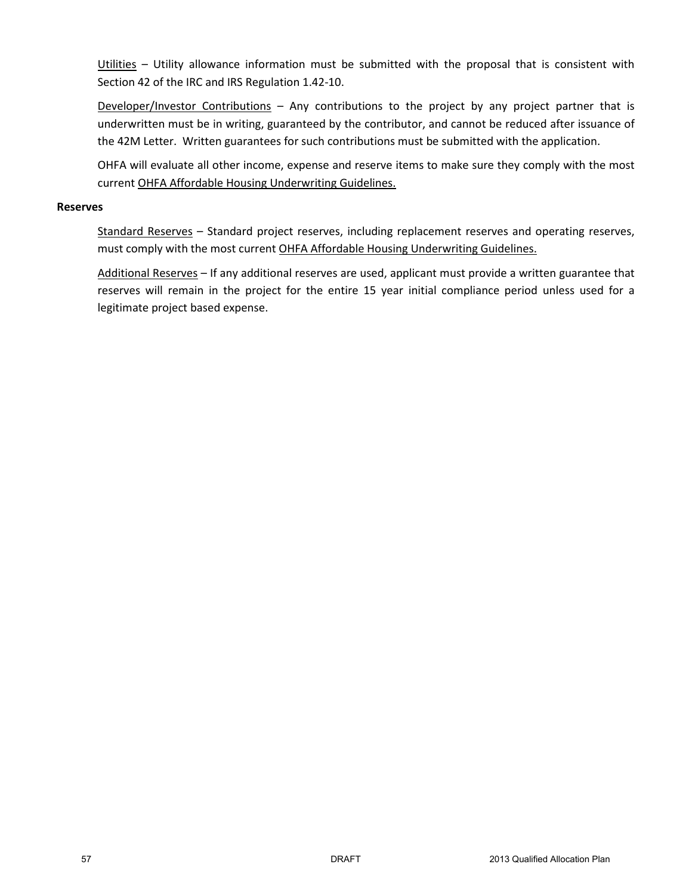Utilities - Utility allowance information must be submitted with the proposal that is consistent with Section 42 of the IRC and IRS Regulation 1.42-10.

Developer/Investor Contributions – Any contributions to the project by any project partner that is underwritten must be in writing, guaranteed by the contributor, and cannot be reduced after issuance of the 42M Letter. Written guarantees for such contributions must be submitted with the application.

OHFA will evaluate all other income, expense and reserve items to make sure they comply with the most current OHFA Affordable Housing Underwriting Guidelines.

#### **Reserves**

Standard Reserves – Standard project reserves, including replacement reserves and operating reserves, must comply with the most current OHFA Affordable Housing Underwriting Guidelines.

Additional Reserves - If any additional reserves are used, applicant must provide a written guarantee that reserves will remain in the project for the entire 15 year initial compliance period unless used for a legitimate project based expense.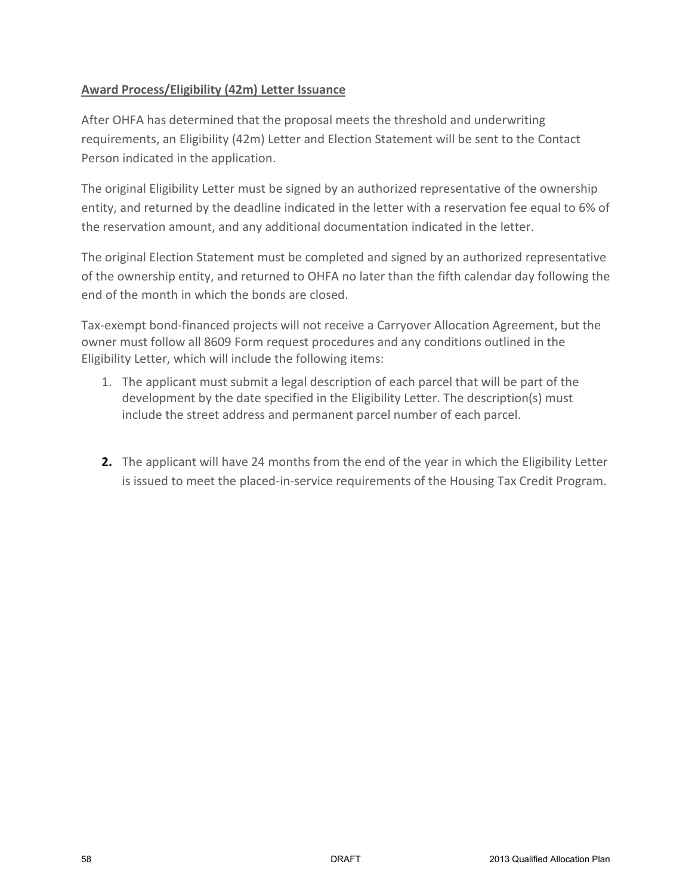# **Award Process/Eligibility (42m) Letter Issuance**

After OHFA has determined that the proposal meets the threshold and underwriting requirements, an Eligibility (42m) Letter and Election Statement will be sent to the Contact Person indicated in the application.

The original Eligibility Letter must be signed by an authorized representative of the ownership entity, and returned by the deadline indicated in the letter with a reservation fee equal to 6% of the reservation amount, and any additional documentation indicated in the letter.

The original Election Statement must be completed and signed by an authorized representative of the ownership entity, and returned to OHFA no later than the fifth calendar day following the end of the month in which the bonds are closed.

Tax-exempt bond-financed projects will not receive a Carryover Allocation Agreement, but the owner must follow all 8609 Form request procedures and any conditions outlined in the Eligibility Letter, which will include the following items:

- 1. The applicant must submit a legal description of each parcel that will be part of the development by the date specified in the Eligibility Letter. The description(s) must include the street address and permanent parcel number of each parcel.
- **2.** The applicant will have 24 months from the end of the year in which the Eligibility Letter is issued to meet the placed-in-service requirements of the Housing Tax Credit Program.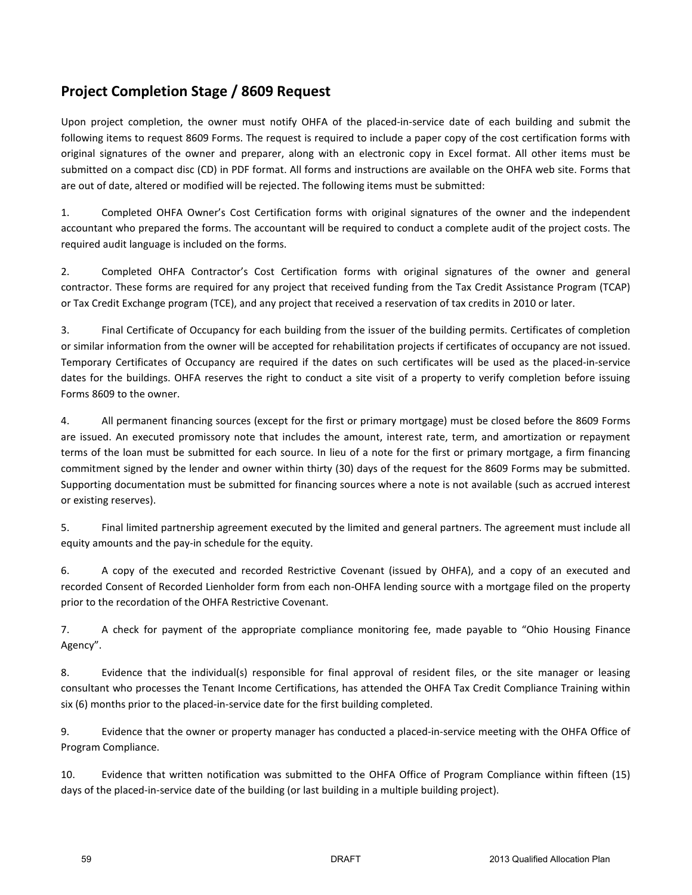# **Project Completion Stage / 8609 Request**

Upon project completion, the owner must notify OHFA of the placed-in-service date of each building and submit the following items to request 8609 Forms. The request is required to include a paper copy of the cost certification forms with original signatures of the owner and preparer, along with an electronic copy in Excel format. All other items must be submitted on a compact disc (CD) in PDF format. All forms and instructions are available on the OHFA web site. Forms that are out of date, altered or modified will be rejected. The following items must be submitted:

1. Completed OHFA Owner's Cost Certification forms with original signatures of the owner and the independent accountant who prepared the forms. The accountant will be required to conduct a complete audit of the project costs. The required audit language is included on the forms.

2. Completed OHFA Contractor's Cost Certification forms with original signatures of the owner and general contractor. These forms are required for any project that received funding from the Tax Credit Assistance Program (TCAP) or Tax Credit Exchange program (TCE), and any project that received a reservation of tax credits in 2010 or later.

3. Final Certificate of Occupancy for each building from the issuer of the building permits. Certificates of completion or similar information from the owner will be accepted for rehabilitation projects if certificates of occupancy are not issued. Temporary Certificates of Occupancy are required if the dates on such certificates will be used as the placed-in-service dates for the buildings. OHFA reserves the right to conduct a site visit of a property to verify completion before issuing Forms 8609 to the owner.

4. All permanent financing sources (except for the first or primary mortgage) must be closed before the 8609 Forms are issued. An executed promissory note that includes the amount, interest rate, term, and amortization or repayment terms of the loan must be submitted for each source. In lieu of a note for the first or primary mortgage, a firm financing commitment signed by the lender and owner within thirty (30) days of the request for the 8609 Forms may be submitted. Supporting documentation must be submitted for financing sources where a note is not available (such as accrued interest or existing reserves).

5. Final limited partnership agreement executed by the limited and general partners. The agreement must include all equity amounts and the pay-in schedule for the equity.

6. A copy of the executed and recorded Restrictive Covenant (issued by OHFA), and a copy of an executed and recorded Consent of Recorded Lienholder form from each non-OHFA lending source with a mortgage filed on the property prior to the recordation of the OHFA Restrictive Covenant.

7. A check for payment of the appropriate compliance monitoring fee, made payable to "Ohio Housing Finance Agency".

8. Evidence that the individual(s) responsible for final approval of resident files, or the site manager or leasing consultant who processes the Tenant Income Certifications, has attended the OHFA Tax Credit Compliance Training within six (6) months prior to the placed-in-service date for the first building completed.

9. Evidence that the owner or property manager has conducted a placed-in-service meeting with the OHFA Office of Program Compliance.

10. Evidence that written notification was submitted to the OHFA Office of Program Compliance within fifteen (15) days of the placed-in-service date of the building (or last building in a multiple building project).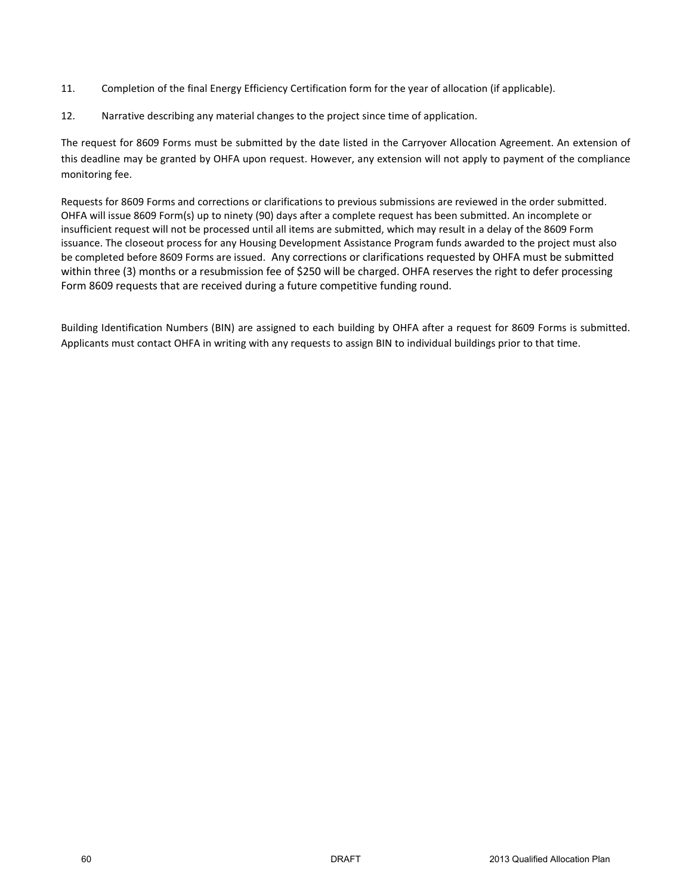- 11. Completion of the final Energy Efficiency Certification form for the year of allocation (if applicable).
- 12. Narrative describing any material changes to the project since time of application.

The request for 8609 Forms must be submitted by the date listed in the Carryover Allocation Agreement. An extension of this deadline may be granted by OHFA upon request. However, any extension will not apply to payment of the compliance monitoring fee.

Requests for 8609 Forms and corrections or clarifications to previous submissions are reviewed in the order submitted. OHFA will issue 8609 Form(s) up to ninety (90) days after a complete request has been submitted. An incomplete or insufficient request will not be processed until all items are submitted, which may result in a delay of the 8609 Form issuance. The closeout process for any Housing Development Assistance Program funds awarded to the project must also be completed before 8609 Forms are issued. Any corrections or clarifications requested by OHFA must be submitted within three (3) months or a resubmission fee of \$250 will be charged. OHFA reserves the right to defer processing Form 8609 requests that are received during a future competitive funding round.

Building Identification Numbers (BIN) are assigned to each building by OHFA after a request for 8609 Forms is submitted. Applicants must contact OHFA in writing with any requests to assign BIN to individual buildings prior to that time.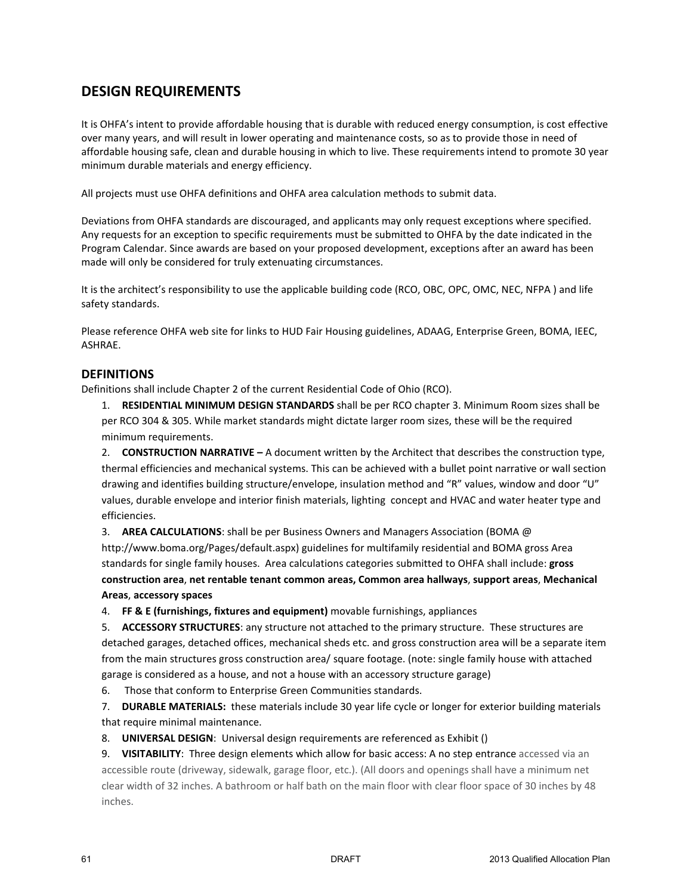# **DESIGN REQUIREMENTS**

It is OHFA's intent to provide affordable housing that is durable with reduced energy consumption, is cost effective over many years, and will result in lower operating and maintenance costs, so as to provide those in need of affordable housing safe, clean and durable housing in which to live. These requirements intend to promote 30 year minimum durable materials and energy efficiency.

All projects must use OHFA definitions and OHFA area calculation methods to submit data.

Deviations from OHFA standards are discouraged, and applicants may only request exceptions where specified. Any requests for an exception to specific requirements must be submitted to OHFA by the date indicated in the Program Calendar. Since awards are based on your proposed development, exceptions after an award has been made will only be considered for truly extenuating circumstances.

It is the architect's responsibility to use the applicable building code (RCO, OBC, OPC, OMC, NEC, NFPA) and life safety standards.

Please reference OHFA web site for links to HUD Fair Housing guidelines, ADAAG, Enterprise Green, BOMA, IEEC, ASHRAE.

## **DEFINITIONS**

Definitions shall include Chapter 2 of the current Residential Code of Ohio (RCO).

1. **RESIDENTIAL MINIMUM DESIGN STANDARDS** shall be per RCO chapter 3. Minimum Room sizes shall be per RCO 304 & 305. While market standards might dictate larger room sizes, these will be the required minimum requirements.

2. **CONSTRUCTION NARRATIVE –** A document written by the Architect that describes the construction type, thermal efficiencies and mechanical systems. This can be achieved with a bullet point narrative or wall section drawing and identifies building structure/envelope, insulation method and "R" values, window and door "U" values, durable envelope and interior finish materials, lighting concept and HVAC and water heater type and efficiencies.

3. **AREA CALCULATIONS**: shall be per Business Owners and Managers Association (BOMA @ http://www.boma.org/Pages/default.aspx) guidelines for multifamily residential and BOMA gross Area standards for single family houses. Area calculations categories submitted to OHFA shall include: **gross construction area**, **net rentable tenant common areas, Common area hallways**, **support areas**, **Mechanical Areas**, **accessory spaces**

4. **FF & E (furnishings, fixtures and equipment)** movable furnishings, appliances

5. **ACCESSORY STRUCTURES**: any structure not attached to the primary structure. These structures are detached garages, detached offices, mechanical sheds etc. and gross construction area will be a separate item from the main structures gross construction area/ square footage. (note: single family house with attached garage is considered as a house, and not a house with an accessory structure garage)

6. Those that conform to Enterprise Green Communities standards.

7. **DURABLE MATERIALS:** these materials include 30 year life cycle or longer for exterior building materials that require minimal maintenance.

8. **UNIVERSAL DESIGN**: Universal design requirements are referenced as Exhibit ()

9. **VISITABILITY**: Three design elements which allow for basic access: A no step entrance accessed via an accessible route (driveway, sidewalk, garage floor, etc.). (All doors and openings shall have a minimum net clear width of 32 inches. A bathroom or half bath on the main floor with clear floor space of 30 inches by 48 inches.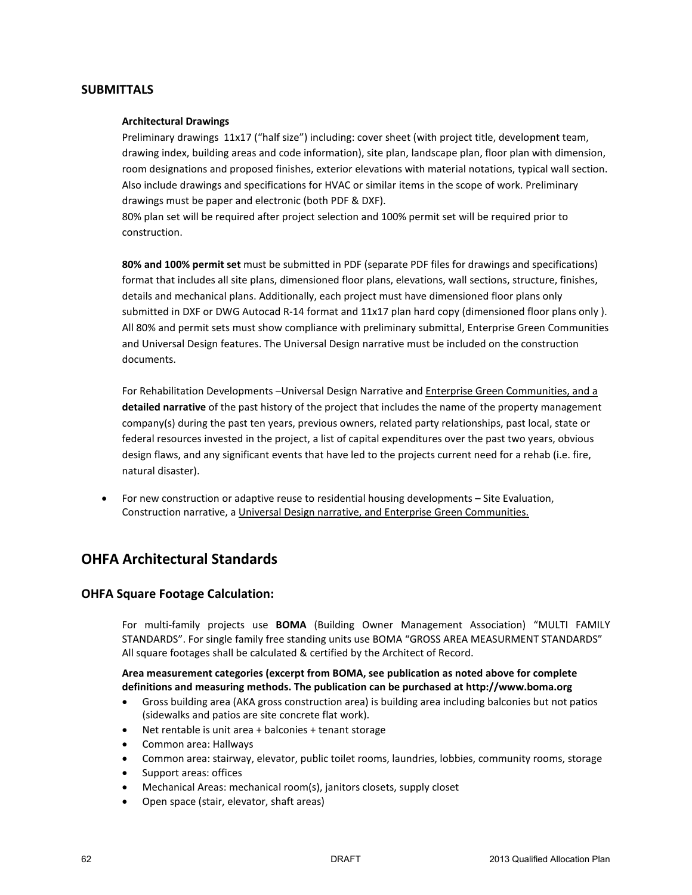#### **SUBMITTALS**

#### **Architectural Drawings**

Preliminary drawings 11x17 ("half size") including: cover sheet (with project title, development team, drawing index, building areas and code information), site plan, landscape plan, floor plan with dimension, room designations and proposed finishes, exterior elevations with material notations, typical wall section. Also include drawings and specifications for HVAC or similar items in the scope of work. Preliminary drawings must be paper and electronic (both PDF & DXF).

80% plan set will be required after project selection and 100% permit set will be required prior to construction.

**80% and 100% permit set** must be submitted in PDF (separate PDF files for drawings and specifications) format that includes all site plans, dimensioned floor plans, elevations, wall sections, structure, finishes, details and mechanical plans. Additionally, each project must have dimensioned floor plans only submitted in DXF or DWG Autocad R-14 format and 11x17 plan hard copy (dimensioned floor plans only). All 80% and permit sets must show compliance with preliminary submittal, Enterprise Green Communities and Universal Design features. The Universal Design narrative must be included on the construction documents.

For Rehabilitation Developments - Universal Design Narrative and Enterprise Green Communities, and a **detailed narrative** of the past history of the project that includes the name of the property management company(s) during the past ten years, previous owners, related party relationships, past local, state or federal resources invested in the project, a list of capital expenditures over the past two years, obvious design flaws, and any significant events that have led to the projects current need for a rehab (i.e. fire, natural disaster).

• For new construction or adaptive reuse to residential housing developments – Site Evaluation, Construction narrative, a Universal Design narrative, and Enterprise Green Communities.

## **OHFA Architectural Standards**

### **OHFA Square Footage Calculation:**

For multi-family projects use **BOMA** (Building Owner Management Association) "MULTI FAMILY STANDARDS". For single family free standing units use BOMA "GROSS AREA MEASURMENT STANDARDS" All square footages shall be calculated & certified by the Architect of Record.

**Area measurement categories (excerpt from BOMA, see publication as noted above for complete definitions and measuring methods. The publication can be purchased at http://www.boma.org**

- Gross building area (AKA gross construction area) is building area including balconies but not patios (sidewalks and patios are site concrete flat work).
- Net rentable is unit area + balconies + tenant storage
- Common area: Hallways
- Common area: stairway, elevator, public toilet rooms, laundries, lobbies, community rooms, storage
- Support areas: offices
- Mechanical Areas: mechanical room(s), janitors closets, supply closet
- Open space (stair, elevator, shaft areas)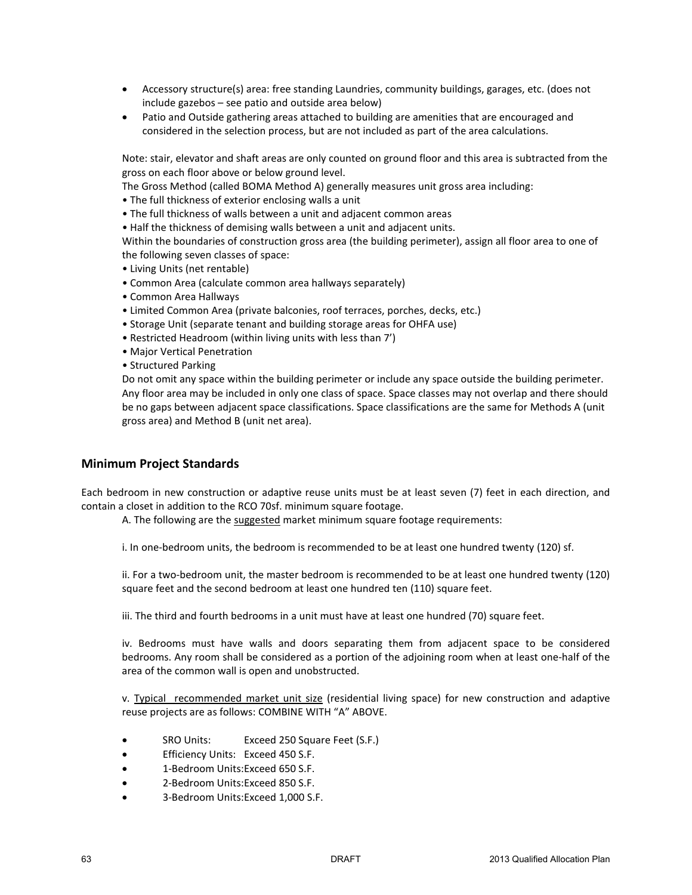- Accessory structure(s) area: free standing Laundries, community buildings, garages, etc. (does not include gazebos – see patio and outside area below)
- Patio and Outside gathering areas attached to building are amenities that are encouraged and considered in the selection process, but are not included as part of the area calculations.

Note: stair, elevator and shaft areas are only counted on ground floor and this area is subtracted from the gross on each floor above or below ground level.

- The Gross Method (called BOMA Method A) generally measures unit gross area including:
- The full thickness of exterior enclosing walls a unit
- The full thickness of walls between a unit and adjacent common areas
- Half the thickness of demising walls between a unit and adjacent units.

Within the boundaries of construction gross area (the building perimeter), assign all floor area to one of the following seven classes of space:

- Living Units (net rentable)
- Common Area (calculate common area hallways separately)
- Common Area Hallways
- Limited Common Area (private balconies, roof terraces, porches, decks, etc.)
- Storage Unit (separate tenant and building storage areas for OHFA use)
- Restricted Headroom (within living units with less than 7')
- Major Vertical Penetration
- Structured Parking

Do not omit any space within the building perimeter or include any space outside the building perimeter. Any floor area may be included in only one class of space. Space classes may not overlap and there should be no gaps between adjacent space classifications. Space classifications are the same for Methods A (unit gross area) and Method B (unit net area).

#### **Minimum Project Standards**

Each bedroom in new construction or adaptive reuse units must be at least seven (7) feet in each direction, and contain a closet in addition to the RCO 70sf. minimum square footage.

A. The following are the suggested market minimum square footage requirements:

i. In one-bedroom units, the bedroom is recommended to be at least one hundred twenty (120) sf.

ii. For a two-bedroom unit, the master bedroom is recommended to be at least one hundred twenty (120) square feet and the second bedroom at least one hundred ten (110) square feet.

iii. The third and fourth bedrooms in a unit must have at least one hundred (70) square feet.

iv. Bedrooms must have walls and doors separating them from adjacent space to be considered bedrooms. Any room shall be considered as a portion of the adjoining room when at least one-half of the area of the common wall is open and unobstructed.

v. Typical recommended market unit size (residential living space) for new construction and adaptive reuse projects are as follows: COMBINE WITH "A" ABOVE.

- SRO Units: Exceed 250 Square Feet (S.F.)
- Efficiency Units: Exceed 450 S.F.
- 1-Bedroom Units:Exceed 650 S.F.
- 2-Bedroom Units:Exceed 850 S.F.
- 3-Bedroom Units:Exceed 1,000 S.F.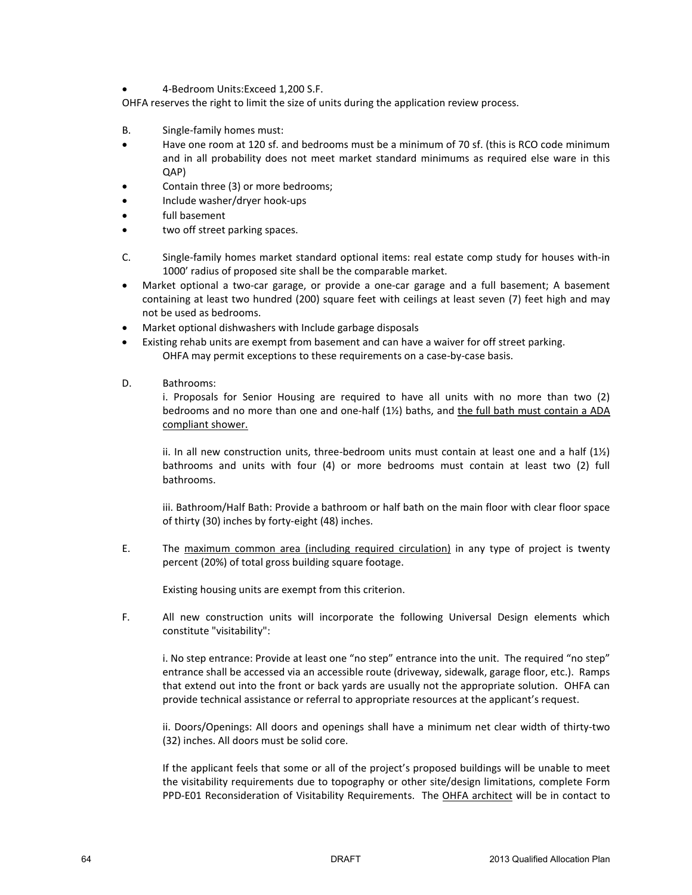• 4-Bedroom Units:Exceed 1,200 S.F.

OHFA reserves the right to limit the size of units during the application review process.

- B. Single-family homes must:
- Have one room at 120 sf. and bedrooms must be a minimum of 70 sf. (this is RCO code minimum and in all probability does not meet market standard minimums as required else ware in this QAP)
- Contain three (3) or more bedrooms;
- Include washer/dryer hook-ups
- full basement
- two off street parking spaces.
- C. Single-family homes market standard optional items: real estate comp study for houses with-in 1000' radius of proposed site shall be the comparable market.
- Market optional a two-car garage, or provide a one-car garage and a full basement; A basement containing at least two hundred (200) square feet with ceilings at least seven (7) feet high and may not be used as bedrooms.
- Market optional dishwashers with Include garbage disposals
- Existing rehab units are exempt from basement and can have a waiver for off street parking. OHFA may permit exceptions to these requirements on a case-by-case basis.
- D. Bathrooms:

i. Proposals for Senior Housing are required to have all units with no more than two (2) bedrooms and no more than one and one-half (1%) baths, and the full bath must contain a ADA compliant shower.

ii. In all new construction units, three-bedroom units must contain at least one and a half  $(1\frac{1}{2})$ bathrooms and units with four (4) or more bedrooms must contain at least two (2) full bathrooms.

iii. Bathroom/Half Bath: Provide a bathroom or half bath on the main floor with clear floor space of thirty (30) inches by forty-eight (48) inches.

E. The maximum common area (including required circulation) in any type of project is twenty percent (20%) of total gross building square footage.

Existing housing units are exempt from this criterion.

F. All new construction units will incorporate the following Universal Design elements which constitute "visitability":

i. No step entrance: Provide at least one "no step" entrance into the unit. The required "no step" entrance shall be accessed via an accessible route (driveway, sidewalk, garage floor, etc.). Ramps that extend out into the front or back yards are usually not the appropriate solution. OHFA can provide technical assistance or referral to appropriate resources at the applicant's request.

ii. Doors/Openings: All doors and openings shall have a minimum net clear width of thirty-two (32) inches. All doors must be solid core.

If the applicant feels that some or all of the project's proposed buildings will be unable to meet the visitability requirements due to topography or other site/design limitations, complete Form PPD-E01 Reconsideration of Visitability Requirements. The OHFA architect will be in contact to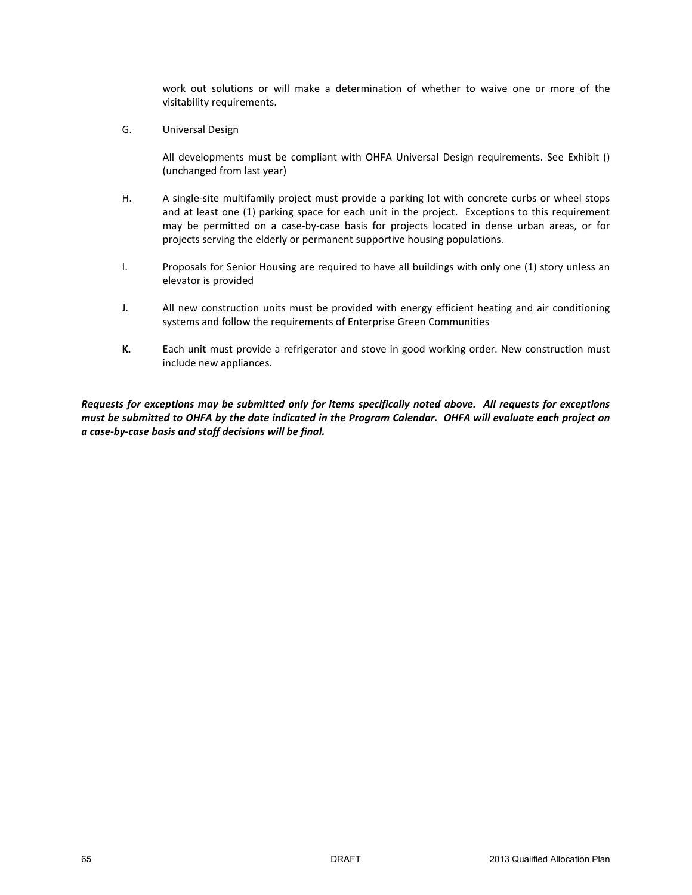work out solutions or will make a determination of whether to waive one or more of the visitability requirements.

G. Universal Design

All developments must be compliant with OHFA Universal Design requirements. See Exhibit () (unchanged from last year)

- H. A single-site multifamily project must provide a parking lot with concrete curbs or wheel stops and at least one (1) parking space for each unit in the project. Exceptions to this requirement may be permitted on a case-by-case basis for projects located in dense urban areas, or for projects serving the elderly or permanent supportive housing populations.
- I. Proposals for Senior Housing are required to have all buildings with only one (1) story unless an elevator is provided
- J. All new construction units must be provided with energy efficient heating and air conditioning systems and follow the requirements of Enterprise Green Communities
- **K.** Each unit must provide a refrigerator and stove in good working order. New construction must include new appliances.

*Requests for exceptions may be submitted only for items specifically noted above. All requests for exceptions must be submitted to OHFA by the date indicated in the Program Calendar. OHFA will evaluate each project on a case-by-case basis and staff decisions will be final.*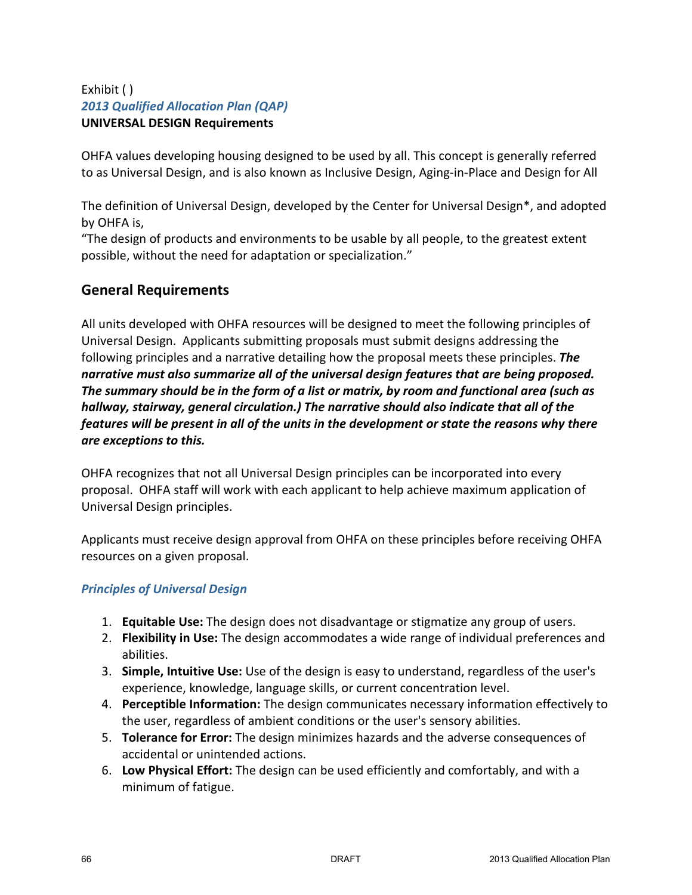# Exhibit ( ) *2013 Qualified Allocation Plan (QAP)* **UNIVERSAL DESIGN Requirements**

OHFA values developing housing designed to be used by all. This concept is generally referred to as Universal Design, and is also known as Inclusive Design, Aging-in-Place and Design for All

The definition of Universal Design, developed by the Center for Universal Design\*, and adopted by OHFA is,

"The design of products and environments to be usable by all people, to the greatest extent possible, without the need for adaptation or specialization."

# **General Requirements**

All units developed with OHFA resources will be designed to meet the following principles of Universal Design. Applicants submitting proposals must submit designs addressing the following principles and a narrative detailing how the proposal meets these principles. *The narrative must also summarize all of the universal design features that are being proposed. The summary should be in the form of a list or matrix, by room and functional area (such as hallway, stairway, general circulation.) The narrative should also indicate that all of the features will be present in all of the units in the development or state the reasons why there are exceptions to this.*

OHFA recognizes that not all Universal Design principles can be incorporated into every proposal. OHFA staff will work with each applicant to help achieve maximum application of Universal Design principles.

Applicants must receive design approval from OHFA on these principles before receiving OHFA resources on a given proposal.

## *Principles of Universal Design*

- 1. **Equitable Use:** The design does not disadvantage or stigmatize any group of users.
- 2. **Flexibility in Use:** The design accommodates a wide range of individual preferences and abilities.
- 3. **Simple, Intuitive Use:** Use of the design is easy to understand, regardless of the user's experience, knowledge, language skills, or current concentration level.
- 4. **Perceptible Information:** The design communicates necessary information effectively to the user, regardless of ambient conditions or the user's sensory abilities.
- 5. **Tolerance for Error:** The design minimizes hazards and the adverse consequences of accidental or unintended actions.
- 6. **Low Physical Effort:** The design can be used efficiently and comfortably, and with a minimum of fatigue.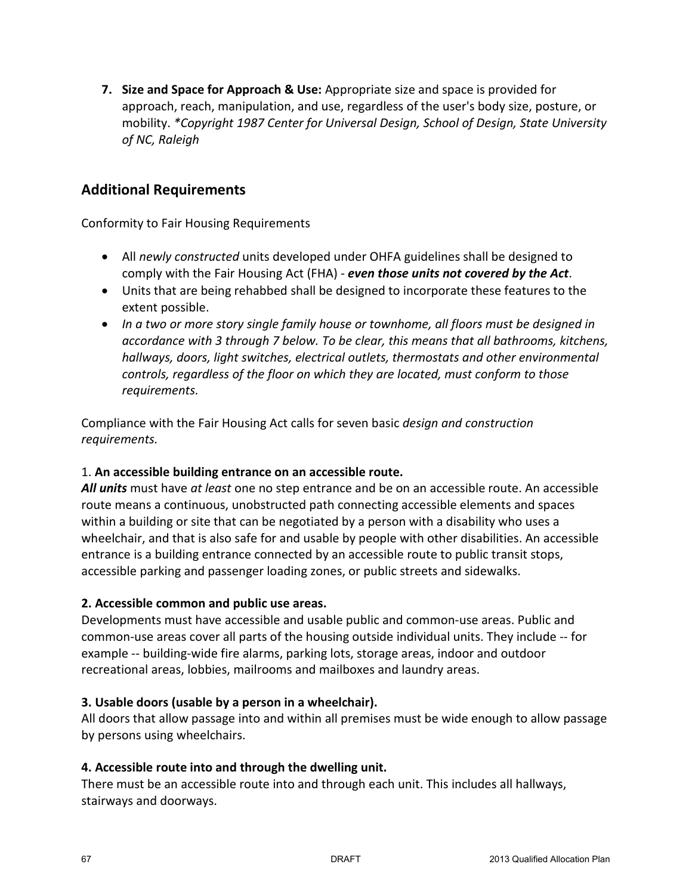**7. Size and Space for Approach & Use:** Appropriate size and space is provided for approach, reach, manipulation, and use, regardless of the user's body size, posture, or mobility. *\*Copyright 1987 Center for Universal Design, School of Design, State University of NC, Raleigh*

# **Additional Requirements**

Conformity to Fair Housing Requirements

- All *newly constructed* units developed under OHFA guidelines shall be designed to comply with the Fair Housing Act (FHA) - *even those units not covered by the Act*.
- Units that are being rehabbed shall be designed to incorporate these features to the extent possible.
- *In a two or more story single family house or townhome, all floors must be designed in accordance with 3 through 7 below. To be clear, this means that all bathrooms, kitchens, hallways, doors, light switches, electrical outlets, thermostats and other environmental controls, regardless of the floor on which they are located, must conform to those requirements.*

Compliance with the Fair Housing Act calls for seven basic *design and construction requirements.* 

## 1. **An accessible building entrance on an accessible route.**

*All units* must have *at least* one no step entrance and be on an accessible route. An accessible route means a continuous, unobstructed path connecting accessible elements and spaces within a building or site that can be negotiated by a person with a disability who uses a wheelchair, and that is also safe for and usable by people with other disabilities. An accessible entrance is a building entrance connected by an accessible route to public transit stops, accessible parking and passenger loading zones, or public streets and sidewalks.

## **2. Accessible common and public use areas.**

Developments must have accessible and usable public and common-use areas. Public and common-use areas cover all parts of the housing outside individual units. They include -- for example -- building-wide fire alarms, parking lots, storage areas, indoor and outdoor recreational areas, lobbies, mailrooms and mailboxes and laundry areas.

## **3. Usable doors (usable by a person in a wheelchair).**

All doors that allow passage into and within all premises must be wide enough to allow passage by persons using wheelchairs.

## **4. Accessible route into and through the dwelling unit.**

There must be an accessible route into and through each unit. This includes all hallways, stairways and doorways.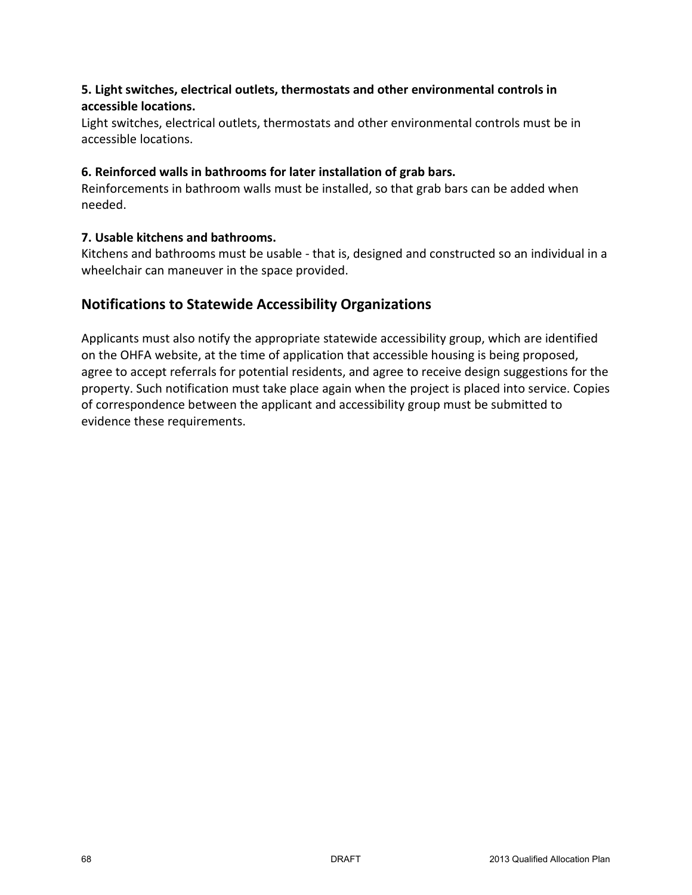# **5. Light switches, electrical outlets, thermostats and other environmental controls in accessible locations.**

Light switches, electrical outlets, thermostats and other environmental controls must be in accessible locations.

## **6. Reinforced walls in bathrooms for later installation of grab bars.**

Reinforcements in bathroom walls must be installed, so that grab bars can be added when needed.

# **7. Usable kitchens and bathrooms.**

Kitchens and bathrooms must be usable - that is, designed and constructed so an individual in a wheelchair can maneuver in the space provided.

# **Notifications to Statewide Accessibility Organizations**

Applicants must also notify the appropriate statewide accessibility group, which are identified on the OHFA website, at the time of application that accessible housing is being proposed, agree to accept referrals for potential residents, and agree to receive design suggestions for the property. Such notification must take place again when the project is placed into service. Copies of correspondence between the applicant and accessibility group must be submitted to evidence these requirements.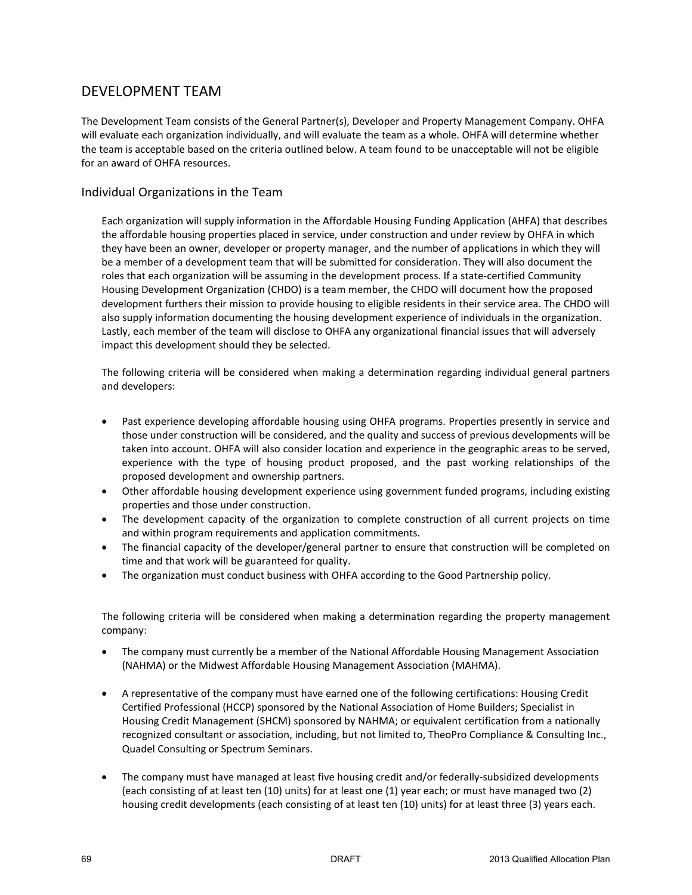# DEVELOPMENT TEAM

The Development Team consists of the General Partner(s), Developer and Property Management Company. OHFA will evaluate each organization individually, and will evaluate the team as a whole. OHFA will determine whether the team is acceptable based on the criteria outlined below. A team found to be unacceptable will not be eligible for an award of OHFA resources.

## Individual Organizations in the Team

Each organization will supply information in the Affordable Housing Funding Application (AHFA) that describes the affordable housing properties placed in service, under construction and under review by OHFA in which they have been an owner, developer or property manager, and the number of applications in which they will be a member of a development team that will be submitted for consideration. They will also document the roles that each organization will be assuming in the development process. If a state-certified Community Housing Development Organization (CHDO) is a team member, the CHDO will document how the proposed development furthers their mission to provide housing to eligible residents in their service area. The CHDO will also supply information documenting the housing development experience of individuals in the organization. Lastly, each member of the team will disclose to OHFA any organizational financial issues that will adversely impact this development should they be selected.

The following criteria will be considered when making a determination regarding individual general partners and developers:

- Past experience developing affordable housing using OHFA programs. Properties presently in service and those under construction will be considered, and the quality and success of previous developments will be taken into account. OHFA will also consider location and experience in the geographic areas to be served, experience with the type of housing product proposed, and the past working relationships of the proposed development and ownership partners.
- Other affordable housing development experience using government funded programs, including existing properties and those under construction.
- The development capacity of the organization to complete construction of all current projects on time and within program requirements and application commitments.
- The financial capacity of the developer/general partner to ensure that construction will be completed on time and that work will be guaranteed for quality.
- The organization must conduct business with OHFA according to the Good Partnership policy.

The following criteria will be considered when making a determination regarding the property management company:

- The company must currently be a member of the National Affordable Housing Management Association (NAHMA) or the Midwest Affordable Housing Management Association (MAHMA).
- A representative of the company must have earned one of the following certifications: Housing Credit Certified Professional (HCCP) sponsored by the National Association of Home Builders; Specialist in Housing Credit Management (SHCM) sponsored by NAHMA; or equivalent certification from a nationally recognized consultant or association, including, but not limited to, TheoPro Compliance & Consulting Inc., Quadel Consulting or Spectrum Seminars.
- The company must have managed at least five housing credit and/or federally-subsidized developments (each consisting of at least ten (10) units) for at least one (1) year each; or must have managed two (2) housing credit developments (each consisting of at least ten (10) units) for at least three (3) years each.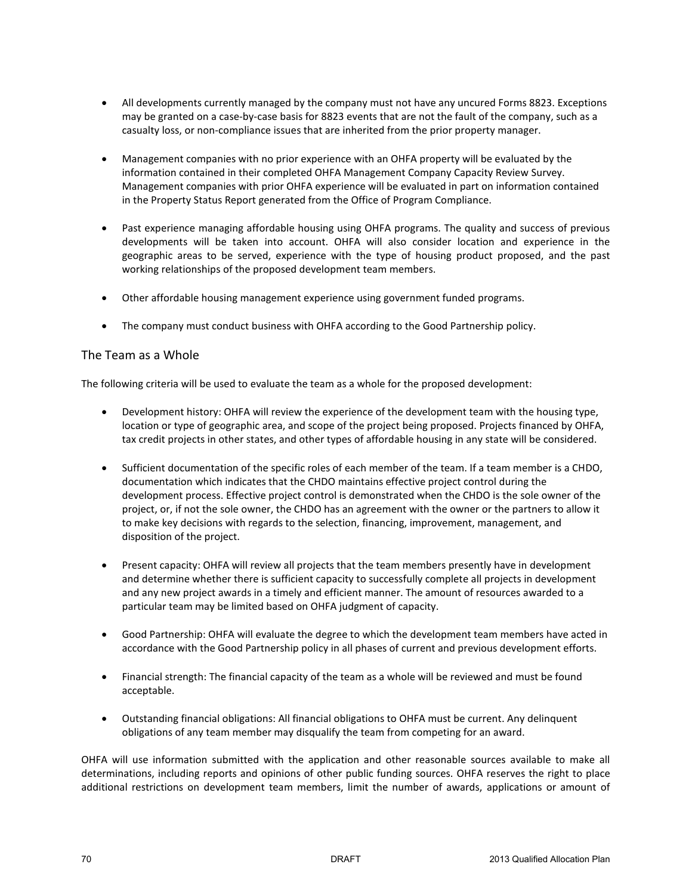- All developments currently managed by the company must not have any uncured Forms 8823. Exceptions may be granted on a case-by-case basis for 8823 events that are not the fault of the company, such as a casualty loss, or non-compliance issues that are inherited from the prior property manager.
- Management companies with no prior experience with an OHFA property will be evaluated by the information contained in their completed OHFA Management Company Capacity Review Survey. Management companies with prior OHFA experience will be evaluated in part on information contained in the Property Status Report generated from the Office of Program Compliance.
- Past experience managing affordable housing using OHFA programs. The quality and success of previous developments will be taken into account. OHFA will also consider location and experience in the geographic areas to be served, experience with the type of housing product proposed, and the past working relationships of the proposed development team members.
- Other affordable housing management experience using government funded programs.
- The company must conduct business with OHFA according to the Good Partnership policy.

### The Team as a Whole

The following criteria will be used to evaluate the team as a whole for the proposed development:

- Development history: OHFA will review the experience of the development team with the housing type, location or type of geographic area, and scope of the project being proposed. Projects financed by OHFA, tax credit projects in other states, and other types of affordable housing in any state will be considered.
- Sufficient documentation of the specific roles of each member of the team. If a team member is a CHDO, documentation which indicates that the CHDO maintains effective project control during the development process. Effective project control is demonstrated when the CHDO is the sole owner of the project, or, if not the sole owner, the CHDO has an agreement with the owner or the partners to allow it to make key decisions with regards to the selection, financing, improvement, management, and disposition of the project.
- Present capacity: OHFA will review all projects that the team members presently have in development and determine whether there is sufficient capacity to successfully complete all projects in development and any new project awards in a timely and efficient manner. The amount of resources awarded to a particular team may be limited based on OHFA judgment of capacity.
- Good Partnership: OHFA will evaluate the degree to which the development team members have acted in accordance with the Good Partnership policy in all phases of current and previous development efforts.
- Financial strength: The financial capacity of the team as a whole will be reviewed and must be found acceptable.
- Outstanding financial obligations: All financial obligations to OHFA must be current. Any delinquent obligations of any team member may disqualify the team from competing for an award.

OHFA will use information submitted with the application and other reasonable sources available to make all determinations, including reports and opinions of other public funding sources. OHFA reserves the right to place additional restrictions on development team members, limit the number of awards, applications or amount of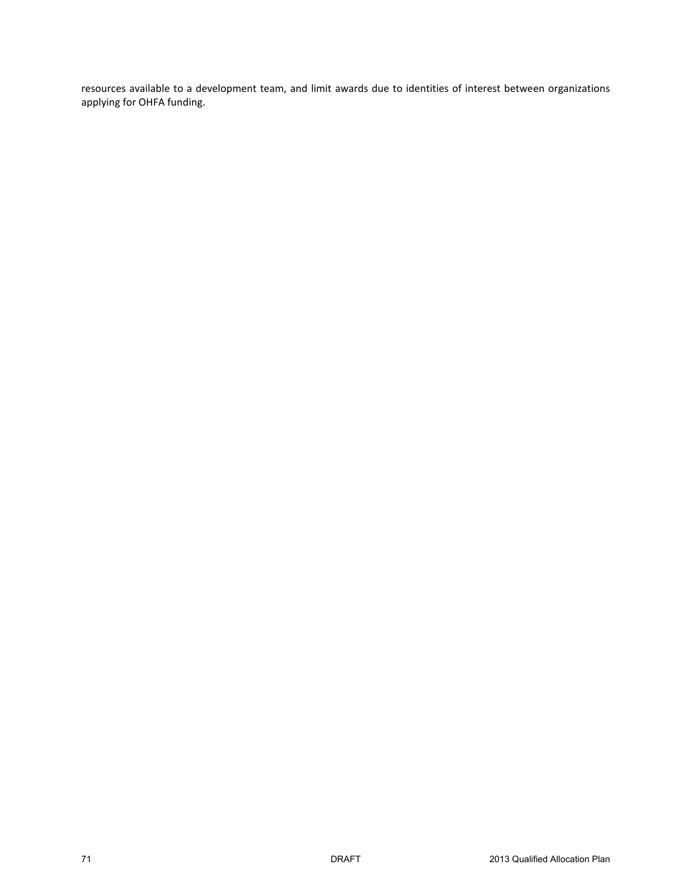resources available to a development team, and limit awards due to identities of interest between organizations applying for OHFA funding.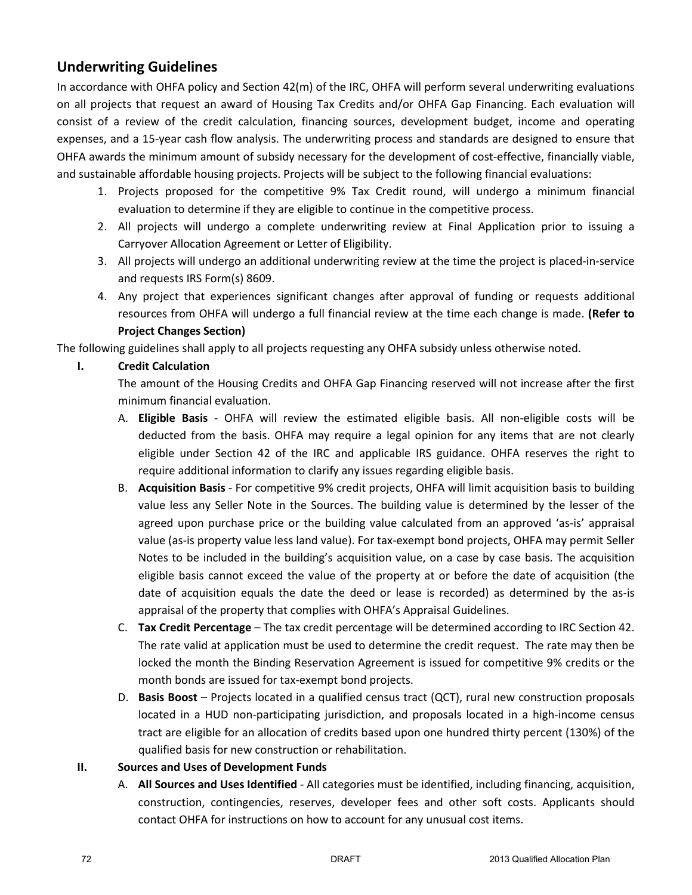# **Underwriting Guidelines**

In accordance with OHFA policy and Section 42(m) of the IRC, OHFA will perform several underwriting evaluations on all projects that request an award of Housing Tax Credits and/or OHFA Gap Financing. Each evaluation will consist of a review of the credit calculation, financing sources, development budget, income and operating expenses, and a 15-year cash flow analysis. The underwriting process and standards are designed to ensure that OHFA awards the minimum amount of subsidy necessary for the development of cost-effective, financially viable, and sustainable affordable housing projects. Projects will be subject to the following financial evaluations:

- 1. Projects proposed for the competitive 9% Tax Credit round, will undergo a minimum financial evaluation to determine if they are eligible to continue in the competitive process.
- 2. All projects will undergo a complete underwriting review at Final Application prior to issuing a Carryover Allocation Agreement or Letter of Eligibility.
- 3. All projects will undergo an additional underwriting review at the time the project is placed-in-service and requests IRS Form(s) 8609.
- 4. Any project that experiences significant changes after approval of funding or requests additional resources from OHFA will undergo a full financial review at the time each change is made. **(Refer to Project Changes Section)**

The following guidelines shall apply to all projects requesting any OHFA subsidy unless otherwise noted.

## **I. Credit Calculation**

The amount of the Housing Credits and OHFA Gap Financing reserved will not increase after the first minimum financial evaluation.

- A. **Eligible Basis** OHFA will review the estimated eligible basis. All non-eligible costs will be deducted from the basis. OHFA may require a legal opinion for any items that are not clearly eligible under Section 42 of the IRC and applicable IRS guidance. OHFA reserves the right to require additional information to clarify any issues regarding eligible basis.
- B. **Acquisition Basis** For competitive 9% credit projects, OHFA will limit acquisition basis to building value less any Seller Note in the Sources. The building value is determined by the lesser of the agreed upon purchase price or the building value calculated from an approved 'as-is' appraisal value (as-is property value less land value). For tax-exempt bond projects, OHFA may permit Seller Notes to be included in the building's acquisition value, on a case by case basis. The acquisition eligible basis cannot exceed the value of the property at or before the date of acquisition (the date of acquisition equals the date the deed or lease is recorded) as determined by the as-is appraisal of the property that complies with OHFA's Appraisal Guidelines.
- C. **Tax Credit Percentage** The tax credit percentage will be determined according to IRC Section 42. The rate valid at application must be used to determine the credit request. The rate may then be locked the month the Binding Reservation Agreement is issued for competitive 9% credits or the month bonds are issued for tax-exempt bond projects.
- D. **Basis Boost** Projects located in a qualified census tract (QCT), rural new construction proposals located in a HUD non-participating jurisdiction, and proposals located in a high-income census tract are eligible for an allocation of credits based upon one hundred thirty percent (130%) of the qualified basis for new construction or rehabilitation.

## **II. Sources and Uses of Development Funds**

A. **All Sources and Uses Identified** - All categories must be identified, including financing, acquisition, construction, contingencies, reserves, developer fees and other soft costs. Applicants should contact OHFA for instructions on how to account for any unusual cost items.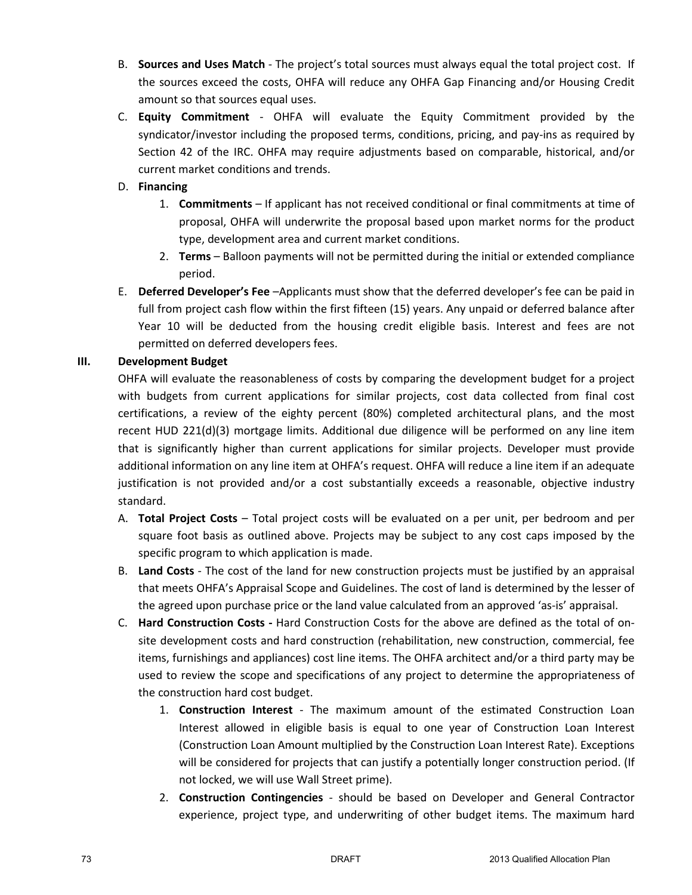- B. **Sources and Uses Match** The project's total sources must always equal the total project cost. If the sources exceed the costs, OHFA will reduce any OHFA Gap Financing and/or Housing Credit amount so that sources equal uses.
- C. **Equity Commitment**  OHFA will evaluate the Equity Commitment provided by the syndicator/investor including the proposed terms, conditions, pricing, and pay-ins as required by Section 42 of the IRC. OHFA may require adjustments based on comparable, historical, and/or current market conditions and trends.

## D. **Financing**

- 1. **Commitments** If applicant has not received conditional or final commitments at time of proposal, OHFA will underwrite the proposal based upon market norms for the product type, development area and current market conditions.
- 2. **Terms**  Balloon payments will not be permitted during the initial or extended compliance period.
- E. **Deferred Developer's Fee** –Applicants must show that the deferred developer's fee can be paid in full from project cash flow within the first fifteen (15) years. Any unpaid or deferred balance after Year 10 will be deducted from the housing credit eligible basis. Interest and fees are not permitted on deferred developers fees.

## **III. Development Budget**

OHFA will evaluate the reasonableness of costs by comparing the development budget for a project with budgets from current applications for similar projects, cost data collected from final cost certifications, a review of the eighty percent (80%) completed architectural plans, and the most recent HUD 221(d)(3) mortgage limits. Additional due diligence will be performed on any line item that is significantly higher than current applications for similar projects. Developer must provide additional information on any line item at OHFA's request. OHFA will reduce a line item if an adequate justification is not provided and/or a cost substantially exceeds a reasonable, objective industry standard.

- A. **Total Project Costs** Total project costs will be evaluated on a per unit, per bedroom and per square foot basis as outlined above. Projects may be subject to any cost caps imposed by the specific program to which application is made.
- B. **Land Costs** The cost of the land for new construction projects must be justified by an appraisal that meets OHFA's Appraisal Scope and Guidelines. The cost of land is determined by the lesser of the agreed upon purchase price or the land value calculated from an approved 'as-is' appraisal.
- C. **Hard Construction Costs** Hard Construction Costs for the above are defined as the total of onsite development costs and hard construction (rehabilitation, new construction, commercial, fee items, furnishings and appliances) cost line items. The OHFA architect and/or a third party may be used to review the scope and specifications of any project to determine the appropriateness of the construction hard cost budget.
	- 1. **Construction Interest**  The maximum amount of the estimated Construction Loan Interest allowed in eligible basis is equal to one year of Construction Loan Interest (Construction Loan Amount multiplied by the Construction Loan Interest Rate). Exceptions will be considered for projects that can justify a potentially longer construction period. (If not locked, we will use Wall Street prime).
	- 2. **Construction Contingencies** should be based on Developer and General Contractor experience, project type, and underwriting of other budget items. The maximum hard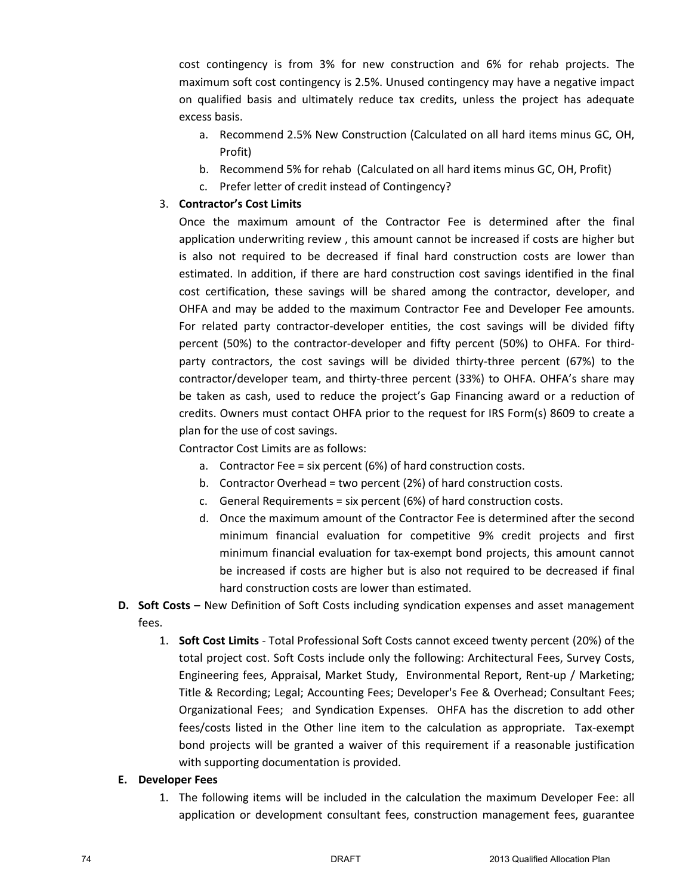cost contingency is from 3% for new construction and 6% for rehab projects. The maximum soft cost contingency is 2.5%. Unused contingency may have a negative impact on qualified basis and ultimately reduce tax credits, unless the project has adequate excess basis.

- a. Recommend 2.5% New Construction (Calculated on all hard items minus GC, OH, Profit)
- b. Recommend 5% for rehab (Calculated on all hard items minus GC, OH, Profit)
- c. Prefer letter of credit instead of Contingency?

### 3. **Contractor's Cost Limits**

Once the maximum amount of the Contractor Fee is determined after the final application underwriting review , this amount cannot be increased if costs are higher but is also not required to be decreased if final hard construction costs are lower than estimated. In addition, if there are hard construction cost savings identified in the final cost certification, these savings will be shared among the contractor, developer, and OHFA and may be added to the maximum Contractor Fee and Developer Fee amounts. For related party contractor-developer entities, the cost savings will be divided fifty percent (50%) to the contractor-developer and fifty percent (50%) to OHFA. For thirdparty contractors, the cost savings will be divided thirty-three percent (67%) to the contractor/developer team, and thirty-three percent (33%) to OHFA. OHFA's share may be taken as cash, used to reduce the project's Gap Financing award or a reduction of credits. Owners must contact OHFA prior to the request for IRS Form(s) 8609 to create a plan for the use of cost savings.

Contractor Cost Limits are as follows:

- a. Contractor Fee = six percent (6%) of hard construction costs.
- b. Contractor Overhead = two percent (2%) of hard construction costs.
- c. General Requirements = six percent (6%) of hard construction costs.
- d. Once the maximum amount of the Contractor Fee is determined after the second minimum financial evaluation for competitive 9% credit projects and first minimum financial evaluation for tax-exempt bond projects, this amount cannot be increased if costs are higher but is also not required to be decreased if final hard construction costs are lower than estimated.
- **D. Soft Costs** New Definition of Soft Costs including syndication expenses and asset management fees.
	- 1. **Soft Cost Limits** Total Professional Soft Costs cannot exceed twenty percent (20%) of the total project cost. Soft Costs include only the following: Architectural Fees, Survey Costs, Engineering fees, Appraisal, Market Study, Environmental Report, Rent-up / Marketing; Title & Recording; Legal; Accounting Fees; Developer's Fee & Overhead; Consultant Fees; Organizational Fees; and Syndication Expenses. OHFA has the discretion to add other fees/costs listed in the Other line item to the calculation as appropriate. Tax-exempt bond projects will be granted a waiver of this requirement if a reasonable justification with supporting documentation is provided.

#### **E. Developer Fees**

1. The following items will be included in the calculation the maximum Developer Fee: all application or development consultant fees, construction management fees, guarantee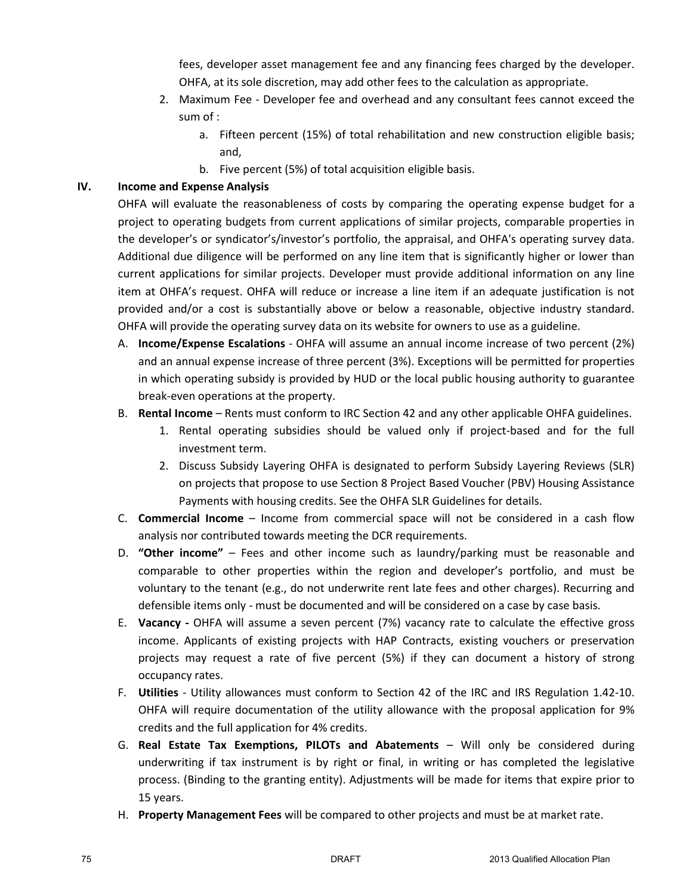fees, developer asset management fee and any financing fees charged by the developer. OHFA, at its sole discretion, may add other fees to the calculation as appropriate.

- 2. Maximum Fee Developer fee and overhead and any consultant fees cannot exceed the sum of :
	- a. Fifteen percent (15%) of total rehabilitation and new construction eligible basis; and,
	- b. Five percent (5%) of total acquisition eligible basis.

#### **IV. Income and Expense Analysis**

OHFA will evaluate the reasonableness of costs by comparing the operating expense budget for a project to operating budgets from current applications of similar projects, comparable properties in the developer's or syndicator's/investor's portfolio, the appraisal, and OHFA's operating survey data. Additional due diligence will be performed on any line item that is significantly higher or lower than current applications for similar projects. Developer must provide additional information on any line item at OHFA's request. OHFA will reduce or increase a line item if an adequate justification is not provided and/or a cost is substantially above or below a reasonable, objective industry standard. OHFA will provide the operating survey data on its website for owners to use as a guideline.

- A. **Income/Expense Escalations** OHFA will assume an annual income increase of two percent (2%) and an annual expense increase of three percent (3%). Exceptions will be permitted for properties in which operating subsidy is provided by HUD or the local public housing authority to guarantee break-even operations at the property.
- B. **Rental Income** Rents must conform to IRC Section 42 and any other applicable OHFA guidelines.
	- 1. Rental operating subsidies should be valued only if project-based and for the full investment term.
	- 2. Discuss Subsidy Layering OHFA is designated to perform Subsidy Layering Reviews (SLR) on projects that propose to use Section 8 Project Based Voucher (PBV) Housing Assistance Payments with housing credits. See the OHFA SLR Guidelines for details.
- C. **Commercial Income** Income from commercial space will not be considered in a cash flow analysis nor contributed towards meeting the DCR requirements.
- D. **"Other income"** Fees and other income such as laundry/parking must be reasonable and comparable to other properties within the region and developer's portfolio, and must be voluntary to the tenant (e.g., do not underwrite rent late fees and other charges). Recurring and defensible items only - must be documented and will be considered on a case by case basis.
- E. **Vacancy** OHFA will assume a seven percent (7%) vacancy rate to calculate the effective gross income. Applicants of existing projects with HAP Contracts, existing vouchers or preservation projects may request a rate of five percent (5%) if they can document a history of strong occupancy rates.
- F. **Utilities** Utility allowances must conform to Section 42 of the IRC and IRS Regulation 1.42-10. OHFA will require documentation of the utility allowance with the proposal application for 9% credits and the full application for 4% credits.
- G. **Real Estate Tax Exemptions, PILOTs and Abatements** Will only be considered during underwriting if tax instrument is by right or final, in writing or has completed the legislative process. (Binding to the granting entity). Adjustments will be made for items that expire prior to 15 years.
- H. **Property Management Fees** will be compared to other projects and must be at market rate.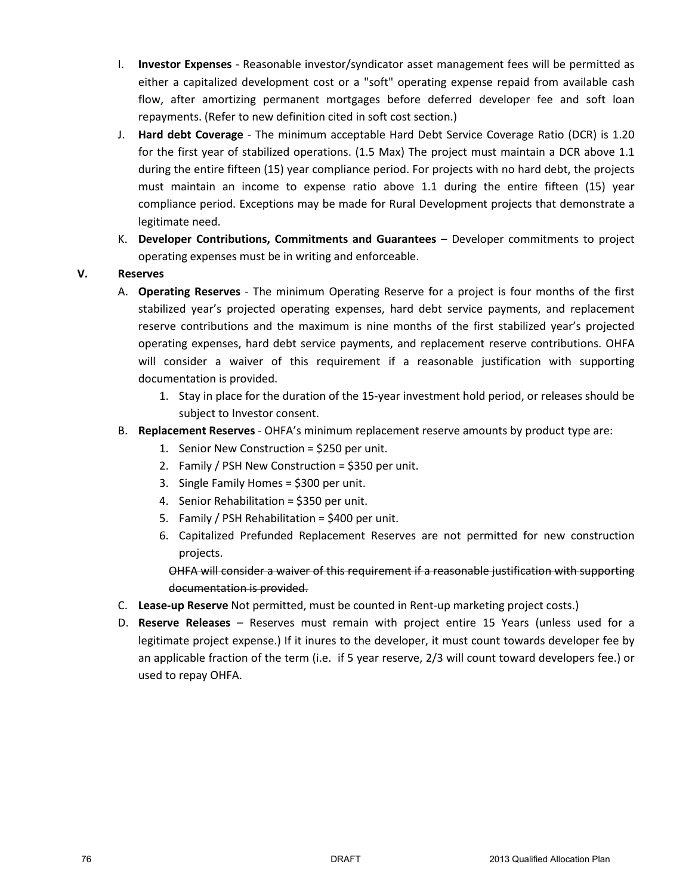- I. **Investor Expenses** Reasonable investor/syndicator asset management fees will be permitted as either a capitalized development cost or a "soft" operating expense repaid from available cash flow, after amortizing permanent mortgages before deferred developer fee and soft loan repayments. (Refer to new definition cited in soft cost section.)
- J. **Hard debt Coverage** The minimum acceptable Hard Debt Service Coverage Ratio (DCR) is 1.20 for the first year of stabilized operations. (1.5 Max) The project must maintain a DCR above 1.1 during the entire fifteen (15) year compliance period. For projects with no hard debt, the projects must maintain an income to expense ratio above 1.1 during the entire fifteen (15) year compliance period. Exceptions may be made for Rural Development projects that demonstrate a legitimate need.
- K. **Developer Contributions, Commitments and Guarantees** Developer commitments to project operating expenses must be in writing and enforceable.

## **V. Reserves**

- A. **Operating Reserves** The minimum Operating Reserve for a project is four months of the first stabilized year's projected operating expenses, hard debt service payments, and replacement reserve contributions and the maximum is nine months of the first stabilized year's projected operating expenses, hard debt service payments, and replacement reserve contributions. OHFA will consider a waiver of this requirement if a reasonable justification with supporting documentation is provided.
	- 1. Stay in place for the duration of the 15-year investment hold period, or releases should be subject to Investor consent.
- B. **Replacement Reserves** OHFA's minimum replacement reserve amounts by product type are:
	- 1. Senior New Construction = \$250 per unit.
	- 2. Family / PSH New Construction = \$350 per unit.
	- 3. Single Family Homes = \$300 per unit.
	- 4. Senior Rehabilitation = \$350 per unit.
	- 5. Family / PSH Rehabilitation = \$400 per unit.
	- 6. Capitalized Prefunded Replacement Reserves are not permitted for new construction projects.

OHFA will consider a waiver of this requirement if a reasonable justification with supporting documentation is provided.

- C. **Lease-up Reserve** Not permitted, must be counted in Rent-up marketing project costs.)
- D. **Reserve Releases** Reserves must remain with project entire 15 Years (unless used for a legitimate project expense.) If it inures to the developer, it must count towards developer fee by an applicable fraction of the term (i.e. if 5 year reserve, 2/3 will count toward developers fee.) or used to repay OHFA.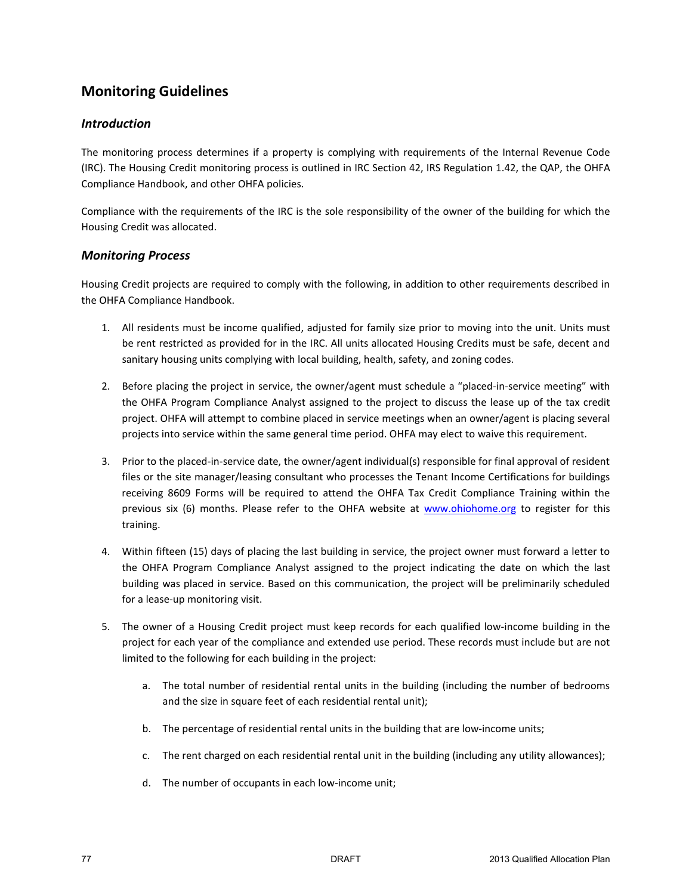# **Monitoring Guidelines**

### *Introduction*

The monitoring process determines if a property is complying with requirements of the Internal Revenue Code (IRC). The Housing Credit monitoring process is outlined in IRC Section 42, IRS Regulation 1.42, the QAP, the OHFA Compliance Handbook, and other OHFA policies.

Compliance with the requirements of the IRC is the sole responsibility of the owner of the building for which the Housing Credit was allocated.

#### *Monitoring Process*

Housing Credit projects are required to comply with the following, in addition to other requirements described in the OHFA Compliance Handbook.

- 1. All residents must be income qualified, adjusted for family size prior to moving into the unit. Units must be rent restricted as provided for in the IRC. All units allocated Housing Credits must be safe, decent and sanitary housing units complying with local building, health, safety, and zoning codes.
- 2. Before placing the project in service, the owner/agent must schedule a "placed-in-service meeting" with the OHFA Program Compliance Analyst assigned to the project to discuss the lease up of the tax credit project. OHFA will attempt to combine placed in service meetings when an owner/agent is placing several projects into service within the same general time period. OHFA may elect to waive this requirement.
- 3. Prior to the placed-in-service date, the owner/agent individual(s) responsible for final approval of resident files or the site manager/leasing consultant who processes the Tenant Income Certifications for buildings receiving 8609 Forms will be required to attend the OHFA Tax Credit Compliance Training within the previous six (6) months. Please refer to the OHFA website at www.ohiohome.org to register for this training.
- 4. Within fifteen (15) days of placing the last building in service, the project owner must forward a letter to the OHFA Program Compliance Analyst assigned to the project indicating the date on which the last building was placed in service. Based on this communication, the project will be preliminarily scheduled for a lease-up monitoring visit.
- 5. The owner of a Housing Credit project must keep records for each qualified low-income building in the project for each year of the compliance and extended use period. These records must include but are not limited to the following for each building in the project:
	- a. The total number of residential rental units in the building (including the number of bedrooms and the size in square feet of each residential rental unit);
	- b. The percentage of residential rental units in the building that are low-income units;
	- c. The rent charged on each residential rental unit in the building (including any utility allowances);
	- d. The number of occupants in each low-income unit;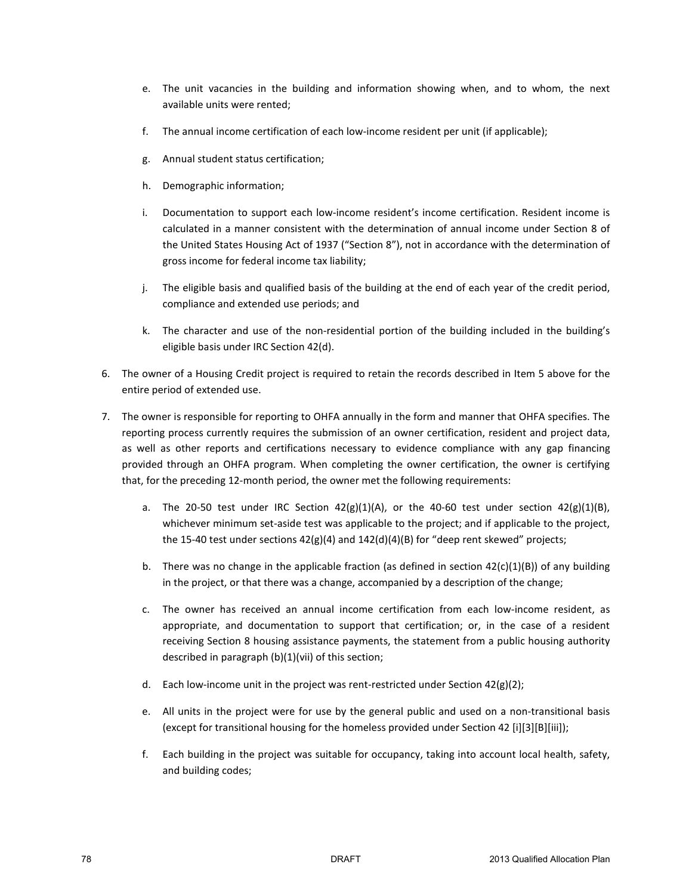- e. The unit vacancies in the building and information showing when, and to whom, the next available units were rented;
- f. The annual income certification of each low-income resident per unit (if applicable);
- g. Annual student status certification;
- h. Demographic information;
- i. Documentation to support each low-income resident's income certification. Resident income is calculated in a manner consistent with the determination of annual income under Section 8 of the United States Housing Act of 1937 ("Section 8"), not in accordance with the determination of gross income for federal income tax liability;
- j. The eligible basis and qualified basis of the building at the end of each year of the credit period, compliance and extended use periods; and
- k. The character and use of the non-residential portion of the building included in the building's eligible basis under IRC Section 42(d).
- 6. The owner of a Housing Credit project is required to retain the records described in Item 5 above for the entire period of extended use.
- 7. The owner is responsible for reporting to OHFA annually in the form and manner that OHFA specifies. The reporting process currently requires the submission of an owner certification, resident and project data, as well as other reports and certifications necessary to evidence compliance with any gap financing provided through an OHFA program. When completing the owner certification, the owner is certifying that, for the preceding 12-month period, the owner met the following requirements:
	- a. The 20-50 test under IRC Section  $42(g)(1)(A)$ , or the 40-60 test under section  $42(g)(1)(B)$ , whichever minimum set-aside test was applicable to the project; and if applicable to the project, the 15-40 test under sections  $42(g)(4)$  and  $142(d)(4)(B)$  for "deep rent skewed" projects;
	- b. There was no change in the applicable fraction (as defined in section  $42(c)(1)(B)$ ) of any building in the project, or that there was a change, accompanied by a description of the change;
	- c. The owner has received an annual income certification from each low-income resident, as appropriate, and documentation to support that certification; or, in the case of a resident receiving Section 8 housing assistance payments, the statement from a public housing authority described in paragraph (b)(1)(vii) of this section;
	- d. Each low-income unit in the project was rent-restricted under Section 42(g)(2);
	- e. All units in the project were for use by the general public and used on a non-transitional basis (except for transitional housing for the homeless provided under Section 42 [i][3][B][iii]);
	- f. Each building in the project was suitable for occupancy, taking into account local health, safety, and building codes;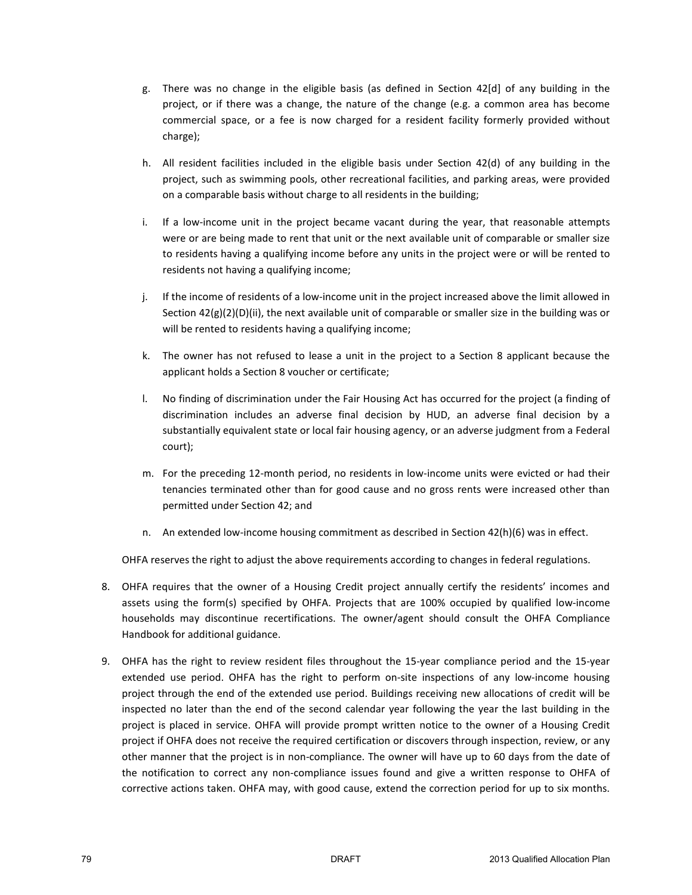- g. There was no change in the eligible basis (as defined in Section 42[d] of any building in the project, or if there was a change, the nature of the change (e.g. a common area has become commercial space, or a fee is now charged for a resident facility formerly provided without charge);
- h. All resident facilities included in the eligible basis under Section 42(d) of any building in the project, such as swimming pools, other recreational facilities, and parking areas, were provided on a comparable basis without charge to all residents in the building;
- i. If a low-income unit in the project became vacant during the year, that reasonable attempts were or are being made to rent that unit or the next available unit of comparable or smaller size to residents having a qualifying income before any units in the project were or will be rented to residents not having a qualifying income;
- j. If the income of residents of a low-income unit in the project increased above the limit allowed in Section  $42(g)(2)(D)(ii)$ , the next available unit of comparable or smaller size in the building was or will be rented to residents having a qualifying income;
- k. The owner has not refused to lease a unit in the project to a Section 8 applicant because the applicant holds a Section 8 voucher or certificate;
- l. No finding of discrimination under the Fair Housing Act has occurred for the project (a finding of discrimination includes an adverse final decision by HUD, an adverse final decision by a substantially equivalent state or local fair housing agency, or an adverse judgment from a Federal court);
- m. For the preceding 12-month period, no residents in low-income units were evicted or had their tenancies terminated other than for good cause and no gross rents were increased other than permitted under Section 42; and
- n. An extended low-income housing commitment as described in Section 42(h)(6) was in effect.

OHFA reserves the right to adjust the above requirements according to changes in federal regulations.

- 8. OHFA requires that the owner of a Housing Credit project annually certify the residents' incomes and assets using the form(s) specified by OHFA. Projects that are 100% occupied by qualified low-income households may discontinue recertifications. The owner/agent should consult the OHFA Compliance Handbook for additional guidance.
- 9. OHFA has the right to review resident files throughout the 15-year compliance period and the 15-year extended use period. OHFA has the right to perform on-site inspections of any low-income housing project through the end of the extended use period. Buildings receiving new allocations of credit will be inspected no later than the end of the second calendar year following the year the last building in the project is placed in service. OHFA will provide prompt written notice to the owner of a Housing Credit project if OHFA does not receive the required certification or discovers through inspection, review, or any other manner that the project is in non-compliance. The owner will have up to 60 days from the date of the notification to correct any non-compliance issues found and give a written response to OHFA of corrective actions taken. OHFA may, with good cause, extend the correction period for up to six months.